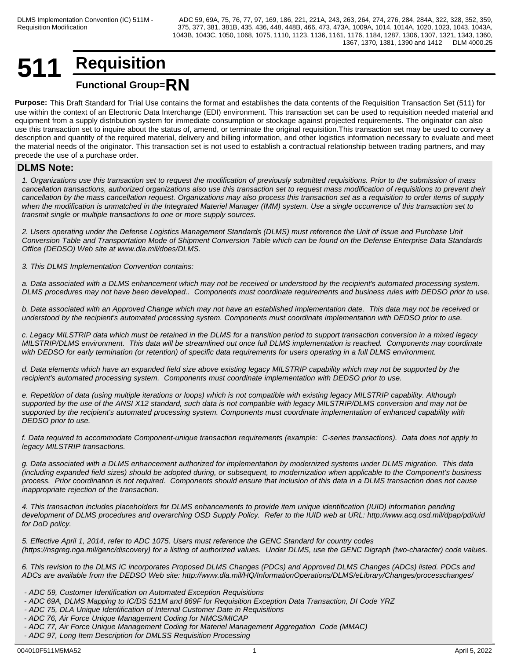## **511 Requisition Functional Group=RN**

**Purpose:** This Draft Standard for Trial Use contains the format and establishes the data contents of the Requisition Transaction Set (511) for use within the context of an Electronic Data Interchange (EDI) environment. This transaction set can be used to requisition needed material and equipment from a supply distribution system for immediate consumption or stockage against projected requirements. The originator can also use this transaction set to inquire about the status of, amend, or terminate the original requisition.This transaction set may be used to convey a description and quantity of the required material, delivery and billing information, and other logistics information necessary to evaluate and meet the material needs of the originator. This transaction set is not used to establish a contractual relationship between trading partners, and may precede the use of a purchase order.

## **DLMS Note:**

*1. Organizations use this transaction set to request the modification of previously submitted requisitions. Prior to the submission of mass cancellation transactions, authorized organizations also use this transaction set to request mass modification of requisitions to prevent their cancellation by the mass cancellation request. Organizations may also process this transaction set as a requisition to order items of supply when the modification is unmatched in the Integrated Materiel Manager (IMM) system. Use a single occurrence of this transaction set to transmit single or multiple transactions to one or more supply sources.*

*2. Users operating under the Defense Logistics Management Standards (DLMS) must reference the Unit of Issue and Purchase Unit Conversion Table and Transportation Mode of Shipment Conversion Table which can be found on the Defense Enterprise Data Standards Office (DEDSO) Web site at www.dla.mil/does/DLMS.*

*3. This DLMS Implementation Convention contains:*

*a. Data associated with a DLMS enhancement which may not be received or understood by the recipient's automated processing system. DLMS procedures may not have been developed.. Components must coordinate requirements and business rules with DEDSO prior to use.*

*b. Data associated with an Approved Change which may not have an established implementation date. This data may not be received or understood by the recipient's automated processing system. Components must coordinate implementation with DEDSO prior to use.*

*c. Legacy MILSTRIP data which must be retained in the DLMS for a transition period to support transaction conversion in a mixed legacy MILSTRIP/DLMS environment. This data will be streamlined out once full DLMS implementation is reached. Components may coordinate with DEDSO for early termination (or retention) of specific data requirements for users operating in a full DLMS environment.*

*d. Data elements which have an expanded field size above existing legacy MILSTRIP capability which may not be supported by the recipient's automated processing system. Components must coordinate implementation with DEDSO prior to use.* 

*e. Repetition of data (using multiple iterations or loops) which is not compatible with existing legacy MILSTRIP capability. Although supported by the use of the ANSI X12 standard, such data is not compatible with legacy MILSTRIP/DLMS conversion and may not be supported by the recipient's automated processing system. Components must coordinate implementation of enhanced capability with DEDSO prior to use.*

*f. Data required to accommodate Component-unique transaction requirements (example: C-series transactions). Data does not apply to legacy MILSTRIP transactions.*

*g. Data associated with a DLMS enhancement authorized for implementation by modernized systems under DLMS migration. This data (including expanded field sizes) should be adopted during, or subsequent, to modernization when applicable to the Component's business process. Prior coordination is not required. Components should ensure that inclusion of this data in a DLMS transaction does not cause inappropriate rejection of the transaction.*

*4. This transaction includes placeholders for DLMS enhancements to provide item unique identification (IUID) information pending development of DLMS procedures and overarching OSD Supply Policy. Refer to the IUID web at URL: http://www.acq.osd.mil/dpap/pdi/uid for DoD policy.*

*5. Effective April 1, 2014, refer to ADC 1075. Users must reference the GENC Standard for country codes (https://nsgreg.nga.mil/genc/discovery) for a listing of authorized values. Under DLMS, use the GENC Digraph (two-character) code values.* 

*6. This revision to the DLMS IC incorporates Proposed DLMS Changes (PDCs) and Approved DLMS Changes (ADCs) listed. PDCs and ADCs are available from the DEDSO Web site: http://www.dla.mil/HQ/InformationOperations/DLMS/eLibrary/Changes/processchanges/*

- *ADC 59, Customer Identification on Automated Exception Requisitions*
- *ADC 69A, DLMS Mapping to IC/DS 511M and 869F for Requisition Exception Data Transaction, DI Code YRZ*
- *ADC 75, DLA Unique Identification of Internal Customer Date in Requisitions*
- *ADC 76, Air Force Unique Management Coding for NMCS/MICAP*
- *ADC 77, Air Force Unique Management Coding for Materiel Management Aggregation Code (MMAC)*
- *ADC 97, Long Item Description for DMLSS Requisition Processing*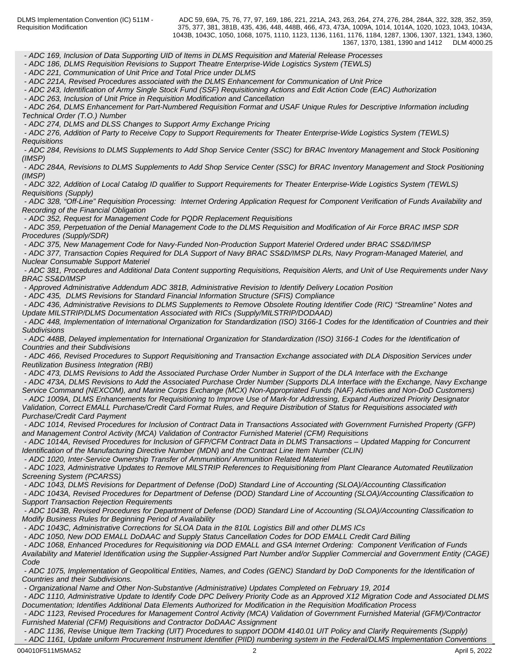*- ADC 169, Inclusion of Data Supporting UID of Items in DLMS Requisition and Material Release Processes*

 *- ADC 186, DLMS Requisition Revisions to Support Theatre Enterprise-Wide Logistics System (TEWLS)*

 *- ADC 221, Communication of Unit Price and Total Price under DLMS*

 *- ADC 221A, Revised Procedures associated with the DLMS Enhancement for Communication of Unit Price*

 *- ADC 243, Identification of Army Single Stock Fund (SSF) Requisitioning Actions and Edit Action Code (EAC) Authorization*

 *- ADC 263, Inclusion of Unit Price in Requisition Modification and Cancellation*

 *- ADC 264, DLMS Enhancement for Part-Numbered Requisition Format and USAF Unique Rules for Descriptive Information including Technical Order (T.O.) Number*

 *- ADC 274, DLMS and DLSS Changes to Support Army Exchange Pricing*

 *- ADC 276, Addition of Party to Receive Copy to Support Requirements for Theater Enterprise-Wide Logistics System (TEWLS) Requisitions*

 *- ADC 284, Revisions to DLMS Supplements to Add Shop Service Center (SSC) for BRAC Inventory Management and Stock Positioning (IMSP)*

 *- ADC 284A, Revisions to DLMS Supplements to Add Shop Service Center (SSC) for BRAC Inventory Management and Stock Positioning (IMSP)*

 *- ADC 322, Addition of Local Catalog ID qualifier to Support Requirements for Theater Enterprise-Wide Logistics System (TEWLS) Requisitions (Supply)*

 *- ADC 328, "Off-Line" Requisition Processing: Internet Ordering Application Request for Component Verification of Funds Availability and Recording of the Financial Obligation*

 *- ADC 352, Request for Management Code for PQDR Replacement Requisitions*

 *- ADC 359, Perpetuation of the Denial Management Code to the DLMS Requisition and Modification of Air Force BRAC IMSP SDR Procedures (Supply/SDR)*

 *- ADC 375, New Management Code for Navy-Funded Non-Production Support Materiel Ordered under BRAC SS&D/IMSP*

 *- ADC 377, Transaction Copies Required for DLA Support of Navy BRAC SS&D/IMSP DLRs, Navy Program-Managed Materiel, and Nuclear Consumable Support Materiel*

 *- ADC 381, Procedures and Additional Data Content supporting Requisitions, Requisition Alerts, and Unit of Use Requirements under Navy BRAC SS&D/IMSP*

 *- Approved Administrative Addendum ADC 381B, Administrative Revision to Identify Delivery Location Position*

 *- ADC 435, DLMS Revisions for Standard Financial Information Structure (SFIS) Compliance* 

 *- ADC 436, Administrative Revisions to DLMS Supplements to Remove Obsolete Routing Identifier Code (RIC) "Streamline" Notes and Update MILSTRIP/DLMS Documentation Associated with RICs (Supply/MILSTRIP/DODAAD)*

 *- ADC 448, Implementation of International Organization for Standardization (ISO) 3166-1 Codes for the Identification of Countries and their Subdivisions*

 *- ADC 448B, Delayed implementation for International Organization for Standardization (ISO) 3166-1 Codes for the Identification of Countries and their Subdivisions*

 *- ADC 466, Revised Procedures to Support Requisitioning and Transaction Exchange associated with DLA Disposition Services under Reutilization Business Integration (RBI)*

 *- ADC 473, DLMS Revisions to Add the Associated Purchase Order Number in Support of the DLA Interface with the Exchange*

 *- ADC 473A, DLMS Revisions to Add the Associated Purchase Order Number (Supports DLA Interface with the Exchange, Navy Exchange Service Command (NEXCOM), and Marine Corps Exchange (MCX) Non-Appropriated Funds (NAF) Activities and Non-DoD Customers) - ADC 1009A, DLMS Enhancements for Requisitioning to Improve Use of Mark-for Addressing, Expand Authorized Priority Designator Validation, Correct EMALL Purchase/Credit Card Format Rules, and Require Distribution of Status for Requisitions associated with Purchase/Credit Card Payment*

 *- ADC 1014, Revised Procedures for Inclusion of Contract Data in Transactions Associated with Government Furnished Property (GFP) and Management Control Activity (MCA) Validation of Contractor Furnished Materiel (CFM) Requisitions*

 *- ADC 1014A, Revised Procedures for Inclusion of GFP/CFM Contract Data in DLMS Transactions – Updated Mapping for Concurrent Identification of the Manufacturing Directive Number (MDN) and the Contract Line Item Number (CLIN)*

 *- ADC 1020, Inter-Service Ownership Transfer of Ammunition/ Ammunition Related Materiel*

 *- ADC 1023, Administrative Updates to Remove MILSTRIP References to Requisitioning from Plant Clearance Automated Reutilization Screening System (PCARSS)*

 *- ADC 1043, DLMS Revisions for Department of Defense (DoD) Standard Line of Accounting (SLOA)/Accounting Classification*

 *- ADC 1043A, Revised Procedures for Department of Defense (DOD) Standard Line of Accounting (SLOA)/Accounting Classification to Support Transaction Rejection Requirements*

 *- ADC 1043B, Revised Procedures for Department of Defense (DOD) Standard Line of Accounting (SLOA)/Accounting Classification to Modify Business Rules for Beginning Period of Availability*

 *- ADC 1043C, Administrative Corrections for SLOA Data in the 810L Logistics Bill and other DLMS ICs*

 *- ADC 1050, New DOD EMALL DoDAAC and Supply Status Cancellation Codes for DOD EMALL Credit Card Billing*

 *- ADC 1068, Enhanced Procedures for Requisitioning via DOD EMALL and GSA Internet Ordering: Component Verification of Funds Availability and Materiel Identification using the Supplier-Assigned Part Number and/or Supplier Commercial and Government Entity (CAGE) Code*

 *- ADC 1075, Implementation of Geopolitical Entities, Names, and Codes (GENC) Standard by DoD Components for the Identification of Countries and their Subdivisions.*

 *- Organizational Name and Other Non-Substantive (Administrative) Updates Completed on February 19, 2014*

 *- ADC 1110, Administrative Update to Identify Code DPC Delivery Priority Code as an Approved X12 Migration Code and Associated DLMS Documentation; Identifies Additional Data Elements Authorized for Modification in the Requisition Modification Process*

 *- ADC 1123, Revised Procedures for Management Control Activity (MCA) Validation of Government Furnished Material (GFM)/Contractor Furnished Material (CFM) Requisitions and Contractor DoDAAC Assignment*

 *- ADC 1136, Revise Unique Item Tracking (UIT) Procedures to support DODM 4140.01 UIT Policy and Clarify Requirements (Supply) - ADC 1161, Update uniform Procurement Instrument Identifier (PIID) numbering system in the Federal/DLMS Implementation Conventions*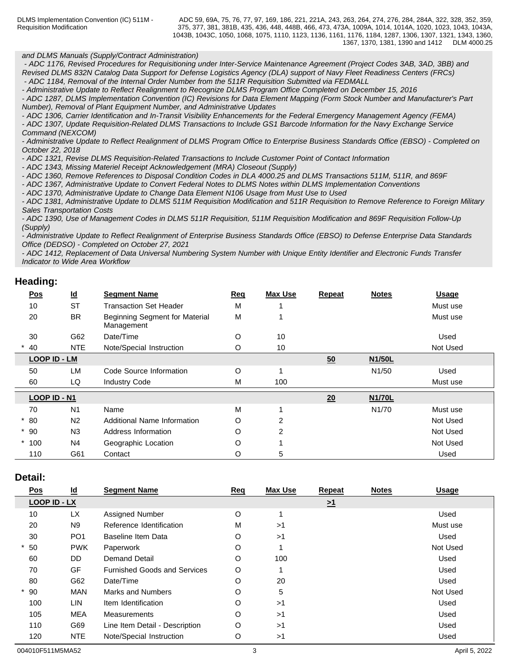DLMS Implementation Convention (IC) 511M - Requisition Modification

#### *and DLMS Manuals (Supply/Contract Administration)*

 *- ADC 1176, Revised Procedures for Requisitioning under Inter-Service Maintenance Agreement (Project Codes 3AB, 3AD, 3BB) and Revised DLMS 832N Catalog Data Support for Defense Logistics Agency (DLA) support of Navy Fleet Readiness Centers (FRCs)*

 *- ADC 1184, Removal of the Internal Order Number from the 511R Requisition Submitted via FEDMALL*

*- Administrative Update to Reflect Realignment to Recognize DLMS Program Office Completed on December 15, 2016 - ADC 1287, DLMS Implementation Convention (IC) Revisions for Data Element Mapping (Form Stock Number and Manufacturer's Part Number), Removal of Plant Equipment Number, and Administrative Updates*

*- ADC 1306, Carrier Identification and In-Transit Visibility Enhancements for the Federal Emergency Management Agency (FEMA) - ADC 1307, Update Requisition-Related DLMS Transactions to Include GS1 Barcode Information for the Navy Exchange Service Command (NEXCOM)*

*- Administrative Update to Reflect Realignment of DLMS Program Office to Enterprise Business Standards Office (EBSO) - Completed on October 22, 2018*

*- ADC 1321, Revise DLMS Requisition-Related Transactions to Include Customer Point of Contact Information*

*- ADC 1343, Missing Materiel Receipt Acknowledgement (MRA) Closeout (Supply)*

*- ADC 1360, Remove References to Disposal Condition Codes in DLA 4000.25 and DLMS Transactions 511M, 511R, and 869F*

- *ADC 1367, Administrative Update to Convert Federal Notes to DLMS Notes within DLMS Implementation Conventions*
- *ADC 1370, Administrative Update to Change Data Element N106 Usage from Must Use to Used*

*- ADC 1381, Administrative Update to DLMS 511M Requisition Modification and 511R Requisition to Remove Reference to Foreign Military Sales Transportation Costs*

*- ADC 1390, Use of Management Codes in DLMS 511R Requisition, 511M Requisition Modification and 869F Requisition Follow-Up (Supply)*

*- Administrative Update to Reflect Realignment of Enterprise Business Standards Office (EBSO) to Defense Enterprise Data Standards Office (DEDSO) - Completed on October 27, 2021*

*- ADC 1412, Replacement of Data Universal Numbering System Number with Unique Entity Identifier and Electronic Funds Transfer Indicator to Wide Area Workflow*

## **Heading:**

| Pos          | $\underline{\mathsf{Id}}$ | <b>Segment Name</b>                          | <b>Req</b> | <b>Max Use</b> | <b>Repeat</b> | <b>Notes</b>       | <b>Usage</b> |
|--------------|---------------------------|----------------------------------------------|------------|----------------|---------------|--------------------|--------------|
| 10           | <b>ST</b>                 | <b>Transaction Set Header</b>                | M          |                |               |                    | Must use     |
| 20           | <b>BR</b>                 | Beginning Segment for Material<br>Management | M          |                |               |                    | Must use     |
| 30           | G62                       | Date/Time                                    | O          | 10             |               |                    | Used         |
| 40           | <b>NTE</b>                | Note/Special Instruction                     | O          | 10             |               |                    | Not Used     |
| LOOP ID - LM |                           |                                              |            |                | 50            | <b>N1/50L</b>      |              |
| 50           | LM                        | Code Source Information                      | O          |                |               | N <sub>1</sub> /50 | Used         |
| 60           | LQ                        | <b>Industry Code</b>                         | М          | 100            |               |                    | Must use     |
| LOOP ID - N1 |                           |                                              |            |                | 20            | <b>N1/70L</b>      |              |
| 70           | N <sub>1</sub>            | Name                                         | M          |                |               | N1/70              | Must use     |
| $*80$        | N <sub>2</sub>            | Additional Name Information                  | O          | 2              |               |                    | Not Used     |
| $*90$        | N <sub>3</sub>            | Address Information                          | O          | $\overline{2}$ |               |                    | Not Used     |
| $*100$       | N <sub>4</sub>            | Geographic Location                          | O          |                |               |                    | Not Used     |
| 110          | G61                       | Contact                                      | O          | 5              |               |                    | Used         |

### **Detail:**

| <b>Pos</b>          | $\underline{\mathsf{Id}}$ | <b>Segment Name</b>                 | Req | <b>Max Use</b> | <b>Repeat</b> | <b>Notes</b> | <b>Usage</b> |
|---------------------|---------------------------|-------------------------------------|-----|----------------|---------------|--------------|--------------|
| <b>LOOP ID - LX</b> |                           |                                     |     |                | $\geq 1$      |              |              |
| 10                  | <b>LX</b>                 | Assigned Number                     | O   |                |               |              | Used         |
| 20                  | N <sub>9</sub>            | Reference Identification            | M   | >1             |               |              | Must use     |
| 30                  | PO <sub>1</sub>           | <b>Baseline Item Data</b>           | O   | >1             |               |              | Used         |
| 50                  | <b>PWK</b>                | Paperwork                           | O   |                |               |              | Not Used     |
| 60                  | <b>DD</b>                 | <b>Demand Detail</b>                | O   | 100            |               |              | Used         |
| 70                  | GF                        | <b>Furnished Goods and Services</b> | O   |                |               |              | Used         |
| 80                  | G62                       | Date/Time                           | O   | 20             |               |              | Used         |
| $*90$               | <b>MAN</b>                | Marks and Numbers                   | O   | 5              |               |              | Not Used     |
| 100                 | LIN                       | Item Identification                 | O   | >1             |               |              | Used         |
| 105                 | <b>MEA</b>                | Measurements                        | O   | >1             |               |              | Used         |
| 110                 | G69                       | Line Item Detail - Description      | O   | >1             |               |              | Used         |
| 120                 | <b>NTE</b>                | Note/Special Instruction            | O   | >1             |               |              | Used         |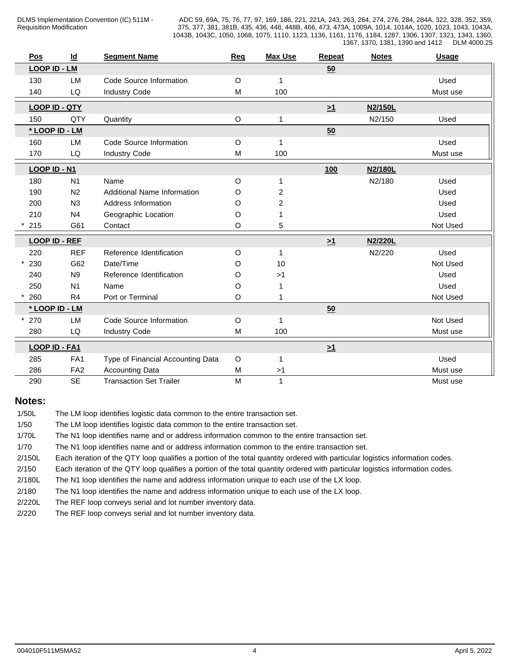|           | Pos                  | $\underline{\mathsf{Id}}$ | <b>Segment Name</b>                | Req         | <b>Max Use</b> | Repeat   | <b>Notes</b> | <b>Usage</b> |
|-----------|----------------------|---------------------------|------------------------------------|-------------|----------------|----------|--------------|--------------|
|           | <b>LOOP ID - LM</b>  |                           |                                    |             |                | 50       |              |              |
|           | 130                  | LM                        | Code Source Information            | $\mathsf O$ | 1              |          |              | Used         |
|           | 140                  | LQ                        | <b>Industry Code</b>               | M           | 100            |          |              | Must use     |
|           | <b>LOOP ID - QTY</b> |                           |                                    |             |                | $\geq 1$ | N2/150L      |              |
|           | 150                  | QTY                       | Quantity                           | $\mathsf O$ |                |          | N2/150       | Used         |
|           | * LOOP ID - LM       |                           |                                    |             |                | 50       |              |              |
|           | 160                  | LM                        | Code Source Information            | O           | $\mathbf 1$    |          |              | Used         |
| LQ<br>170 |                      |                           | <b>Industry Code</b>               | M           | 100            |          |              | Must use     |
|           | LOOP ID - N1         |                           |                                    |             |                | 100      | N2/180L      |              |
|           | 180                  | N <sub>1</sub>            | Name                               | $\circ$     |                |          | N2/180       | Used         |
|           | 190                  | N <sub>2</sub>            | <b>Additional Name Information</b> | O           | 2              |          |              | Used         |
|           | 200                  | N3                        | Address Information                | O           | 2              |          |              | Used         |
|           | 210                  | N <sub>4</sub>            | Geographic Location                | $\circ$     |                |          |              | Used         |
|           | 215                  | G61                       | Contact                            | $\circ$     | 5              |          |              | Not Used     |
|           | <b>LOOP ID - REF</b> |                           |                                    |             |                | $\geq 1$ | N2/220L      |              |
|           | 220                  | <b>REF</b>                | Reference Identification           | $\mathsf O$ |                |          | N2/220       | Used         |
|           | 230                  | G62                       | Date/Time                          | O           | 10             |          |              | Not Used     |
|           | 240                  | N <sub>9</sub>            | Reference Identification           | $\circ$     | >1             |          |              | Used         |
|           | 250                  | N <sub>1</sub>            | Name                               | $\circ$     |                |          |              | Used         |
|           | 260                  | R <sub>4</sub>            | Port or Terminal                   | $\circ$     |                |          |              | Not Used     |
|           | * LOOP ID - LM       |                           |                                    |             |                | 50       |              |              |
|           | 270                  | LM                        | Code Source Information            | $\mathsf O$ | $\mathbf{1}$   |          |              | Not Used     |
|           | 280                  | LQ                        | <b>Industry Code</b>               | M           | 100            |          |              | Must use     |
|           | LOOP ID - FA1        |                           |                                    |             |                | $\geq 1$ |              |              |
|           | 285                  | FA <sub>1</sub>           | Type of Financial Accounting Data  | $\circ$     |                |          |              | Used         |
|           | 286                  | FA <sub>2</sub>           | <b>Accounting Data</b>             | М           | >1             |          |              | Must use     |
|           | 290                  | <b>SE</b>                 | <b>Transaction Set Trailer</b>     | M           | $\mathbf{1}$   |          |              | Must use     |

## **Notes:**

1/50L The LM loop identifies logistic data common to the entire transaction set. 1/50 The LM loop identifies logistic data common to the entire transaction set. 1/70L The N1 loop identifies name and or address information common to the entire transaction set. 1/70 The N1 loop identifies name and or address information common to the entire transaction set. 2/150L Each iteration of the QTY loop qualifies a portion of the total quantity ordered with particular logistics information codes. 2/150 Each iteration of the QTY loop qualifies a portion of the total quantity ordered with particular logistics information codes. 2/180L The N1 loop identifies the name and address information unique to each use of the LX loop. 2/180 The N1 loop identifies the name and address information unique to each use of the LX loop. 2/220L The REF loop conveys serial and lot number inventory data. 2/220 The REF loop conveys serial and lot number inventory data.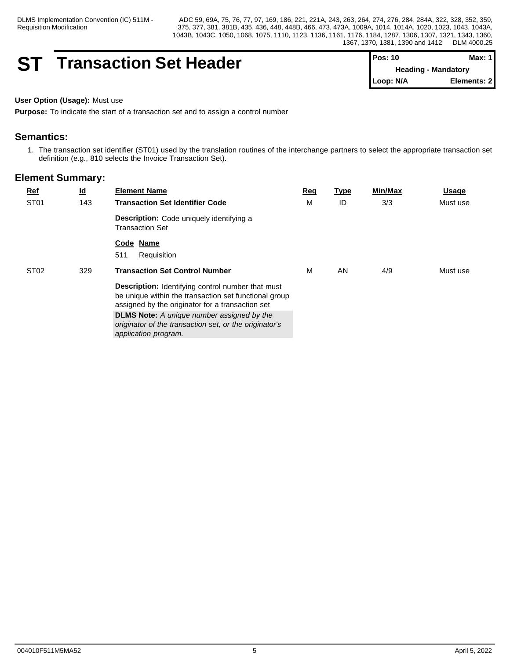## **ST Transaction Set Header**

| $Pos: 10$                  | Max: 1       |
|----------------------------|--------------|
| <b>Heading - Mandatory</b> |              |
| Loop: N/A                  | Elements: 21 |

#### **User Option (Usage):** Must use

**Purpose:** To indicate the start of a transaction set and to assign a control number

## **Semantics:**

1. The transaction set identifier (ST01) used by the translation routines of the interchange partners to select the appropriate transaction set definition (e.g., 810 selects the Invoice Transaction Set).

|  | $Ref$                   | $\underline{\mathsf{Id}}$ | <b>Element Name</b>                                                                                                                                                                                            | Req | <b>Type</b> | <b>Min/Max</b> | <b>Usage</b> |
|--|-------------------------|---------------------------|----------------------------------------------------------------------------------------------------------------------------------------------------------------------------------------------------------------|-----|-------------|----------------|--------------|
|  | ST <sub>01</sub>        | 143                       | <b>Transaction Set Identifier Code</b>                                                                                                                                                                         | м   | ID          | 3/3            | Must use     |
|  |                         |                           | <b>Description:</b> Code uniquely identifying a<br><b>Transaction Set</b>                                                                                                                                      |     |             |                |              |
|  |                         |                           | Code Name<br>Requisition<br>511                                                                                                                                                                                |     |             |                |              |
|  | ST <sub>02</sub><br>329 |                           | <b>Transaction Set Control Number</b><br><b>Description:</b> Identifying control number that must<br>be unique within the transaction set functional group<br>assigned by the originator for a transaction set |     | AN          | 4/9            | Must use     |
|  |                         |                           |                                                                                                                                                                                                                |     |             |                |              |
|  |                         |                           | <b>DLMS Note:</b> A unique number assigned by the<br>originator of the transaction set, or the originator's<br>application program.                                                                            |     |             |                |              |
|  |                         |                           |                                                                                                                                                                                                                |     |             |                |              |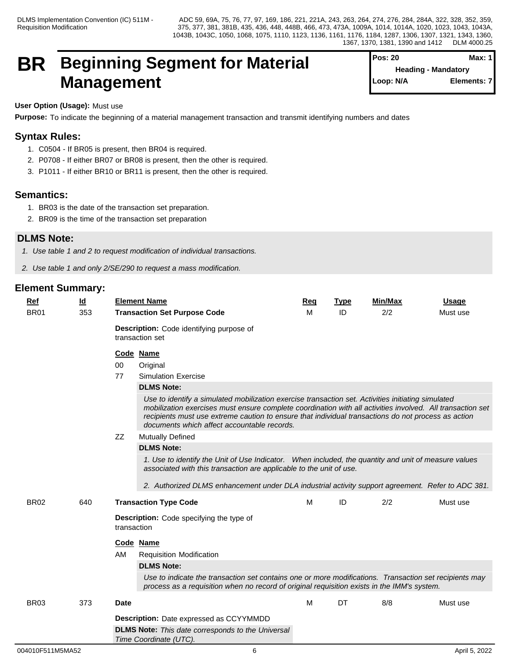## **BR Beginning Segment for Material Management**

| <b>Pos: 20</b> | Max: 1                     |
|----------------|----------------------------|
|                | <b>Heading - Mandatory</b> |
| Loop: N/A      | Elements: 7                |

## **User Option (Usage):** Must use

**Purpose:** To indicate the beginning of a material management transaction and transmit identifying numbers and dates

## **Syntax Rules:**

- 1. C0504 If BR05 is present, then BR04 is required.
- 2. P0708 If either BR07 or BR08 is present, then the other is required.
- 3. P1011 If either BR10 or BR11 is present, then the other is required.

## **Semantics:**

- 1. BR03 is the date of the transaction set preparation.
- 2. BR09 is the time of the transaction set preparation

## **DLMS Note:**

- *1. Use table 1 and 2 to request modification of individual transactions.*
- *2. Use table 1 and only 2/SE/290 to request a mass modification.*

| $Ref$       | $\underline{\mathsf{Id}}$ | <b>Element Name</b>                                                                                                                                                                                                                                                                                                                                | <b>Req</b>                                                                                                                                                                                                                                                                                                                                                                                                                                                                                                                                            | <b>Type</b> | Min/Max | <b>Usage</b> |  |  |  |  |
|-------------|---------------------------|----------------------------------------------------------------------------------------------------------------------------------------------------------------------------------------------------------------------------------------------------------------------------------------------------------------------------------------------------|-------------------------------------------------------------------------------------------------------------------------------------------------------------------------------------------------------------------------------------------------------------------------------------------------------------------------------------------------------------------------------------------------------------------------------------------------------------------------------------------------------------------------------------------------------|-------------|---------|--------------|--|--|--|--|
| <b>BR01</b> | 353                       | <b>Transaction Set Purpose Code</b>                                                                                                                                                                                                                                                                                                                | м                                                                                                                                                                                                                                                                                                                                                                                                                                                                                                                                                     | ID          | 2/2     | Must use     |  |  |  |  |
|             |                           | Description: Code identifying purpose of<br>transaction set                                                                                                                                                                                                                                                                                        |                                                                                                                                                                                                                                                                                                                                                                                                                                                                                                                                                       |             |         |              |  |  |  |  |
|             |                           | Code Name<br>00<br>Original<br>77<br><b>Simulation Exercise</b><br><b>DLMS Note:</b><br>ZZ<br><b>Mutually Defined</b><br><b>DLMS Note:</b>                                                                                                                                                                                                         | Use to identify a simulated mobilization exercise transaction set. Activities initiating simulated<br>mobilization exercises must ensure complete coordination with all activities involved. All transaction set<br>recipients must use extreme caution to ensure that individual transactions do not process as action<br>documents which affect accountable records.<br>1. Use to identify the Unit of Use Indicator. When included, the quantity and unit of measure values<br>associated with this transaction are applicable to the unit of use. |             |         |              |  |  |  |  |
| <b>BR02</b> | 640                       | 2. Authorized DLMS enhancement under DLA industrial activity support agreement. Refer to ADC 381.<br><b>Transaction Type Code</b>                                                                                                                                                                                                                  | M                                                                                                                                                                                                                                                                                                                                                                                                                                                                                                                                                     | ID          | 2/2     | Must use     |  |  |  |  |
|             |                           | <b>Description:</b> Code specifying the type of<br>transaction<br>Code Name<br>AM<br><b>Requisition Modification</b><br><b>DLMS Note:</b><br>Use to indicate the transaction set contains one or more modifications. Transaction set recipients may<br>process as a requisition when no record of original requisition exists in the IMM's system. |                                                                                                                                                                                                                                                                                                                                                                                                                                                                                                                                                       |             |         |              |  |  |  |  |
| <b>BR03</b> | 373                       | <b>Date</b><br><b>Description:</b> Date expressed as CCYYMMDD<br><b>DLMS Note:</b> This date corresponds to the Universal<br>Time Coordinate (UTC).                                                                                                                                                                                                | M                                                                                                                                                                                                                                                                                                                                                                                                                                                                                                                                                     | DT          | 8/8     | Must use     |  |  |  |  |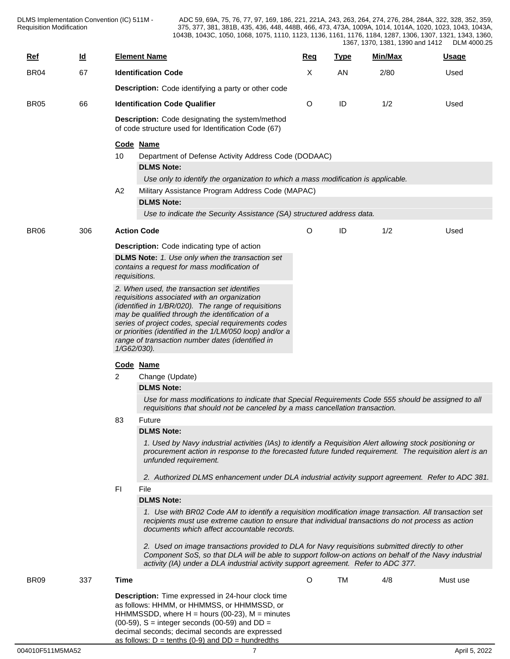| $Ref$       | $\underline{\mathsf{Id}}$ |                                                     | <b>Element Name</b>                                                                                                                                                                                                                                                                            | <b>Reg</b> | <b>Type</b> | Min/Max | <b>Usage</b> |  |  |  |
|-------------|---------------------------|-----------------------------------------------------|------------------------------------------------------------------------------------------------------------------------------------------------------------------------------------------------------------------------------------------------------------------------------------------------|------------|-------------|---------|--------------|--|--|--|
| <b>BR04</b> | 67                        |                                                     | <b>Identification Code</b>                                                                                                                                                                                                                                                                     | Χ          | AN          | 2/80    | Used         |  |  |  |
|             |                           |                                                     | <b>Description:</b> Code identifying a party or other code                                                                                                                                                                                                                                     |            |             |         |              |  |  |  |
| <b>BR05</b> | 66                        |                                                     | <b>Identification Code Qualifier</b>                                                                                                                                                                                                                                                           | O          | ID          | 1/2     | Used         |  |  |  |
|             |                           |                                                     | <b>Description:</b> Code designating the system/method                                                                                                                                                                                                                                         |            |             |         |              |  |  |  |
|             |                           | of code structure used for Identification Code (67) |                                                                                                                                                                                                                                                                                                |            |             |         |              |  |  |  |
|             |                           | Code Name                                           |                                                                                                                                                                                                                                                                                                |            |             |         |              |  |  |  |
|             |                           | 10                                                  | Department of Defense Activity Address Code (DODAAC)                                                                                                                                                                                                                                           |            |             |         |              |  |  |  |
|             |                           |                                                     | <b>DLMS Note:</b>                                                                                                                                                                                                                                                                              |            |             |         |              |  |  |  |
|             |                           | A <sub>2</sub>                                      | Use only to identify the organization to which a mass modification is applicable.<br>Military Assistance Program Address Code (MAPAC)                                                                                                                                                          |            |             |         |              |  |  |  |
|             |                           |                                                     | <b>DLMS Note:</b>                                                                                                                                                                                                                                                                              |            |             |         |              |  |  |  |
|             |                           |                                                     | Use to indicate the Security Assistance (SA) structured address data.                                                                                                                                                                                                                          |            |             |         |              |  |  |  |
|             |                           |                                                     |                                                                                                                                                                                                                                                                                                |            |             |         |              |  |  |  |
| <b>BR06</b> | 306                       |                                                     | <b>Action Code</b>                                                                                                                                                                                                                                                                             | O          | ID          | 1/2     | Used         |  |  |  |
|             |                           |                                                     | <b>Description:</b> Code indicating type of action                                                                                                                                                                                                                                             |            |             |         |              |  |  |  |
|             |                           |                                                     | <b>DLMS Note:</b> 1. Use only when the transaction set<br>contains a request for mass modification of<br>requisitions.                                                                                                                                                                         |            |             |         |              |  |  |  |
|             |                           |                                                     | 2. When used, the transaction set identifies                                                                                                                                                                                                                                                   |            |             |         |              |  |  |  |
|             |                           |                                                     | requisitions associated with an organization                                                                                                                                                                                                                                                   |            |             |         |              |  |  |  |
|             |                           |                                                     | (identified in 1/BR/020). The range of requisitions<br>may be qualified through the identification of a<br>series of project codes, special requirements codes<br>or priorities (identified in the 1/LM/050 loop) and/or a                                                                     |            |             |         |              |  |  |  |
|             |                           |                                                     |                                                                                                                                                                                                                                                                                                |            |             |         |              |  |  |  |
|             |                           | range of transaction number dates (identified in    |                                                                                                                                                                                                                                                                                                |            |             |         |              |  |  |  |
|             |                           | 1/G62/030).                                         |                                                                                                                                                                                                                                                                                                |            |             |         |              |  |  |  |
|             |                           |                                                     | Code Name                                                                                                                                                                                                                                                                                      |            |             |         |              |  |  |  |
|             |                           | 2                                                   | Change (Update)                                                                                                                                                                                                                                                                                |            |             |         |              |  |  |  |
|             |                           |                                                     | <b>DLMS Note:</b>                                                                                                                                                                                                                                                                              |            |             |         |              |  |  |  |
|             |                           |                                                     | Use for mass modifications to indicate that Special Requirements Code 555 should be assigned to all<br>requisitions that should not be canceled by a mass cancellation transaction.                                                                                                            |            |             |         |              |  |  |  |
|             |                           | 83                                                  | Future                                                                                                                                                                                                                                                                                         |            |             |         |              |  |  |  |
|             |                           |                                                     | <b>DLMS Note:</b>                                                                                                                                                                                                                                                                              |            |             |         |              |  |  |  |
|             |                           |                                                     | 1. Used by Navy industrial activities (IAs) to identify a Requisition Alert allowing stock positioning or<br>procurement action in response to the forecasted future funded requirement. The requisition alert is an<br>unfunded requirement.                                                  |            |             |         |              |  |  |  |
|             |                           |                                                     | 2. Authorized DLMS enhancement under DLA industrial activity support agreement. Refer to ADC 381.                                                                                                                                                                                              |            |             |         |              |  |  |  |
|             |                           | FI                                                  | File                                                                                                                                                                                                                                                                                           |            |             |         |              |  |  |  |
|             |                           |                                                     | <b>DLMS Note:</b>                                                                                                                                                                                                                                                                              |            |             |         |              |  |  |  |
|             |                           |                                                     | 1. Use with BR02 Code AM to identify a requisition modification image transaction. All transaction set<br>recipients must use extreme caution to ensure that individual transactions do not process as action<br>documents which affect accountable records.                                   |            |             |         |              |  |  |  |
|             |                           |                                                     | 2. Used on image transactions provided to DLA for Navy requisitions submitted directly to other<br>Component SoS, so that DLA will be able to support follow-on actions on behalf of the Navy industrial<br>activity (IA) under a DLA industrial activity support agreement. Refer to ADC 377. |            |             |         |              |  |  |  |
|             |                           |                                                     |                                                                                                                                                                                                                                                                                                |            |             | 4/8     |              |  |  |  |
| <b>BR09</b> | 337                       | Time                                                |                                                                                                                                                                                                                                                                                                | $\circ$    | TM          |         | Must use     |  |  |  |
|             |                           |                                                     | Description: Time expressed in 24-hour clock time<br>as follows: HHMM, or HHMMSS, or HHMMSSD, or                                                                                                                                                                                               |            |             |         |              |  |  |  |
|             |                           |                                                     | HHMMSSDD, where $H =$ hours (00-23), $M =$ minutes                                                                                                                                                                                                                                             |            |             |         |              |  |  |  |
|             |                           |                                                     | $(00-59)$ , S = integer seconds $(00-59)$ and DD =<br>decimal seconds; decimal seconds are expressed                                                                                                                                                                                           |            |             |         |              |  |  |  |

as follows:  $D = \text{tenths}$  (0-9) and  $DD = \text{hundredths}$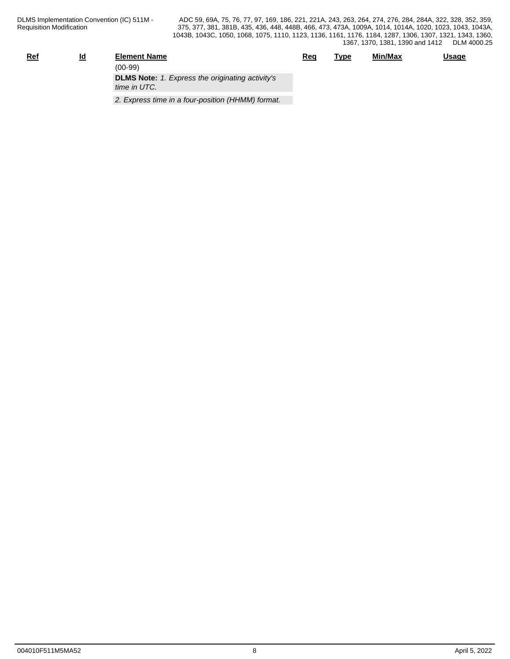| <u>Ref</u> | <u>ld</u> | <b>Element Name</b>                                                     | <u>Req</u> | <u>Type</u> | Min/Max | <b>Usage</b> |
|------------|-----------|-------------------------------------------------------------------------|------------|-------------|---------|--------------|
|            |           | $(00-99)$                                                               |            |             |         |              |
|            |           | <b>DLMS Note:</b> 1. Express the originating activity's<br>time in UTC. |            |             |         |              |
|            |           | 2. Express time in a four-position (HHMM) format.                       |            |             |         |              |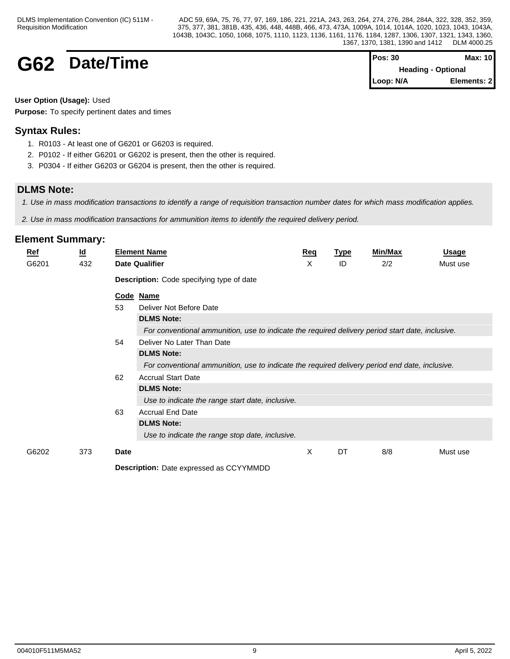## **G62 Date/Time Pos: 30 Max: 10 Pos: 30 Max: 10**

**Heading - Optional Loop: N/A Elements: 2**

### **User Option (Usage):** Used

**Purpose:** To specify pertinent dates and times

## **Syntax Rules:**

- 1. R0103 At least one of G6201 or G6203 is required.
- 2. P0102 If either G6201 or G6202 is present, then the other is required.
- 3. P0304 If either G6203 or G6204 is present, then the other is required.

## **DLMS Note:**

*1. Use in mass modification transactions to identify a range of requisition transaction number dates for which mass modification applies.*

*2. Use in mass modification transactions for ammunition items to identify the required delivery period.*

| <b>Ref</b> | $\underline{\mathsf{Id}}$ |             | <b>Element Name</b>                                                                              | <u>Req</u> | <b>Type</b> | Min/Max | <b>Usage</b> |
|------------|---------------------------|-------------|--------------------------------------------------------------------------------------------------|------------|-------------|---------|--------------|
| G6201      | 432                       |             | <b>Date Qualifier</b>                                                                            | х          | ID          | 2/2     | Must use     |
|            |                           |             | <b>Description:</b> Code specifying type of date                                                 |            |             |         |              |
|            |                           |             | Code Name                                                                                        |            |             |         |              |
|            |                           | 53          | Deliver Not Before Date                                                                          |            |             |         |              |
|            |                           |             | <b>DLMS Note:</b>                                                                                |            |             |         |              |
|            |                           |             | For conventional ammunition, use to indicate the required delivery period start date, inclusive. |            |             |         |              |
|            |                           | 54          | Deliver No Later Than Date                                                                       |            |             |         |              |
|            |                           |             | <b>DLMS Note:</b>                                                                                |            |             |         |              |
|            |                           |             | For conventional ammunition, use to indicate the required delivery period end date, inclusive.   |            |             |         |              |
|            |                           | 62          | <b>Accrual Start Date</b>                                                                        |            |             |         |              |
|            |                           |             | <b>DLMS Note:</b>                                                                                |            |             |         |              |
|            |                           |             | Use to indicate the range start date, inclusive.                                                 |            |             |         |              |
|            |                           | 63          | <b>Accrual End Date</b>                                                                          |            |             |         |              |
|            |                           |             | <b>DLMS Note:</b>                                                                                |            |             |         |              |
|            |                           |             | Use to indicate the range stop date, inclusive.                                                  |            |             |         |              |
| G6202      | 373                       | <b>Date</b> |                                                                                                  | X          | DT          | 8/8     | Must use     |
|            |                           |             | <b>Description:</b> Date expressed as CCYYMMDD                                                   |            |             |         |              |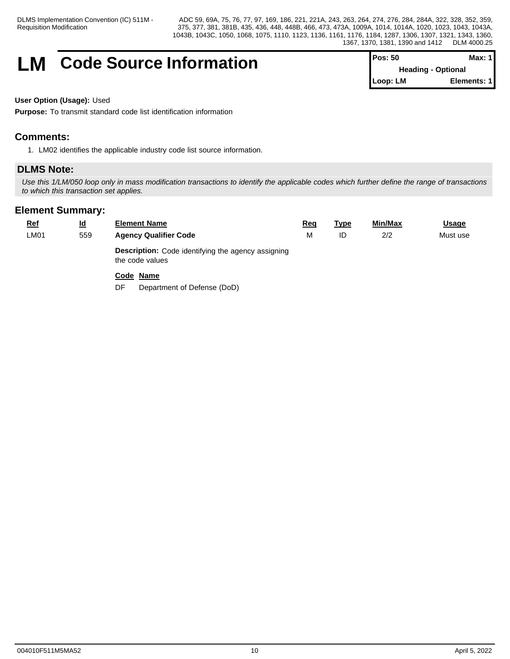## **LM** Code Source Information

| $Pos: 50$                 | Max: 1 I    |  |
|---------------------------|-------------|--|
| <b>Heading - Optional</b> |             |  |
| ∥Loop: LM                 | Elements: 1 |  |

### **User Option (Usage):** Used

**Purpose:** To transmit standard code list identification information

## **Comments:**

1. LM02 identifies the applicable industry code list source information.

## **DLMS Note:**

*Use this 1/LM/050 loop only in mass modification transactions to identify the applicable codes which further define the range of transactions to which this transaction set applies.*

| <u>Ref</u> | $\underline{\mathsf{Id}}$ | <b>Element Name</b>                                                          | Req | <b>Type</b> | Min/Max | <b>Usage</b> |
|------------|---------------------------|------------------------------------------------------------------------------|-----|-------------|---------|--------------|
| LM01       | 559                       | <b>Agency Qualifier Code</b>                                                 |     | ID          | 2/2     | Must use     |
|            |                           | <b>Description:</b> Code identifying the agency assigning<br>the code values |     |             |         |              |
|            |                           | Code Name                                                                    |     |             |         |              |
|            |                           | Department of Defense (DoD)<br>DF                                            |     |             |         |              |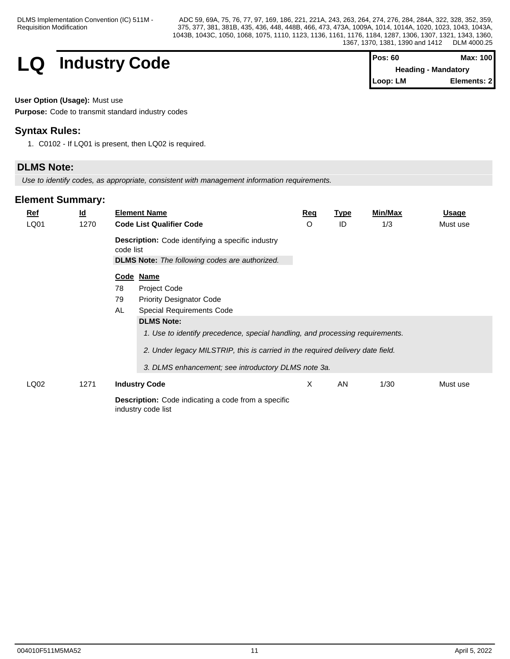

| <b>Pos: 60</b> | Max: 100                   |
|----------------|----------------------------|
|                | <b>Heading - Mandatory</b> |
| Loop: LM       | Elements: 2                |

**User Option (Usage):** Must use

**Purpose:** Code to transmit standard industry codes

## **Syntax Rules:**

1. C0102 - If LQ01 is present, then LQ02 is required.

## **DLMS Note:**

*Use to identify codes, as appropriate, consistent with management information requirements.*

| <u>Ref</u> | $\underline{\mathsf{Id}}$ |           | <b>Element Name</b>                                                                                               | <b>Req</b> | <b>Type</b> | <b>Min/Max</b> | Usage    |
|------------|---------------------------|-----------|-------------------------------------------------------------------------------------------------------------------|------------|-------------|----------------|----------|
| LQ01       | 1270                      |           | <b>Code List Qualifier Code</b>                                                                                   | O          | ID          | 1/3            | Must use |
|            |                           | code list | <b>Description:</b> Code identifying a specific industry<br><b>DLMS Note:</b> The following codes are authorized. |            |             |                |          |
|            |                           |           | Code Name                                                                                                         |            |             |                |          |
|            |                           | 78        | Project Code                                                                                                      |            |             |                |          |
|            |                           | 79        | <b>Priority Designator Code</b>                                                                                   |            |             |                |          |
|            |                           | AL        | Special Requirements Code                                                                                         |            |             |                |          |
|            |                           |           | <b>DLMS Note:</b>                                                                                                 |            |             |                |          |
|            |                           |           | 1. Use to identify precedence, special handling, and processing requirements.                                     |            |             |                |          |
|            |                           |           | 2. Under legacy MILSTRIP, this is carried in the required delivery date field.                                    |            |             |                |          |
|            |                           |           | 3. DLMS enhancement; see introductory DLMS note 3a.                                                               |            |             |                |          |
| LQ02       | 1271                      |           | <b>Industry Code</b>                                                                                              | X          | AN          | 1/30           | Must use |
|            |                           |           | <b>Description:</b> Code indicating a code from a specific<br>industry code list                                  |            |             |                |          |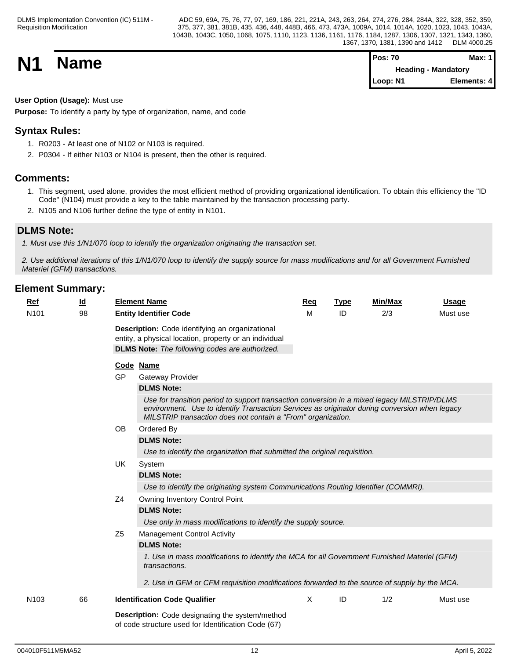**N1 Name Pos: 70 Max: 1 Max: 1 Max: 1 Max: 1 Max: 1 Max: 1 Max: 1 Max: 1 Max: 1 Heading - Mandatory Loop: N1 Elements: 4**

## **User Option (Usage):** Must use

**Purpose:** To identify a party by type of organization, name, and code

## **Syntax Rules:**

- 1. R0203 At least one of N102 or N103 is required.
- 2. P0304 If either N103 or N104 is present, then the other is required.

## **Comments:**

- 1. This segment, used alone, provides the most efficient method of providing organizational identification. To obtain this efficiency the "ID Code" (N104) must provide a key to the table maintained by the transaction processing party.
- 2. N105 and N106 further define the type of entity in N101.

## **DLMS Note:**

*1. Must use this 1/N1/070 loop to identify the organization originating the transaction set.*

*2. Use additional iterations of this 1/N1/070 loop to identify the supply source for mass modifications and for all Government Furnished Materiel (GFM) transactions.*

| Ref<br>N <sub>101</sub> | <u>ld</u><br>98 | <b>Element Name</b><br><b>Entity Identifier Code</b>                                                                                                               | Req<br>M                                                                                                                                                                                                                                                     | <b>Type</b><br>ID | <b>Min/Max</b><br>2/3 | <b>Usage</b><br>Must use |  |  |  |  |  |
|-------------------------|-----------------|--------------------------------------------------------------------------------------------------------------------------------------------------------------------|--------------------------------------------------------------------------------------------------------------------------------------------------------------------------------------------------------------------------------------------------------------|-------------------|-----------------------|--------------------------|--|--|--|--|--|
|                         |                 | Description: Code identifying an organizational<br>entity, a physical location, property or an individual<br><b>DLMS Note:</b> The following codes are authorized. |                                                                                                                                                                                                                                                              |                   |                       |                          |  |  |  |  |  |
|                         |                 | Code Name                                                                                                                                                          |                                                                                                                                                                                                                                                              |                   |                       |                          |  |  |  |  |  |
|                         |                 | <b>GP</b><br><b>Gateway Provider</b>                                                                                                                               |                                                                                                                                                                                                                                                              |                   |                       |                          |  |  |  |  |  |
|                         |                 | <b>DLMS Note:</b>                                                                                                                                                  |                                                                                                                                                                                                                                                              |                   |                       |                          |  |  |  |  |  |
|                         |                 |                                                                                                                                                                    | Use for transition period to support transaction conversion in a mixed legacy MILSTRIP/DLMS<br>environment. Use to identify Transaction Services as originator during conversion when legacy<br>MILSTRIP transaction does not contain a "From" organization. |                   |                       |                          |  |  |  |  |  |
|                         |                 | <b>OB</b><br>Ordered By                                                                                                                                            |                                                                                                                                                                                                                                                              |                   |                       |                          |  |  |  |  |  |
|                         |                 | <b>DLMS Note:</b>                                                                                                                                                  |                                                                                                                                                                                                                                                              |                   |                       |                          |  |  |  |  |  |
|                         |                 | Use to identify the organization that submitted the original requisition.                                                                                          |                                                                                                                                                                                                                                                              |                   |                       |                          |  |  |  |  |  |
|                         |                 | UK<br>System                                                                                                                                                       |                                                                                                                                                                                                                                                              |                   |                       |                          |  |  |  |  |  |
|                         |                 | <b>DLMS Note:</b>                                                                                                                                                  |                                                                                                                                                                                                                                                              |                   |                       |                          |  |  |  |  |  |
|                         |                 | Use to identify the originating system Communications Routing Identifier (COMMRI).                                                                                 |                                                                                                                                                                                                                                                              |                   |                       |                          |  |  |  |  |  |
|                         |                 | Z <sub>4</sub><br>Owning Inventory Control Point                                                                                                                   |                                                                                                                                                                                                                                                              |                   |                       |                          |  |  |  |  |  |
|                         |                 | <b>DLMS Note:</b>                                                                                                                                                  |                                                                                                                                                                                                                                                              |                   |                       |                          |  |  |  |  |  |
|                         |                 | Use only in mass modifications to identify the supply source.                                                                                                      |                                                                                                                                                                                                                                                              |                   |                       |                          |  |  |  |  |  |
|                         |                 | Z <sub>5</sub><br><b>Management Control Activity</b>                                                                                                               |                                                                                                                                                                                                                                                              |                   |                       |                          |  |  |  |  |  |
|                         |                 | <b>DLMS Note:</b>                                                                                                                                                  |                                                                                                                                                                                                                                                              |                   |                       |                          |  |  |  |  |  |
|                         |                 | 1. Use in mass modifications to identify the MCA for all Government Furnished Materiel (GFM)<br>transactions.                                                      |                                                                                                                                                                                                                                                              |                   |                       |                          |  |  |  |  |  |
|                         |                 | 2. Use in GFM or CFM requisition modifications forwarded to the source of supply by the MCA.                                                                       |                                                                                                                                                                                                                                                              |                   |                       |                          |  |  |  |  |  |
| N <sub>103</sub>        | 66              | <b>Identification Code Qualifier</b>                                                                                                                               | X                                                                                                                                                                                                                                                            | ID                | 1/2                   | Must use                 |  |  |  |  |  |
|                         |                 | <b>Description:</b> Code designating the system/method<br>of code structure used for Identification Code (67)                                                      |                                                                                                                                                                                                                                                              |                   |                       |                          |  |  |  |  |  |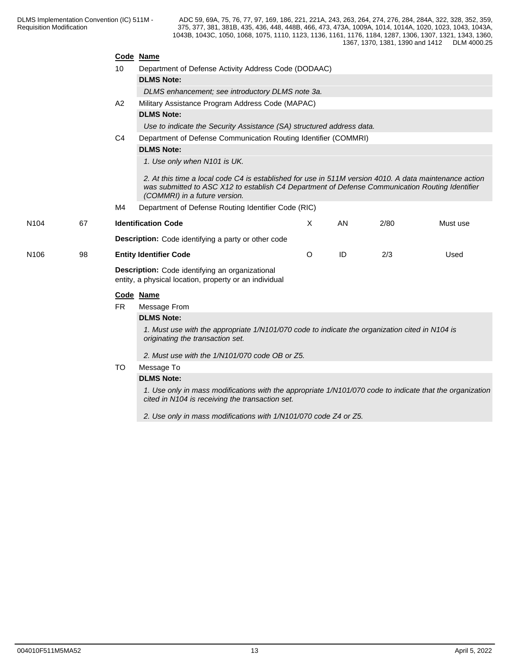|                  |    |                                                                                                                                                             | Code Name                                                                                                                                                                                                                                  |         |    |      |          |  |  |  |  |
|------------------|----|-------------------------------------------------------------------------------------------------------------------------------------------------------------|--------------------------------------------------------------------------------------------------------------------------------------------------------------------------------------------------------------------------------------------|---------|----|------|----------|--|--|--|--|
|                  |    | 10                                                                                                                                                          | Department of Defense Activity Address Code (DODAAC)                                                                                                                                                                                       |         |    |      |          |  |  |  |  |
|                  |    |                                                                                                                                                             | <b>DLMS Note:</b>                                                                                                                                                                                                                          |         |    |      |          |  |  |  |  |
|                  |    |                                                                                                                                                             | DLMS enhancement; see introductory DLMS note 3a.                                                                                                                                                                                           |         |    |      |          |  |  |  |  |
|                  |    | A2                                                                                                                                                          | Military Assistance Program Address Code (MAPAC)                                                                                                                                                                                           |         |    |      |          |  |  |  |  |
|                  |    |                                                                                                                                                             | <b>DLMS Note:</b>                                                                                                                                                                                                                          |         |    |      |          |  |  |  |  |
|                  |    |                                                                                                                                                             | Use to indicate the Security Assistance (SA) structured address data.                                                                                                                                                                      |         |    |      |          |  |  |  |  |
|                  |    | C <sub>4</sub>                                                                                                                                              | Department of Defense Communication Routing Identifier (COMMRI)                                                                                                                                                                            |         |    |      |          |  |  |  |  |
|                  |    |                                                                                                                                                             | <b>DLMS Note:</b>                                                                                                                                                                                                                          |         |    |      |          |  |  |  |  |
|                  |    |                                                                                                                                                             | 1. Use only when N101 is UK.                                                                                                                                                                                                               |         |    |      |          |  |  |  |  |
|                  |    |                                                                                                                                                             | 2. At this time a local code C4 is established for use in 511M version 4010. A data maintenance action<br>was submitted to ASC X12 to establish C4 Department of Defense Communication Routing Identifier<br>(COMMRI) in a future version. |         |    |      |          |  |  |  |  |
|                  |    | M4                                                                                                                                                          | Department of Defense Routing Identifier Code (RIC)                                                                                                                                                                                        |         |    |      |          |  |  |  |  |
| N <sub>104</sub> | 67 |                                                                                                                                                             | <b>Identification Code</b>                                                                                                                                                                                                                 | X       | AN | 2/80 | Must use |  |  |  |  |
|                  |    |                                                                                                                                                             | <b>Description:</b> Code identifying a party or other code                                                                                                                                                                                 |         |    |      |          |  |  |  |  |
| N <sub>106</sub> | 98 |                                                                                                                                                             | <b>Entity Identifier Code</b>                                                                                                                                                                                                              | $\circ$ | ID | 2/3  | Used     |  |  |  |  |
|                  |    | Description: Code identifying an organizational<br>entity, a physical location, property or an individual                                                   |                                                                                                                                                                                                                                            |         |    |      |          |  |  |  |  |
|                  |    |                                                                                                                                                             | Code Name                                                                                                                                                                                                                                  |         |    |      |          |  |  |  |  |
|                  |    | <b>FR</b>                                                                                                                                                   | Message From                                                                                                                                                                                                                               |         |    |      |          |  |  |  |  |
|                  |    |                                                                                                                                                             | <b>DLMS Note:</b>                                                                                                                                                                                                                          |         |    |      |          |  |  |  |  |
|                  |    |                                                                                                                                                             | 1. Must use with the appropriate 1/N101/070 code to indicate the organization cited in N104 is<br>originating the transaction set.                                                                                                         |         |    |      |          |  |  |  |  |
|                  |    |                                                                                                                                                             | 2. Must use with the 1/N101/070 code OB or Z5.                                                                                                                                                                                             |         |    |      |          |  |  |  |  |
|                  |    | TO                                                                                                                                                          | Message To                                                                                                                                                                                                                                 |         |    |      |          |  |  |  |  |
|                  |    |                                                                                                                                                             | <b>DLMS Note:</b>                                                                                                                                                                                                                          |         |    |      |          |  |  |  |  |
|                  |    | 1. Use only in mass modifications with the appropriate 1/N101/070 code to indicate that the organization<br>cited in N104 is receiving the transaction set. |                                                                                                                                                                                                                                            |         |    |      |          |  |  |  |  |

*2. Use only in mass modifications with 1/N101/070 code Z4 or Z5.*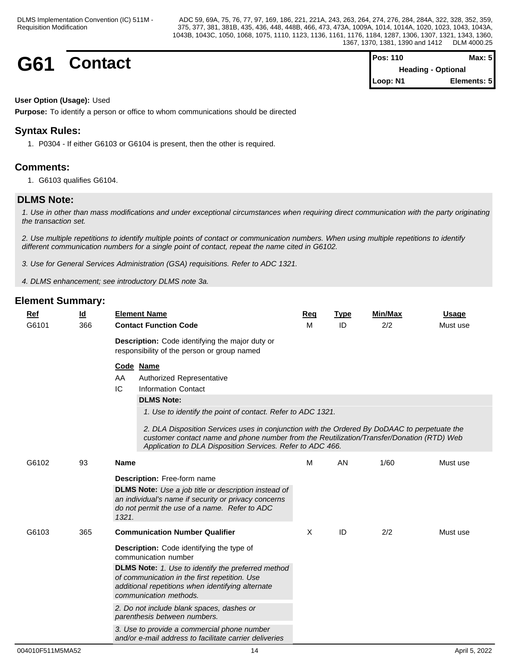**G61 Contact Pos:** 110 **Max:** 5 **Heading - Optional Loop: N1 Elements: 5**

### **User Option (Usage):** Used

**Purpose:** To identify a person or office to whom communications should be directed

## **Syntax Rules:**

1. P0304 - If either G6103 or G6104 is present, then the other is required.

## **Comments:**

1. G6103 qualifies G6104.

## **DLMS Note:**

*1. Use in other than mass modifications and under exceptional circumstances when requiring direct communication with the party originating the transaction set.*

*2. Use multiple repetitions to identify multiple points of contact or communication numbers. When using multiple repetitions to identify different communication numbers for a single point of contact, repeat the name cited in G6102.*

*3. Use for General Services Administration (GSA) requisitions. Refer to ADC 1321.*

*4. DLMS enhancement; see introductory DLMS note 3a.*

| Ref   | $\underline{\mathsf{Id}}$ | <b>Element Name</b>                                                                                                                                                                                                                                                                                                                                                                                                             | Req | <b>Type</b> | <b>Min/Max</b> | <b>Usage</b> |
|-------|---------------------------|---------------------------------------------------------------------------------------------------------------------------------------------------------------------------------------------------------------------------------------------------------------------------------------------------------------------------------------------------------------------------------------------------------------------------------|-----|-------------|----------------|--------------|
| G6101 | 366                       | <b>Contact Function Code</b>                                                                                                                                                                                                                                                                                                                                                                                                    | M   | ID          | 2/2            | Must use     |
|       |                           | Description: Code identifying the major duty or<br>responsibility of the person or group named                                                                                                                                                                                                                                                                                                                                  |     |             |                |              |
|       |                           | Code Name<br>AA<br>Authorized Representative<br>IC<br><b>Information Contact</b><br><b>DLMS Note:</b><br>1. Use to identify the point of contact. Refer to ADC 1321.<br>2. DLA Disposition Services uses in conjunction with the Ordered By DoDAAC to perpetuate the<br>customer contact name and phone number from the Reutilization/Transfer/Donation (RTD) Web<br>Application to DLA Disposition Services. Refer to ADC 466. |     |             |                |              |
| G6102 | 93                        | <b>Name</b><br>Description: Free-form name                                                                                                                                                                                                                                                                                                                                                                                      | M   | AN          | 1/60           | Must use     |
|       |                           | <b>DLMS Note:</b> Use a job title or description instead of<br>an individual's name if security or privacy concerns<br>do not permit the use of a name. Refer to ADC<br>1321.                                                                                                                                                                                                                                                   |     |             |                |              |
| G6103 | 365                       | <b>Communication Number Qualifier</b>                                                                                                                                                                                                                                                                                                                                                                                           | X   | ID          | 2/2            | Must use     |
|       |                           | Description: Code identifying the type of<br>communication number                                                                                                                                                                                                                                                                                                                                                               |     |             |                |              |
|       |                           | <b>DLMS Note:</b> 1. Use to identify the preferred method<br>of communication in the first repetition. Use<br>additional repetitions when identifying alternate<br>communication methods.                                                                                                                                                                                                                                       |     |             |                |              |
|       |                           | 2. Do not include blank spaces, dashes or<br>parenthesis between numbers.                                                                                                                                                                                                                                                                                                                                                       |     |             |                |              |
|       |                           | 3. Use to provide a commercial phone number<br>and/or e-mail address to facilitate carrier deliveries                                                                                                                                                                                                                                                                                                                           |     |             |                |              |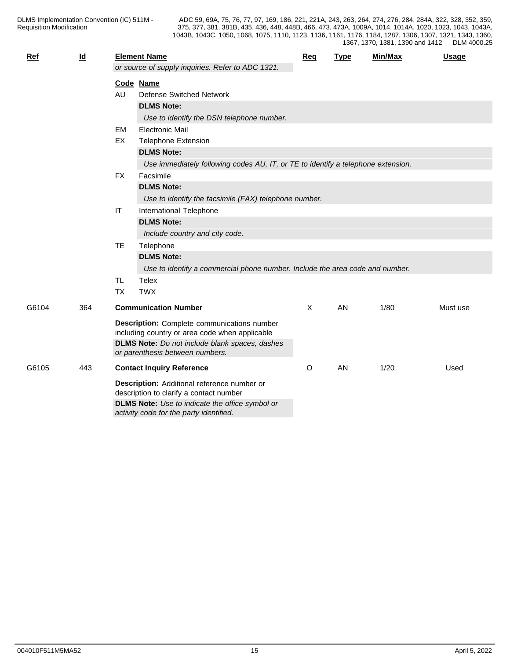| Ref   | $\underline{\mathsf{Id}}$ |           | <b>Element Name</b>                                                              | Req | <b>Type</b> | Min/Max | <b>Usage</b> |  |  |
|-------|---------------------------|-----------|----------------------------------------------------------------------------------|-----|-------------|---------|--------------|--|--|
|       |                           |           | or source of supply inquiries. Refer to ADC 1321.                                |     |             |         |              |  |  |
|       |                           |           | Code Name                                                                        |     |             |         |              |  |  |
|       |                           | AU        | <b>Defense Switched Network</b>                                                  |     |             |         |              |  |  |
|       |                           |           | <b>DLMS Note:</b>                                                                |     |             |         |              |  |  |
|       |                           |           | Use to identify the DSN telephone number.                                        |     |             |         |              |  |  |
|       |                           | <b>EM</b> | <b>Electronic Mail</b>                                                           |     |             |         |              |  |  |
|       |                           | EX        | <b>Telephone Extension</b>                                                       |     |             |         |              |  |  |
|       |                           |           | <b>DLMS Note:</b>                                                                |     |             |         |              |  |  |
|       |                           |           | Use immediately following codes AU, IT, or TE to identify a telephone extension. |     |             |         |              |  |  |
|       |                           | <b>FX</b> | Facsimile                                                                        |     |             |         |              |  |  |
|       |                           |           | <b>DLMS Note:</b>                                                                |     |             |         |              |  |  |
|       |                           |           | Use to identify the facsimile (FAX) telephone number.                            |     |             |         |              |  |  |
|       |                           | IT        | International Telephone                                                          |     |             |         |              |  |  |
|       |                           |           | <b>DLMS Note:</b>                                                                |     |             |         |              |  |  |
|       |                           |           | Include country and city code.                                                   |     |             |         |              |  |  |
|       |                           | <b>TE</b> | Telephone                                                                        |     |             |         |              |  |  |
|       |                           |           | <b>DLMS Note:</b>                                                                |     |             |         |              |  |  |
|       |                           |           | Use to identify a commercial phone number. Include the area code and number.     |     |             |         |              |  |  |
|       |                           | TL.       | Telex                                                                            |     |             |         |              |  |  |
|       |                           | <b>TX</b> | <b>TWX</b>                                                                       |     |             |         |              |  |  |
| G6104 | 364                       |           | <b>Communication Number</b>                                                      | Χ   | AN          | 1/80    | Must use     |  |  |
|       |                           |           | <b>Description:</b> Complete communications number                               |     |             |         |              |  |  |
|       |                           |           | including country or area code when applicable                                   |     |             |         |              |  |  |
|       |                           |           | DLMS Note: Do not include blank spaces, dashes                                   |     |             |         |              |  |  |
|       |                           |           | or parenthesis between numbers.                                                  |     |             |         |              |  |  |
| G6105 | 443                       |           | <b>Contact Inquiry Reference</b>                                                 | O   | AN          | 1/20    | Used         |  |  |
|       |                           |           | Description: Additional reference number or                                      |     |             |         |              |  |  |
|       |                           |           | description to clarify a contact number                                          |     |             |         |              |  |  |
|       |                           |           | DLMS Note: Use to indicate the office symbol or                                  |     |             |         |              |  |  |
|       |                           |           | activity code for the party identified.                                          |     |             |         |              |  |  |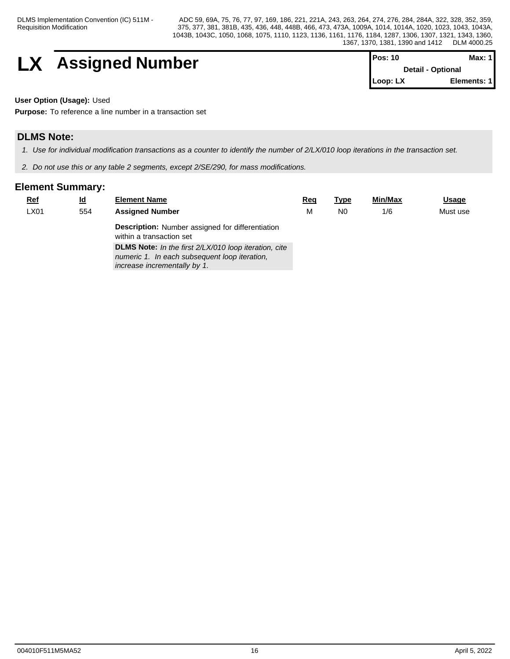DLMS Implementation Convention (IC) 511M - Requisition Modification

ADC 59, 69A, 75, 76, 77, 97, 169, 186, 221, 221A, 243, 263, 264, 274, 276, 284, 284A, 322, 328, 352, 359, 375, 377, 381, 381B, 435, 436, 448, 448B, 466, 473, 473A, 1009A, 1014, 1014A, 1020, 1023, 1043, 1043A, 1043B, 1043C, 1050, 1068, 1075, 1110, 1123, 1136, 1161, 1176, 1184, 1287, 1306, 1307, 1321, 1343, 1360, 1367, 1370, 1381, 1390 and 1412 DLM 4000.25

$$
\begin{array}{|c|c|c|c|}\n \hline\n & \text{Assigned Number} & \text{Pos: 10} & \text{Data: 1} \\
\hline\n & \text{Details: Optional} & \text{Deta: 2D} & \text{Max: 1} \\
\hline\n & \text{Deta: 3D} & \text{Deta: 3D} & \text{Max: 2D} \\
\hline\n & \text{Deta: 1D} & \text{Deta: 1D} & \text{Deta: 3D} & \text{Max: 1D} \\
\hline\n & \text{Deta: 1D} & \text{Deta: 1D} & \text{Deta: 1D} & \text{Deta: 1D} \\
\hline\n & \text{Deta: 1D} & \text{Deta: 1D} & \text{Deta: 1D} & \text{Deta: 1D} & \text{Deta: 1D} \\
\hline\n & \text{Deta: 1D} & \text{Deta: 1D} & \text{Deta: 1D} & \text{Deta: 1D} & \text{Deta: 1D} & \text{Deta: 1D} \\
\hline\n & \text{Deta: 1D} & \text{Deta: 1D} & \text{Deta: 1D} & \text{Deta: 1D} & \text{Deta: 1D} & \text{Deta: 1D} \\
\hline\n & \text{Deta: 1D} & \text{Deta: 1D} & \text{Deta: 1D} & \text{Deta: 1D} & \text{Deta: 1D} & \text{Deta: 1D} & \text{Deta: 1D} & \text{Deta: 1D} & \text{Deta: 1D} & \text{Deta: 1D} \\
\hline\n & \text{Deta: 1D} & \text{Deta: 1D} & \text{Deta: 1D} & \text{Deta: 1D} & \text{Deta: 1D} & \text{Deta: 1D} & \text{Deta: 1D} & \text{Deta: 1D} & \text{Deta: 1D} & \text{Deta: 1D} \\
\h
$$

| IPos: 10                 | Max: 1 I    |  |
|--------------------------|-------------|--|
| <b>Detail - Optional</b> |             |  |
| l Loop: LX               | Elements: 1 |  |

**User Option (Usage):** Used

**Purpose:** To reference a line number in a transaction set

## **DLMS Note:**

*1. Use for individual modification transactions as a counter to identify the number of 2/LX/010 loop iterations in the transaction set.*

*2. Do not use this or any table 2 segments, except 2/SE/290, for mass modifications.*

| <u>Ref</u> | <u>ld</u> | <b>Element Name</b>                                                                 | <u>Req</u> | Type | <b>Min/Max</b> | <u>Usage</u> |
|------------|-----------|-------------------------------------------------------------------------------------|------------|------|----------------|--------------|
| LX01       | 554       | <b>Assigned Number</b>                                                              | М          | N0   | 1/6            | Must use     |
|            |           | <b>Description:</b> Number assigned for differentiation<br>within a transaction set |            |      |                |              |
|            |           | <b>DLMS Note:</b> In the first 2/LX/010 loop iteration, cite                        |            |      |                |              |
|            |           | numeric 1. In each subsequent loop iteration,<br>increase incrementally by 1.       |            |      |                |              |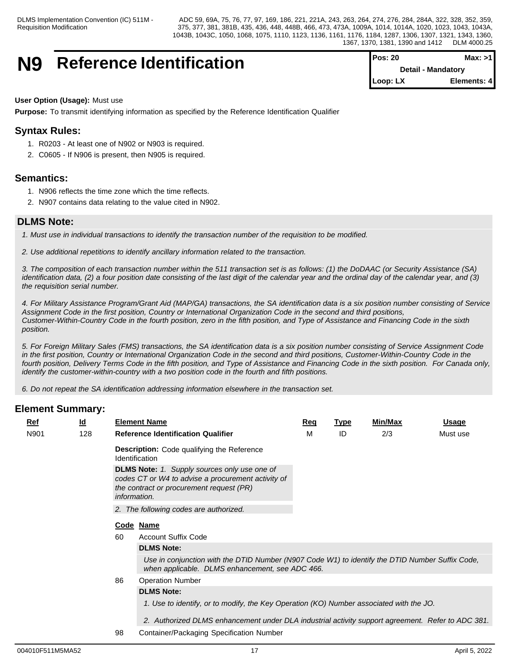## **N9** Reference Identification

| <b>Pos: 20</b> | Max: >1                   |
|----------------|---------------------------|
|                | <b>Detail - Mandatory</b> |
| Loop: LX       | Elements: 4               |

### **User Option (Usage):** Must use

**Purpose:** To transmit identifying information as specified by the Reference Identification Qualifier

## **Syntax Rules:**

- 1. R0203 At least one of N902 or N903 is required.
- 2. C0605 If N906 is present, then N905 is required.

## **Semantics:**

- 1. N906 reflects the time zone which the time reflects.
- 2. N907 contains data relating to the value cited in N902.

## **DLMS Note:**

*1. Must use in individual transactions to identify the transaction number of the requisition to be modified.* 

*2. Use additional repetitions to identify ancillary information related to the transaction.*

*3. The composition of each transaction number within the 511 transaction set is as follows: (1) the DoDAAC (or Security Assistance (SA) identification data, (2) a four position date consisting of the last digit of the calendar year and the ordinal day of the calendar year, and (3) the requisition serial number.*

*4. For Military Assistance Program/Grant Aid (MAP/GA) transactions, the SA identification data is a six position number consisting of Service Assignment Code in the first position, Country or International Organization Code in the second and third positions, Customer-Within-Country Code in the fourth position, zero in the fifth position, and Type of Assistance and Financing Code in the sixth position.* 

*5. For Foreign Military Sales (FMS) transactions, the SA identification data is a six position number consisting of Service Assignment Code in the first position, Country or International Organization Code in the second and third positions, Customer-Within-Country Code in the fourth position, Delivery Terms Code in the fifth position, and Type of Assistance and Financing Code in the sixth position. For Canada only, identify the customer-within-country with a two position code in the fourth and fifth positions.*

*6. Do not repeat the SA identification addressing information elsewhere in the transaction set.*

| Ref  | <u>ld</u> |    | <b>Element Name</b>                                                                                                                                                          | Req | <u>Type</u> | Min/Max | <u>Usage</u> |
|------|-----------|----|------------------------------------------------------------------------------------------------------------------------------------------------------------------------------|-----|-------------|---------|--------------|
| N901 | 128       |    | <b>Reference Identification Qualifier</b>                                                                                                                                    | м   | ID          | 2/3     | Must use     |
|      |           |    | <b>Description:</b> Code qualifying the Reference<br><b>Identification</b>                                                                                                   |     |             |         |              |
|      |           |    | <b>DLMS Note:</b> 1. Supply sources only use one of<br>codes CT or W4 to advise a procurement activity of<br>the contract or procurement request (PR)<br><i>information.</i> |     |             |         |              |
|      |           |    | 2. The following codes are authorized.                                                                                                                                       |     |             |         |              |
|      |           |    | Code Name                                                                                                                                                                    |     |             |         |              |
|      |           | 60 | <b>Account Suffix Code</b>                                                                                                                                                   |     |             |         |              |
|      |           |    | <b>DLMS Note:</b>                                                                                                                                                            |     |             |         |              |
|      |           |    | Use in conjunction with the DTID Number (N907 Code W1) to identify the DTID Number Suffix Code,<br>when applicable. DLMS enhancement, see ADC 466.                           |     |             |         |              |
|      |           | 86 | <b>Operation Number</b>                                                                                                                                                      |     |             |         |              |
|      |           |    | <b>DLMS Note:</b>                                                                                                                                                            |     |             |         |              |
|      |           |    | 1. Use to identify, or to modify, the Key Operation (KO) Number associated with the JO.                                                                                      |     |             |         |              |
|      |           |    | 2. Authorized DLMS enhancement under DLA industrial activity support agreement. Refer to ADC 381.                                                                            |     |             |         |              |
|      |           | 98 | Container/Packaging Specification Number                                                                                                                                     |     |             |         |              |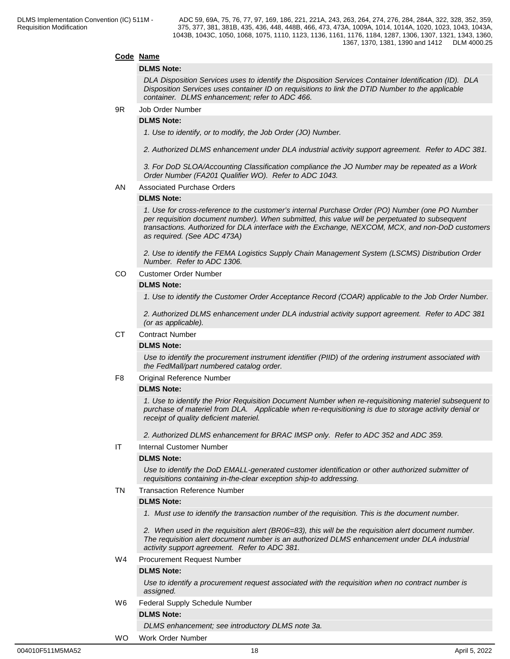#### **Code Name**

#### **DLMS Note:**

*DLA Disposition Services uses to identify the Disposition Services Container Identification (ID). DLA Disposition Services uses container ID on requisitions to link the DTID Number to the applicable container. DLMS enhancement; refer to ADC 466.*

9R Job Order Number

#### **DLMS Note:**

*1. Use to identify, or to modify, the Job Order (JO) Number.*

*2. Authorized DLMS enhancement under DLA industrial activity support agreement. Refer to ADC 381.*

*3. For DoD SLOA/Accounting Classification compliance the JO Number may be repeated as a Work Order Number (FA201 Qualifier WO). Refer to ADC 1043.*

#### AN Associated Purchase Orders

#### **DLMS Note:**

*1. Use for cross-reference to the customer's internal Purchase Order (PO) Number (one PO Number per requisition document number). When submitted, this value will be perpetuated to subsequent transactions. Authorized for DLA interface with the Exchange, NEXCOM, MCX, and non-DoD customers as required. (See ADC 473A)*

*2. Use to identify the FEMA Logistics Supply Chain Management System (LSCMS) Distribution Order Number. Refer to ADC 1306.*

CO Customer Order Number

#### **DLMS Note:**

*1. Use to identify the Customer Order Acceptance Record (COAR) applicable to the Job Order Number.*

*2. Authorized DLMS enhancement under DLA industrial activity support agreement. Refer to ADC 381 (or as applicable).*

#### CT Contract Number

#### **DLMS Note:**

*Use to identify the procurement instrument identifier (PIID) of the ordering instrument associated with the FedMall/part numbered catalog order.*

#### F8 Original Reference Number

#### **DLMS Note:**

*1. Use to identify the Prior Requisition Document Number when re-requisitioning materiel subsequent to purchase of materiel from DLA. Applicable when re-requisitioning is due to storage activity denial or receipt of quality deficient materiel.*

*2. Authorized DLMS enhancement for BRAC IMSP only. Refer to ADC 352 and ADC 359.*

IT Internal Customer Number

#### **DLMS Note:**

*Use to identify the DoD EMALL-generated customer identification or other authorized submitter of requisitions containing in-the-clear exception ship-to addressing.*

#### TN Transaction Reference Number

#### **DLMS Note:**

*1. Must use to identify the transaction number of the requisition. This is the document number.*

*2. When used in the requisition alert (BR06=83), this will be the requisition alert document number. The requisition alert document number is an authorized DLMS enhancement under DLA industrial activity support agreement. Refer to ADC 381.*

#### W4 Procurement Request Number

#### **DLMS Note:**

*Use to identify a procurement request associated with the requisition when no contract number is assigned.*

W6 Federal Supply Schedule Number

#### **DLMS Note:**

*DLMS enhancement; see introductory DLMS note 3a.*

#### WO Work Order Number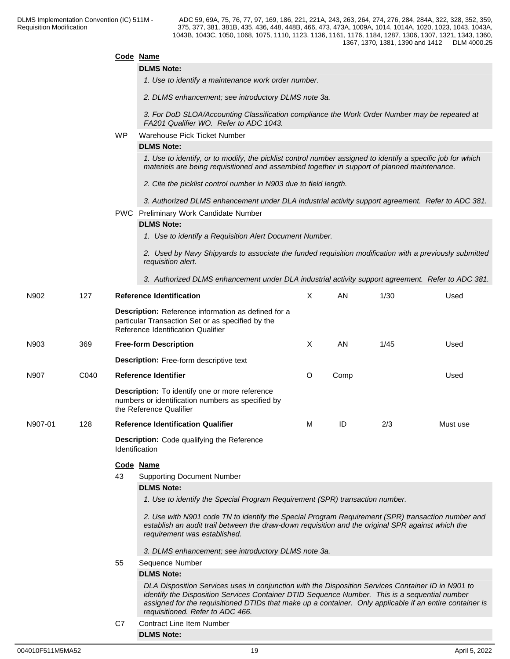|         |      |           | Code Name                                                                                                                                                                                                                                                                                                                                           |         |      |      |          |  |  |  |  |  |
|---------|------|-----------|-----------------------------------------------------------------------------------------------------------------------------------------------------------------------------------------------------------------------------------------------------------------------------------------------------------------------------------------------------|---------|------|------|----------|--|--|--|--|--|
|         |      |           | <b>DLMS Note:</b>                                                                                                                                                                                                                                                                                                                                   |         |      |      |          |  |  |  |  |  |
|         |      |           | 1. Use to identify a maintenance work order number.                                                                                                                                                                                                                                                                                                 |         |      |      |          |  |  |  |  |  |
|         |      |           | 2. DLMS enhancement; see introductory DLMS note 3a.                                                                                                                                                                                                                                                                                                 |         |      |      |          |  |  |  |  |  |
|         |      |           | 3. For DoD SLOA/Accounting Classification compliance the Work Order Number may be repeated at<br>FA201 Qualifier WO. Refer to ADC 1043.                                                                                                                                                                                                             |         |      |      |          |  |  |  |  |  |
|         |      | <b>WP</b> | Warehouse Pick Ticket Number                                                                                                                                                                                                                                                                                                                        |         |      |      |          |  |  |  |  |  |
|         |      |           | <b>DLMS Note:</b>                                                                                                                                                                                                                                                                                                                                   |         |      |      |          |  |  |  |  |  |
|         |      |           | 1. Use to identify, or to modify, the picklist control number assigned to identify a specific job for which<br>materiels are being requisitioned and assembled together in support of planned maintenance.                                                                                                                                          |         |      |      |          |  |  |  |  |  |
|         |      |           | 2. Cite the picklist control number in N903 due to field length.                                                                                                                                                                                                                                                                                    |         |      |      |          |  |  |  |  |  |
|         |      |           | 3. Authorized DLMS enhancement under DLA industrial activity support agreement. Refer to ADC 381.                                                                                                                                                                                                                                                   |         |      |      |          |  |  |  |  |  |
|         |      |           | PWC Preliminary Work Candidate Number                                                                                                                                                                                                                                                                                                               |         |      |      |          |  |  |  |  |  |
|         |      |           | <b>DLMS Note:</b>                                                                                                                                                                                                                                                                                                                                   |         |      |      |          |  |  |  |  |  |
|         |      |           | 1. Use to identify a Requisition Alert Document Number.                                                                                                                                                                                                                                                                                             |         |      |      |          |  |  |  |  |  |
|         |      |           | 2. Used by Navy Shipyards to associate the funded requisition modification with a previously submitted<br>requisition alert.                                                                                                                                                                                                                        |         |      |      |          |  |  |  |  |  |
|         |      |           | 3. Authorized DLMS enhancement under DLA industrial activity support agreement. Refer to ADC 381.                                                                                                                                                                                                                                                   |         |      |      |          |  |  |  |  |  |
| N902    | 127  |           | <b>Reference Identification</b>                                                                                                                                                                                                                                                                                                                     | X       | AN.  | 1/30 | Used     |  |  |  |  |  |
|         |      |           | Description: Reference information as defined for a<br>particular Transaction Set or as specified by the<br>Reference Identification Qualifier                                                                                                                                                                                                      |         |      |      |          |  |  |  |  |  |
| N903    | 369  |           | <b>Free-form Description</b>                                                                                                                                                                                                                                                                                                                        | X       | AN   | 1/45 | Used     |  |  |  |  |  |
|         |      |           | <b>Description:</b> Free-form descriptive text                                                                                                                                                                                                                                                                                                      |         |      |      |          |  |  |  |  |  |
| N907    | C040 |           | <b>Reference Identifier</b>                                                                                                                                                                                                                                                                                                                         | $\circ$ | Comp |      | Used     |  |  |  |  |  |
|         |      |           | <b>Description:</b> To identify one or more reference<br>numbers or identification numbers as specified by<br>the Reference Qualifier                                                                                                                                                                                                               |         |      |      |          |  |  |  |  |  |
| N907-01 | 128  |           | <b>Reference Identification Qualifier</b>                                                                                                                                                                                                                                                                                                           |         | ID   | 2/3  | Must use |  |  |  |  |  |
|         |      |           | <b>Description:</b> Code qualifying the Reference<br>Identification                                                                                                                                                                                                                                                                                 |         |      |      |          |  |  |  |  |  |
|         |      |           | Code Name                                                                                                                                                                                                                                                                                                                                           |         |      |      |          |  |  |  |  |  |
|         |      | 43        | <b>Supporting Document Number</b>                                                                                                                                                                                                                                                                                                                   |         |      |      |          |  |  |  |  |  |
|         |      |           | <b>DLMS Note:</b>                                                                                                                                                                                                                                                                                                                                   |         |      |      |          |  |  |  |  |  |
|         |      |           | 1. Use to identify the Special Program Requirement (SPR) transaction number.                                                                                                                                                                                                                                                                        |         |      |      |          |  |  |  |  |  |
|         |      |           | 2. Use with N901 code TN to identify the Special Program Requirement (SPR) transaction number and<br>establish an audit trail between the draw-down requisition and the original SPR against which the<br>requirement was established.                                                                                                              |         |      |      |          |  |  |  |  |  |
|         |      |           | 3. DLMS enhancement; see introductory DLMS note 3a.                                                                                                                                                                                                                                                                                                 |         |      |      |          |  |  |  |  |  |
|         |      | 55        | Sequence Number                                                                                                                                                                                                                                                                                                                                     |         |      |      |          |  |  |  |  |  |
|         |      |           | <b>DLMS Note:</b>                                                                                                                                                                                                                                                                                                                                   |         |      |      |          |  |  |  |  |  |
|         |      |           | DLA Disposition Services uses in conjunction with the Disposition Services Container ID in N901 to<br>identify the Disposition Services Container DTID Sequence Number. This is a sequential number<br>assigned for the requisitioned DTIDs that make up a container. Only applicable if an entire container is<br>requisitioned. Refer to ADC 466. |         |      |      |          |  |  |  |  |  |
|         |      | C7        | <b>Contract Line Item Number</b>                                                                                                                                                                                                                                                                                                                    |         |      |      |          |  |  |  |  |  |
|         |      |           | <b>DLMS Note:</b>                                                                                                                                                                                                                                                                                                                                   |         |      |      |          |  |  |  |  |  |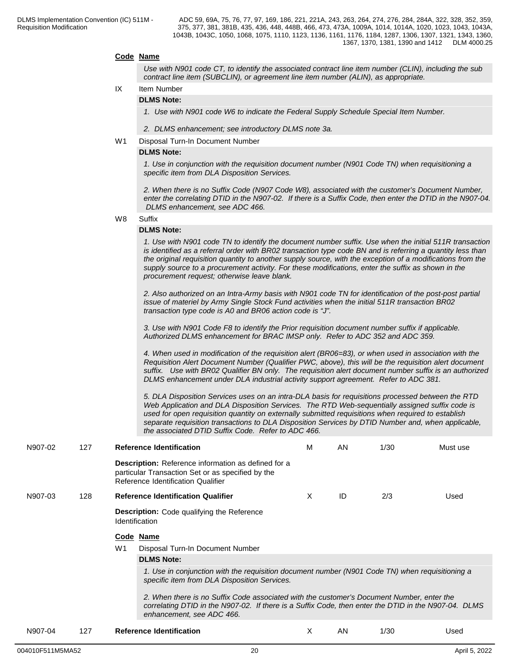#### **Code Name**

*Use with N901 code CT, to identify the associated contract line item number (CLIN), including the sub contract line item (SUBCLIN), or agreement line item number (ALIN), as appropriate.*

## IX Item Number

## **DLMS Note:**

*1. Use with N901 code W6 to indicate the Federal Supply Schedule Special Item Number.*

*2. DLMS enhancement; see introductory DLMS note 3a.*

#### W1 Disposal Turn-In Document Number

#### **DLMS Note:**

*1. Use in conjunction with the requisition document number (N901 Code TN) when requisitioning a specific item from DLA Disposition Services.*

*2. When there is no Suffix Code (N907 Code W8), associated with the customer's Document Number, enter the correlating DTID in the N907-02. If there is a Suffix Code, then enter the DTID in the N907-04. DLMS enhancement, see ADC 466.*

W8 Suffix **Suffix Suffix Suffix Suffix Suffix Suffix SUFFIX SUFFIX SUFFIX** 

#### **DLMS Note:**

*1. Use with N901 code TN to identify the document number suffix. Use when the initial 511R transaction is identified as a referral order with BR02 transaction type code BN and is referring a quantity less than the original requisition quantity to another supply source, with the exception of a modifications from the supply source to a procurement activity. For these modifications, enter the suffix as shown in the procurement request; otherwise leave blank.*

*2. Also authorized on an Intra-Army basis with N901 code TN for identification of the post-post partial issue of materiel by Army Single Stock Fund activities when the initial 511R transaction BR02 transaction type code is A0 and BR06 action code is "J".*

*3. Use with N901 Code F8 to identify the Prior requisition document number suffix if applicable. Authorized DLMS enhancement for BRAC IMSP only. Refer to ADC 352 and ADC 359.*

*4. When used in modification of the requisition alert (BR06=83), or when used in association with the Requisition Alert Document Number (Qualifier PWC, above), this will be the requisition alert document suffix. Use with BR02 Qualifier BN only. The requisition alert document number suffix is an authorized DLMS enhancement under DLA industrial activity support agreement. Refer to ADC 381.*

*5. DLA Disposition Services uses on an intra-DLA basis for requisitions processed between the RTD Web Application and DLA Disposition Services. The RTD Web-sequentially assigned suffix code is used for open requisition quantity on externally submitted requisitions when required to establish separate requisition transactions to DLA Disposition Services by DTID Number and, when applicable, the associated DTID Suffix Code. Refer to ADC 466.*

| N907-02 | 127 |                       | <b>Reference Identification</b>                                                                                                                                                                                                | м  | AN | 1/30 | Must use |
|---------|-----|-----------------------|--------------------------------------------------------------------------------------------------------------------------------------------------------------------------------------------------------------------------------|----|----|------|----------|
|         |     |                       | <b>Description:</b> Reference information as defined for a<br>particular Transaction Set or as specified by the<br>Reference Identification Qualifier                                                                          |    |    |      |          |
| N907-03 | 128 |                       | <b>Reference Identification Qualifier</b>                                                                                                                                                                                      | Χ  | ID | 2/3  | Used     |
|         |     | <b>Identification</b> | <b>Description:</b> Code qualifying the Reference                                                                                                                                                                              |    |    |      |          |
|         |     |                       | Code Name                                                                                                                                                                                                                      |    |    |      |          |
|         |     | W1                    | Disposal Turn-In Document Number                                                                                                                                                                                               |    |    |      |          |
|         |     |                       | <b>DLMS Note:</b>                                                                                                                                                                                                              |    |    |      |          |
|         |     |                       | 1. Use in conjunction with the requisition document number (N901 Code TN) when requisitioning a<br>specific item from DLA Disposition Services.                                                                                |    |    |      |          |
|         |     |                       | 2. When there is no Suffix Code associated with the customer's Document Number, enter the<br>correlating DTID in the N907-02. If there is a Suffix Code, then enter the DTID in the N907-04. DLMS<br>enhancement, see ADC 466. |    |    |      |          |
| N907-04 | 127 |                       | <b>Reference Identification</b>                                                                                                                                                                                                | X. | AN | 1/30 | Used     |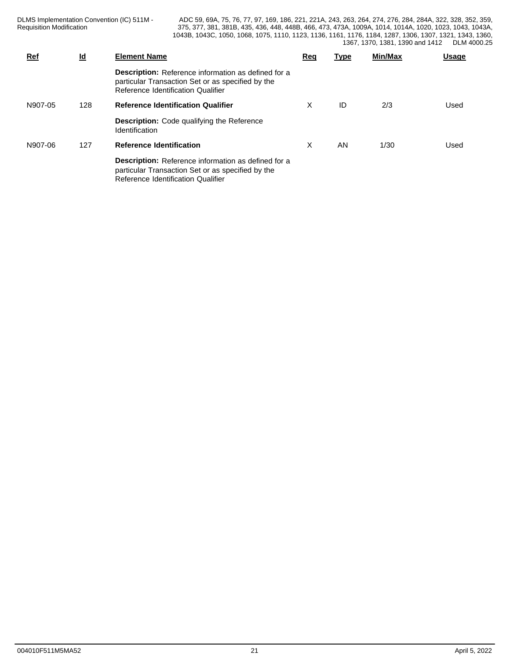DLMS Implementation Convention (IC) 511M - Requisition Modification

| Ref     | <u>ld</u> | <b>Element Name</b>                                                                                                                                   | Rec | <u>Type</u> | Min/Max | <b>Usage</b> |
|---------|-----------|-------------------------------------------------------------------------------------------------------------------------------------------------------|-----|-------------|---------|--------------|
|         |           | <b>Description:</b> Reference information as defined for a<br>particular Transaction Set or as specified by the<br>Reference Identification Qualifier |     |             |         |              |
| N907-05 | 128       | <b>Reference Identification Qualifier</b>                                                                                                             | X   | ID          | 2/3     | Used         |
|         |           | <b>Description:</b> Code qualifying the Reference<br>Identification                                                                                   |     |             |         |              |
| N907-06 | 127       | <b>Reference Identification</b>                                                                                                                       | X   | AN          | 1/30    | Used         |
|         |           | <b>Description:</b> Reference information as defined for a<br>particular Transaction Set or as specified by the<br>Reference Identification Qualifier |     |             |         |              |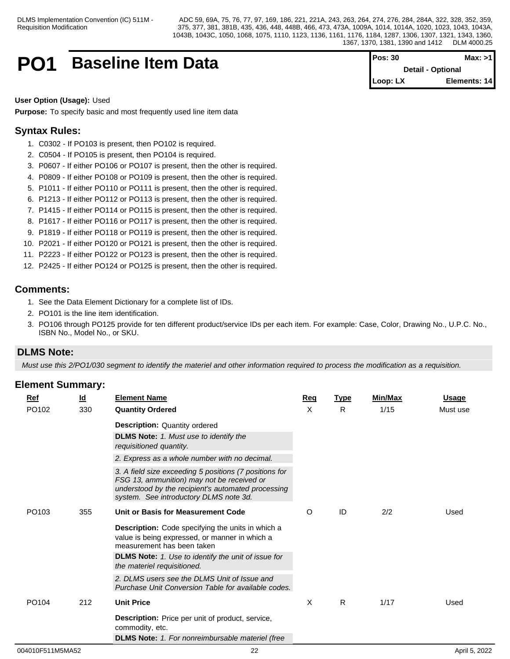## **PO1 Baseline Item Data PO1 Pos: 30 Max:** >1

**Detail - Optional Loop: LX Elements: 14**

#### **User Option (Usage):** Used

**Purpose:** To specify basic and most frequently used line item data

## **Syntax Rules:**

- 1. C0302 If PO103 is present, then PO102 is required.
- 2. C0504 If PO105 is present, then PO104 is required.
- 3. P0607 If either PO106 or PO107 is present, then the other is required.
- 4. P0809 If either PO108 or PO109 is present, then the other is required.
- 5. P1011 If either PO110 or PO111 is present, then the other is required.
- 6. P1213 If either PO112 or PO113 is present, then the other is required.
- 7. P1415 If either PO114 or PO115 is present, then the other is required.
- 8. P1617 If either PO116 or PO117 is present, then the other is required.
- 9. P1819 If either PO118 or PO119 is present, then the other is required.
- 10. P2021 If either PO120 or PO121 is present, then the other is required.
- 11. P2223 If either PO122 or PO123 is present, then the other is required.
- 12. P2425 If either PO124 or PO125 is present, then the other is required.

## **Comments:**

- 1. See the Data Element Dictionary for a complete list of IDs.
- 2. PO101 is the line item identification.
- 3. PO106 through PO125 provide for ten different product/service IDs per each item. For example: Case, Color, Drawing No., U.P.C. No., ISBN No., Model No., or SKU.

## **DLMS Note:**

*Must use this 2/PO1/030 segment to identify the materiel and other information required to process the modification as a requisition.*

| <b>Ref</b>        | <u>ld</u> | <b>Element Name</b>                                                                                                                                                                                  | Req | <b>Type</b> | Min/Max | <b>Usage</b> |
|-------------------|-----------|------------------------------------------------------------------------------------------------------------------------------------------------------------------------------------------------------|-----|-------------|---------|--------------|
| PO102             | 330       | <b>Quantity Ordered</b>                                                                                                                                                                              | X   | R           | 1/15    | Must use     |
|                   |           | <b>Description: Quantity ordered</b>                                                                                                                                                                 |     |             |         |              |
|                   |           | <b>DLMS Note:</b> 1. Must use to identify the<br>requisitioned quantity.                                                                                                                             |     |             |         |              |
|                   |           | 2. Express as a whole number with no decimal.                                                                                                                                                        |     |             |         |              |
|                   |           | 3. A field size exceeding 5 positions (7 positions for<br>FSG 13, ammunition) may not be received or<br>understood by the recipient's automated processing<br>system. See introductory DLMS note 3d. |     |             |         |              |
| PO <sub>103</sub> | 355       | Unit or Basis for Measurement Code                                                                                                                                                                   | O   | ID          | 2/2     | Used         |
|                   |           | Description: Code specifying the units in which a<br>value is being expressed, or manner in which a<br>measurement has been taken                                                                    |     |             |         |              |
|                   |           | <b>DLMS Note:</b> 1. Use to identify the unit of issue for<br>the materiel requisitioned.                                                                                                            |     |             |         |              |
|                   |           | 2. DLMS users see the DLMS Unit of Issue and<br>Purchase Unit Conversion Table for available codes.                                                                                                  |     |             |         |              |
| PO <sub>104</sub> | 212       | <b>Unit Price</b>                                                                                                                                                                                    | X   | R.          | 1/17    | Used         |
|                   |           | <b>Description:</b> Price per unit of product, service,<br>commodity, etc.                                                                                                                           |     |             |         |              |
|                   |           | <b>DLMS Note:</b> 1. For nonreimbursable materiel (free                                                                                                                                              |     |             |         |              |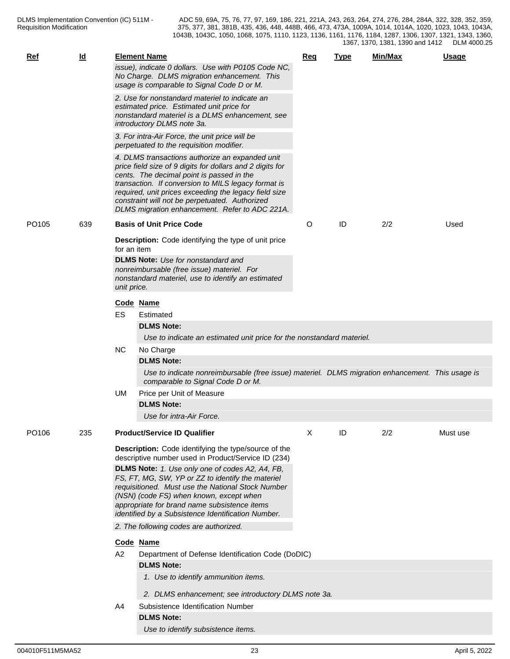| Ref               | $\underline{\mathsf{Id}}$ |             | <b>Element Name</b><br>issue), indicate 0 dollars. Use with P0105 Code NC,<br>No Charge. DLMS migration enhancement. This<br>usage is comparable to Signal Code D or M.                                                                                                                                                                                                       | <b>Reg</b> | Type | Min/Max | Usage    |
|-------------------|---------------------------|-------------|-------------------------------------------------------------------------------------------------------------------------------------------------------------------------------------------------------------------------------------------------------------------------------------------------------------------------------------------------------------------------------|------------|------|---------|----------|
|                   |                           |             | 2. Use for nonstandard materiel to indicate an<br>estimated price. Estimated unit price for<br>nonstandard materiel is a DLMS enhancement, see<br>introductory DLMS note 3a.                                                                                                                                                                                                  |            |      |         |          |
|                   |                           |             | 3. For intra-Air Force, the unit price will be<br>perpetuated to the requisition modifier.                                                                                                                                                                                                                                                                                    |            |      |         |          |
|                   |                           |             | 4. DLMS transactions authorize an expanded unit<br>price field size of 9 digits for dollars and 2 digits for<br>cents. The decimal point is passed in the<br>transaction. If conversion to MILS legacy format is<br>required, unit prices exceeding the legacy field size<br>constraint will not be perpetuated. Authorized<br>DLMS migration enhancement. Refer to ADC 221A. |            |      |         |          |
| PO <sub>105</sub> | 639                       |             | <b>Basis of Unit Price Code</b>                                                                                                                                                                                                                                                                                                                                               | O          | ID   | 2/2     | Used     |
|                   |                           | for an item | <b>Description:</b> Code identifying the type of unit price                                                                                                                                                                                                                                                                                                                   |            |      |         |          |
|                   |                           | unit price. | <b>DLMS Note:</b> Use for nonstandard and<br>nonreimbursable (free issue) materiel. For<br>nonstandard materiel, use to identify an estimated                                                                                                                                                                                                                                 |            |      |         |          |
|                   |                           |             | Code Name                                                                                                                                                                                                                                                                                                                                                                     |            |      |         |          |
|                   |                           | ES          | Estimated<br><b>DLMS Note:</b>                                                                                                                                                                                                                                                                                                                                                |            |      |         |          |
|                   |                           |             | Use to indicate an estimated unit price for the nonstandard materiel.                                                                                                                                                                                                                                                                                                         |            |      |         |          |
|                   |                           | <b>NC</b>   | No Charge                                                                                                                                                                                                                                                                                                                                                                     |            |      |         |          |
|                   |                           |             | <b>DLMS Note:</b>                                                                                                                                                                                                                                                                                                                                                             |            |      |         |          |
|                   |                           |             | Use to indicate nonreimbursable (free issue) materiel. DLMS migration enhancement. This usage is<br>comparable to Signal Code D or M.                                                                                                                                                                                                                                         |            |      |         |          |
|                   |                           | UM          | Price per Unit of Measure                                                                                                                                                                                                                                                                                                                                                     |            |      |         |          |
|                   |                           |             | <b>DLMS Note:</b><br>Use for intra-Air Force.                                                                                                                                                                                                                                                                                                                                 |            |      |         |          |
|                   |                           |             |                                                                                                                                                                                                                                                                                                                                                                               |            |      |         |          |
| PO <sub>106</sub> | 235                       |             | <b>Product/Service ID Qualifier</b>                                                                                                                                                                                                                                                                                                                                           | X          | ID   | 2/2     | Must use |
|                   |                           |             | Description: Code identifying the type/source of the<br>descriptive number used in Product/Service ID (234)<br>DLMS Note: 1. Use only one of codes A2, A4, FB,<br>FS, FT, MG, SW, YP or ZZ to identify the materiel<br>requisitioned. Must use the National Stock Number<br>(NSN) (code FS) when known, except when                                                           |            |      |         |          |
|                   |                           |             | appropriate for brand name subsistence items<br>identified by a Subsistence Identification Number.                                                                                                                                                                                                                                                                            |            |      |         |          |
|                   |                           |             | 2. The following codes are authorized.                                                                                                                                                                                                                                                                                                                                        |            |      |         |          |
|                   |                           |             | Code Name                                                                                                                                                                                                                                                                                                                                                                     |            |      |         |          |
|                   |                           | A2          | Department of Defense Identification Code (DoDIC)                                                                                                                                                                                                                                                                                                                             |            |      |         |          |
|                   |                           |             | <b>DLMS Note:</b>                                                                                                                                                                                                                                                                                                                                                             |            |      |         |          |
|                   |                           |             | 1. Use to identify ammunition items.                                                                                                                                                                                                                                                                                                                                          |            |      |         |          |
|                   |                           |             | 2. DLMS enhancement; see introductory DLMS note 3a.                                                                                                                                                                                                                                                                                                                           |            |      |         |          |
|                   |                           | A4          | Subsistence Identification Number                                                                                                                                                                                                                                                                                                                                             |            |      |         |          |
|                   |                           |             | <b>DLMS Note:</b>                                                                                                                                                                                                                                                                                                                                                             |            |      |         |          |
|                   |                           |             | Use to identify subsistence items.                                                                                                                                                                                                                                                                                                                                            |            |      |         |          |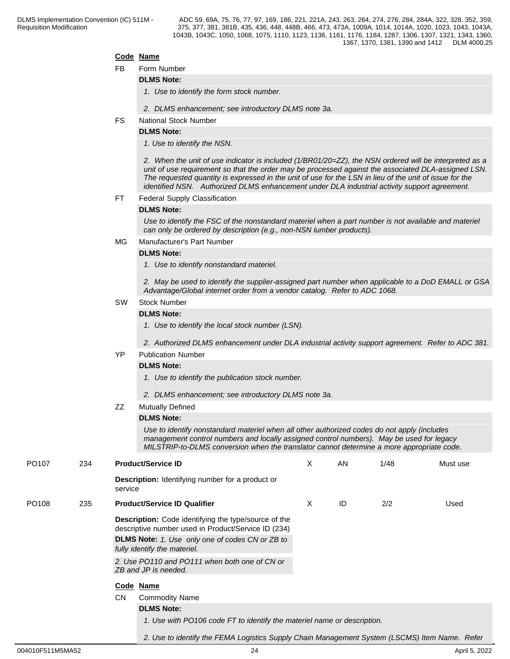#### **Code Name**

FB Form Number

#### **DLMS Note:**

*1. Use to identify the form stock number.*

- *2. DLMS enhancement; see introductory DLMS note 3a.*
- FS National Stock Number

## **DLMS Note:**

*1. Use to identify the NSN.* 

*2. When the unit of use indicator is included (1/BR01/20=ZZ), the NSN ordered will be interpreted as a unit of use requirement so that the order may be processed against the associated DLA-assigned LSN. The requested quantity is expressed in the unit of use for the LSN in lieu of the unit of issue for the identified NSN. Authorized DLMS enhancement under DLA industrial activity support agreement.*

#### FT Federal Supply Classification

#### **DLMS Note:**

*Use to identify the FSC of the nonstandard materiel when a part number is not available and materiel can only be ordered by description (e.g., non-NSN lumber products).*

#### MG Manufacturer's Part Number

#### **DLMS Note:**

*1. Use to identify nonstandard materiel.*

*2. May be used to identify the supplier-assigned part number when applicable to a DoD EMALL or GSA Advantage/Global internet order from a vendor catalog. Refer to ADC 1068.*

#### SW Stock Number

#### **DLMS Note:**

*1. Use to identify the local stock number (LSN).*

*2. Authorized DLMS enhancement under DLA industrial activity support agreement. Refer to ADC 381.*

### YP Publication Number

#### **DLMS Note:**

- *1. Use to identify the publication stock number.*
- *2. DLMS enhancement; see introductory DLMS note 3a.*
- ZZ Mutually Defined

#### **DLMS Note:**

*Use to identify nonstandard materiel when all other authorized codes do not apply (includes management control numbers and locally assigned control numbers). May be used for legacy MILSTRIP-to-DLMS conversion when the translator cannot determine a more appropriate code.*

*2. Use to identify the FEMA Logistics Supply Chain Management System (LSCMS) Item Name. Refer* 

| PO <sub>107</sub> | 234 | <b>Product/Service ID</b>                                                                                          | X | AN | 1/48 | Must use |
|-------------------|-----|--------------------------------------------------------------------------------------------------------------------|---|----|------|----------|
|                   |     | <b>Description:</b> Identifying number for a product or<br>service                                                 |   |    |      |          |
| PO <sub>108</sub> | 235 | <b>Product/Service ID Qualifier</b>                                                                                | X | ID | 2/2  | Used     |
|                   |     | <b>Description:</b> Code identifying the type/source of the<br>descriptive number used in Product/Service ID (234) |   |    |      |          |
|                   |     | <b>DLMS Note:</b> 1. Use only one of codes CN or ZB to<br>fully identify the materiel.                             |   |    |      |          |
|                   |     | 2. Use PO110 and PO111 when both one of CN or<br>ZB and JP is needed.                                              |   |    |      |          |
|                   |     | Code Name                                                                                                          |   |    |      |          |
|                   |     | <b>CN</b><br><b>Commodity Name</b>                                                                                 |   |    |      |          |
|                   |     | <b>DLMS Note:</b>                                                                                                  |   |    |      |          |
|                   |     | 1. Use with PO106 code FT to identify the materiel name or description.                                            |   |    |      |          |
|                   |     |                                                                                                                    |   |    |      |          |

004010F511M5MA52 24 April 5, 2022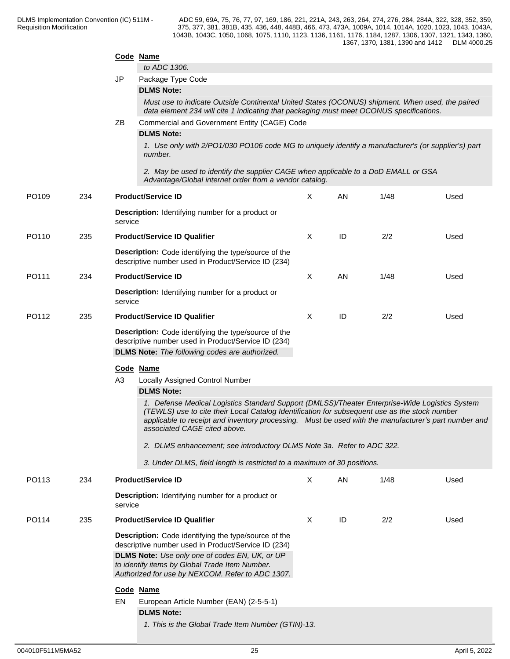|       |     | Code Name | to ADC 1306.                                                                                                                                                                                                                                                                                                                             |              |    |      |      |
|-------|-----|-----------|------------------------------------------------------------------------------------------------------------------------------------------------------------------------------------------------------------------------------------------------------------------------------------------------------------------------------------------|--------------|----|------|------|
|       |     | JP        | Package Type Code                                                                                                                                                                                                                                                                                                                        |              |    |      |      |
|       |     |           | <b>DLMS Note:</b>                                                                                                                                                                                                                                                                                                                        |              |    |      |      |
|       |     |           | Must use to indicate Outside Continental United States (OCONUS) shipment. When used, the paired<br>data element 234 will cite 1 indicating that packaging must meet OCONUS specifications.                                                                                                                                               |              |    |      |      |
|       |     | ΖB        | Commercial and Government Entity (CAGE) Code<br><b>DLMS Note:</b>                                                                                                                                                                                                                                                                        |              |    |      |      |
|       |     |           | 1. Use only with 2/PO1/030 PO106 code MG to uniquely identify a manufacturer's (or supplier's) part<br>number.                                                                                                                                                                                                                           |              |    |      |      |
|       |     |           | 2. May be used to identify the supplier CAGE when applicable to a DoD EMALL or GSA<br>Advantage/Global internet order from a vendor catalog.                                                                                                                                                                                             |              |    |      |      |
| PO109 | 234 |           | <b>Product/Service ID</b>                                                                                                                                                                                                                                                                                                                | X            | AN | 1/48 | Used |
|       |     | service   | <b>Description:</b> Identifying number for a product or                                                                                                                                                                                                                                                                                  |              |    |      |      |
| PO110 | 235 |           | <b>Product/Service ID Qualifier</b>                                                                                                                                                                                                                                                                                                      | Χ            | ID | 2/2  | Used |
|       |     |           | Description: Code identifying the type/source of the<br>descriptive number used in Product/Service ID (234)                                                                                                                                                                                                                              |              |    |      |      |
| PO111 | 234 |           | <b>Product/Service ID</b>                                                                                                                                                                                                                                                                                                                | Χ            | AN | 1/48 | Used |
|       |     | service   | <b>Description:</b> Identifying number for a product or                                                                                                                                                                                                                                                                                  |              |    |      |      |
| PO112 | 235 |           | <b>Product/Service ID Qualifier</b>                                                                                                                                                                                                                                                                                                      | $\times$     | ID | 2/2  | Used |
|       |     |           | Description: Code identifying the type/source of the<br>descriptive number used in Product/Service ID (234)<br><b>DLMS Note:</b> The following codes are authorized.                                                                                                                                                                     |              |    |      |      |
|       |     | Code Name |                                                                                                                                                                                                                                                                                                                                          |              |    |      |      |
|       |     | A3        | Locally Assigned Control Number<br><b>DLMS Note:</b>                                                                                                                                                                                                                                                                                     |              |    |      |      |
|       |     |           | 1. Defense Medical Logistics Standard Support (DMLSS)/Theater Enterprise-Wide Logistics System<br>(TEWLS) use to cite their Local Catalog Identification for subsequent use as the stock number<br>applicable to receipt and inventory processing.  Must be used with the manufacturer's part number and<br>associated CAGE cited above. |              |    |      |      |
|       |     |           | 2. DLMS enhancement; see introductory DLMS Note 3a. Refer to ADC 322.                                                                                                                                                                                                                                                                    |              |    |      |      |
|       |     |           | 3. Under DLMS, field length is restricted to a maximum of 30 positions.                                                                                                                                                                                                                                                                  |              |    |      |      |
| PO113 | 234 |           | <b>Product/Service ID</b>                                                                                                                                                                                                                                                                                                                | X            | AN | 1/48 | Used |
|       |     | service   | <b>Description:</b> Identifying number for a product or                                                                                                                                                                                                                                                                                  |              |    |      |      |
| PO114 | 235 |           | <b>Product/Service ID Qualifier</b>                                                                                                                                                                                                                                                                                                      | $\mathsf{X}$ | ID | 2/2  | Used |
|       |     |           | Description: Code identifying the type/source of the<br>descriptive number used in Product/Service ID (234)<br>DLMS Note: Use only one of codes EN, UK, or UP<br>to identify items by Global Trade Item Number.<br>Authorized for use by NEXCOM. Refer to ADC 1307.                                                                      |              |    |      |      |
|       |     | Code Name |                                                                                                                                                                                                                                                                                                                                          |              |    |      |      |
|       |     | EN        | European Article Number (EAN) (2-5-5-1)                                                                                                                                                                                                                                                                                                  |              |    |      |      |
|       |     |           | <b>DLMS Note:</b>                                                                                                                                                                                                                                                                                                                        |              |    |      |      |
|       |     |           | 1. This is the Global Trade Item Number (GTIN)-13.                                                                                                                                                                                                                                                                                       |              |    |      |      |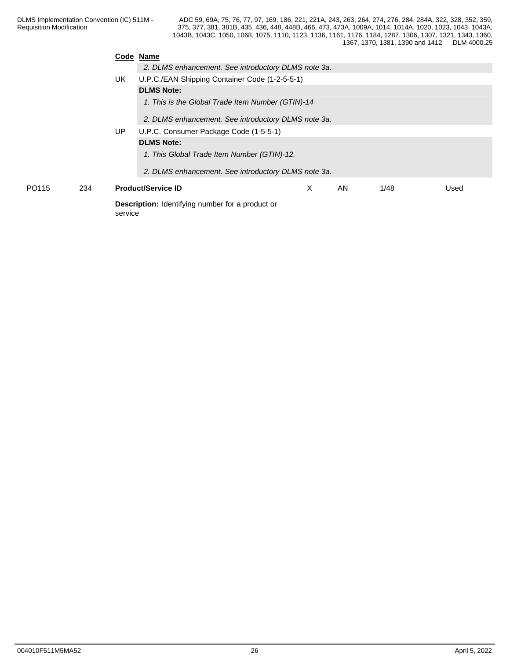|       |     | Code Name |                                                         |          |    |      |      |
|-------|-----|-----------|---------------------------------------------------------|----------|----|------|------|
|       |     |           | 2. DLMS enhancement. See introductory DLMS note 3a.     |          |    |      |      |
|       |     | UK        | U.P.C./EAN Shipping Container Code (1-2-5-5-1)          |          |    |      |      |
|       |     |           | <b>DLMS Note:</b>                                       |          |    |      |      |
|       |     |           | 1. This is the Global Trade Item Number (GTIN)-14       |          |    |      |      |
|       |     |           | 2. DLMS enhancement. See introductory DLMS note 3a.     |          |    |      |      |
|       |     | UP.       | U.P.C. Consumer Package Code (1-5-5-1)                  |          |    |      |      |
|       |     |           | <b>DLMS Note:</b>                                       |          |    |      |      |
|       |     |           | 1. This Global Trade Item Number (GTIN)-12.             |          |    |      |      |
|       |     |           | 2. DLMS enhancement. See introductory DLMS note 3a.     |          |    |      |      |
| PO115 | 234 |           | <b>Product/Service ID</b>                               | $\times$ | AN | 1/48 | Used |
|       |     | service   | <b>Description:</b> Identifying number for a product or |          |    |      |      |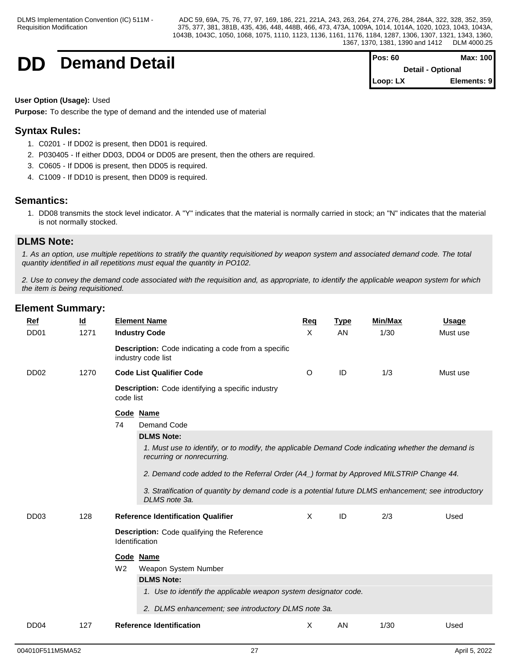

**Demand Detail Pos: 60 Max: 100 Max: 100 Detail - Optional Loop: LX Elements: 9**

#### **User Option (Usage):** Used

**Purpose:** To describe the type of demand and the intended use of material

## **Syntax Rules:**

- 1. C0201 If DD02 is present, then DD01 is required.
- 2. P030405 If either DD03, DD04 or DD05 are present, then the others are required.
- 3. C0605 If DD06 is present, then DD05 is required.
- 4. C1009 If DD10 is present, then DD09 is required.

## **Semantics:**

1. DD08 transmits the stock level indicator. A "Y" indicates that the material is normally carried in stock; an "N" indicates that the material is not normally stocked.

## **DLMS Note:**

*1. As an option, use multiple repetitions to stratify the quantity requisitioned by weapon system and associated demand code. The total quantity identified in all repetitions must equal the quantity in PO102.*

*2. Use to convey the demand code associated with the requisition and, as appropriate, to identify the applicable weapon system for which the item is being requisitioned.*

| Ref              | $\underline{\mathsf{Id}}$ | <b>Element Name</b>                                                                                                              | Req                       | <b>Type</b> | Min/Max | <b>Usage</b> |
|------------------|---------------------------|----------------------------------------------------------------------------------------------------------------------------------|---------------------------|-------------|---------|--------------|
| DD <sub>01</sub> | 1271                      | <b>Industry Code</b>                                                                                                             | X                         | <b>AN</b>   | 1/30    | Must use     |
|                  |                           | <b>Description:</b> Code indicating a code from a specific<br>industry code list                                                 |                           |             |         |              |
| DD <sub>02</sub> | 1270                      | <b>Code List Qualifier Code</b>                                                                                                  | O                         | ID          | 1/3     | Must use     |
|                  |                           | <b>Description:</b> Code identifying a specific industry<br>code list                                                            |                           |             |         |              |
|                  |                           | Code Name                                                                                                                        |                           |             |         |              |
|                  |                           | 74<br>Demand Code                                                                                                                |                           |             |         |              |
|                  |                           | <b>DLMS Note:</b>                                                                                                                |                           |             |         |              |
|                  |                           | 1. Must use to identify, or to modify, the applicable Demand Code indicating whether the demand is<br>recurring or nonrecurring. |                           |             |         |              |
|                  |                           | 2. Demand code added to the Referral Order (A4_) format by Approved MILSTRIP Change 44.                                          |                           |             |         |              |
|                  |                           | 3. Stratification of quantity by demand code is a potential future DLMS enhancement; see introductory<br>DLMS note 3a.           |                           |             |         |              |
| DD <sub>03</sub> | 128                       | <b>Reference Identification Qualifier</b>                                                                                        | $\boldsymbol{\mathsf{X}}$ | ID          | 2/3     | Used         |
|                  |                           | Description: Code qualifying the Reference<br>Identification                                                                     |                           |             |         |              |
|                  |                           | Code Name                                                                                                                        |                           |             |         |              |
|                  |                           | W <sub>2</sub><br>Weapon System Number                                                                                           |                           |             |         |              |
|                  |                           | <b>DLMS Note:</b>                                                                                                                |                           |             |         |              |
|                  |                           | 1. Use to identify the applicable weapon system designator code.                                                                 |                           |             |         |              |
|                  |                           | 2. DLMS enhancement; see introductory DLMS note 3a.                                                                              |                           |             |         |              |
|                  |                           |                                                                                                                                  |                           |             |         |              |
| DD <sub>04</sub> | 127                       | <b>Reference Identification</b>                                                                                                  | Χ                         | AN          | 1/30    | Used         |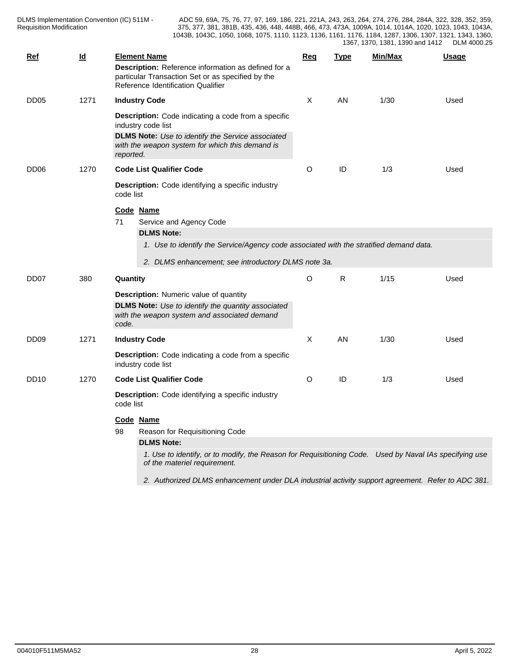| Ref              | $\underline{\mathsf{Id}}$ |           | <b>Element Name</b><br>Description: Reference information as defined for a<br>particular Transaction Set or as specified by the<br>Reference Identification Qualifier | Req | <b>Type</b>  | Min/Max | <b>Usage</b> |
|------------------|---------------------------|-----------|-----------------------------------------------------------------------------------------------------------------------------------------------------------------------|-----|--------------|---------|--------------|
| DD <sub>05</sub> | 1271                      |           | <b>Industry Code</b><br><b>Description:</b> Code indicating a code from a specific<br>industry code list<br><b>DLMS Note:</b> Use to identify the Service associated  | Χ   | AN           | 1/30    | Used         |
| DD <sub>06</sub> | 1270                      | reported. | with the weapon system for which this demand is<br><b>Code List Qualifier Code</b>                                                                                    | O   | ID           | 1/3     | Used         |
|                  |                           | code list | <b>Description:</b> Code identifying a specific industry                                                                                                              |     |              |         |              |
|                  |                           |           | Code Name                                                                                                                                                             |     |              |         |              |
|                  |                           | 71        | Service and Agency Code                                                                                                                                               |     |              |         |              |
|                  |                           |           | <b>DLMS Note:</b><br>1. Use to identify the Service/Agency code associated with the stratified demand data.                                                           |     |              |         |              |
|                  |                           |           | 2. DLMS enhancement; see introductory DLMS note 3a.                                                                                                                   |     |              |         |              |
| DD <sub>07</sub> | 380                       | Quantity  |                                                                                                                                                                       | O   | $\mathsf{R}$ | 1/15    | Used         |
|                  |                           | code.     | <b>Description:</b> Numeric value of quantity<br><b>DLMS Note:</b> Use to identify the quantity associated<br>with the weapon system and associated demand            |     |              |         |              |
| DD <sub>09</sub> | 1271                      |           | <b>Industry Code</b>                                                                                                                                                  | Χ   | AN           | 1/30    | Used         |
|                  |                           |           | <b>Description:</b> Code indicating a code from a specific<br>industry code list                                                                                      |     |              |         |              |
| <b>DD10</b>      | 1270                      |           | <b>Code List Qualifier Code</b>                                                                                                                                       | O   | ID           | 1/3     | Used         |
|                  |                           | code list | <b>Description:</b> Code identifying a specific industry                                                                                                              |     |              |         |              |
|                  |                           | 98        | Code Name<br>Reason for Requisitioning Code                                                                                                                           |     |              |         |              |
|                  |                           |           | <b>DLMS Note:</b>                                                                                                                                                     |     |              |         |              |
|                  |                           |           | 1. Use to identify, or to modify, the Reason for Requisitioning Code. Used by Naval IAs specifying use<br>of the materiel requirement.                                |     |              |         |              |
|                  |                           |           | 2. Authorized DLMS enhancement under DLA industrial activity support agreement. Refer to ADC 381.                                                                     |     |              |         |              |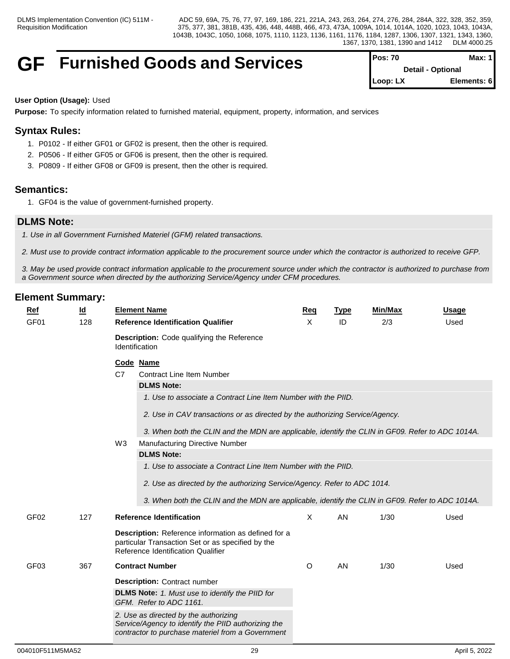## **GF** Furnished Goods and Services

| $Pos: 70$                | Max: $1$    |  |
|--------------------------|-------------|--|
| <b>Detail - Optional</b> |             |  |
| $\mathsf{I}$ Loop: LX    | Elements: 6 |  |

### **User Option (Usage):** Used

**Purpose:** To specify information related to furnished material, equipment, property, information, and services

## **Syntax Rules:**

- 1. P0102 If either GF01 or GF02 is present, then the other is required.
- 2. P0506 If either GF05 or GF06 is present, then the other is required.
- 3. P0809 If either GF08 or GF09 is present, then the other is required.

## **Semantics:**

1. GF04 is the value of government-furnished property.

## **DLMS Note:**

*1. Use in all Government Furnished Materiel (GFM) related transactions.*

*2. Must use to provide contract information applicable to the procurement source under which the contractor is authorized to receive GFP.* 

*3. May be used provide contract information applicable to the procurement source under which the contractor is authorized to purchase from a Government source when directed by the authorizing Service/Agency under CFM procedures.*

| $Ref$            | <u>ld</u> |                | <b>Element Name</b>                                                                                                                            | Req     | <b>Type</b> | Min/Max | <b>Usage</b> |
|------------------|-----------|----------------|------------------------------------------------------------------------------------------------------------------------------------------------|---------|-------------|---------|--------------|
| GF <sub>01</sub> | 128       |                | <b>Reference Identification Qualifier</b>                                                                                                      | X       | ID          | 2/3     | Used         |
|                  |           |                | <b>Description:</b> Code qualifying the Reference<br><b>Identification</b>                                                                     |         |             |         |              |
|                  |           | C <sub>7</sub> | Code Name<br><b>Contract Line Item Number</b>                                                                                                  |         |             |         |              |
|                  |           |                | <b>DLMS Note:</b>                                                                                                                              |         |             |         |              |
|                  |           |                | 1. Use to associate a Contract Line Item Number with the PIID.                                                                                 |         |             |         |              |
|                  |           |                | 2. Use in CAV transactions or as directed by the authorizing Service/Agency.                                                                   |         |             |         |              |
|                  |           |                | 3. When both the CLIN and the MDN are applicable, identify the CLIN in GF09. Refer to ADC 1014A.                                               |         |             |         |              |
|                  |           | W3             | <b>Manufacturing Directive Number</b>                                                                                                          |         |             |         |              |
|                  |           |                | <b>DLMS Note:</b>                                                                                                                              |         |             |         |              |
|                  |           |                | 1. Use to associate a Contract Line Item Number with the PIID.                                                                                 |         |             |         |              |
|                  |           |                | 2. Use as directed by the authorizing Service/Agency. Refer to ADC 1014.                                                                       |         |             |         |              |
|                  |           |                | 3. When both the CLIN and the MDN are applicable, identify the CLIN in GF09. Refer to ADC 1014A.                                               |         |             |         |              |
|                  |           |                |                                                                                                                                                |         |             |         |              |
| GF <sub>02</sub> | 127       |                | <b>Reference Identification</b>                                                                                                                | X       | AN          | 1/30    | Used         |
|                  |           |                | Description: Reference information as defined for a<br>particular Transaction Set or as specified by the<br>Reference Identification Qualifier |         |             |         |              |
|                  |           |                |                                                                                                                                                |         |             |         |              |
| GF <sub>03</sub> | 367       |                | <b>Contract Number</b>                                                                                                                         | $\circ$ | AN          | 1/30    | Used         |
|                  |           |                | <b>Description: Contract number</b>                                                                                                            |         |             |         |              |
|                  |           |                | <b>DLMS Note:</b> 1. Must use to identify the PIID for<br>GFM. Refer to ADC 1161.                                                              |         |             |         |              |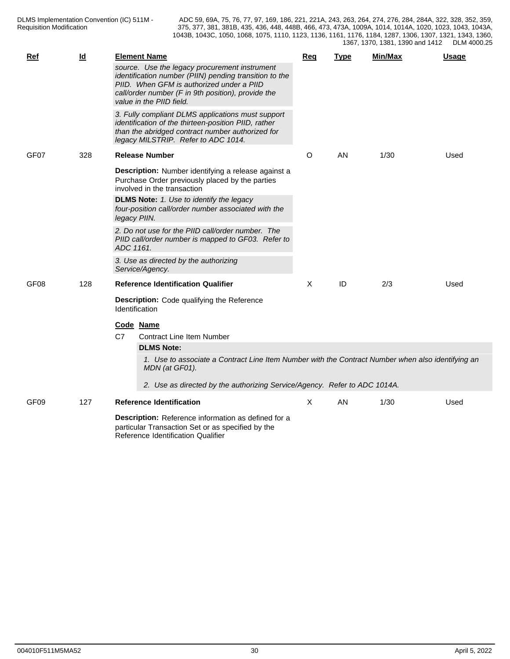| <b>Ref</b>       | $\underline{\mathsf{Id}}$ | <b>Element Name</b>                                                                                                                                                                                                                    | Req     | <b>Type</b> | Min/Max | <u>Usage</u> |
|------------------|---------------------------|----------------------------------------------------------------------------------------------------------------------------------------------------------------------------------------------------------------------------------------|---------|-------------|---------|--------------|
|                  |                           | source. Use the legacy procurement instrument<br>identification number (PIIN) pending transition to the<br>PIID. When GFM is authorized under a PIID<br>call/order number (F in 9th position), provide the<br>value in the PIID field. |         |             |         |              |
|                  |                           | 3. Fully compliant DLMS applications must support<br>identification of the thirteen-position PIID, rather<br>than the abridged contract number authorized for<br>legacy MILSTRIP. Refer to ADC 1014.                                   |         |             |         |              |
| GF07             | 328                       | <b>Release Number</b>                                                                                                                                                                                                                  | $\circ$ | AN          | 1/30    | Used         |
|                  |                           | Description: Number identifying a release against a<br>Purchase Order previously placed by the parties<br>involved in the transaction                                                                                                  |         |             |         |              |
|                  |                           | DLMS Note: 1. Use to identify the legacy<br>four-position call/order number associated with the<br>legacy PIIN.                                                                                                                        |         |             |         |              |
|                  |                           | 2. Do not use for the PIID call/order number. The<br>PIID call/order number is mapped to GF03. Refer to<br>ADC 1161.                                                                                                                   |         |             |         |              |
|                  |                           | 3. Use as directed by the authorizing<br>Service/Agency.                                                                                                                                                                               |         |             |         |              |
| GF <sub>08</sub> | 128                       | <b>Reference Identification Qualifier</b>                                                                                                                                                                                              | X       | ID          | 2/3     | Used         |
|                  |                           | Description: Code qualifying the Reference<br><b>Identification</b>                                                                                                                                                                    |         |             |         |              |
|                  |                           | Code Name<br>C7<br><b>Contract Line Item Number</b>                                                                                                                                                                                    |         |             |         |              |
|                  |                           | <b>DLMS Note:</b>                                                                                                                                                                                                                      |         |             |         |              |
|                  |                           | 1. Use to associate a Contract Line Item Number with the Contract Number when also identifying an<br>MDN (at GF01).                                                                                                                    |         |             |         |              |
|                  |                           | 2. Use as directed by the authorizing Service/Agency. Refer to ADC 1014A.                                                                                                                                                              |         |             |         |              |
| GF09             | 127                       | <b>Reference Identification</b>                                                                                                                                                                                                        | X       | AN          | 1/30    | Used         |
|                  |                           | Description: Reference information as defined for a<br>particular Transaction Set or as specified by the<br>Reference Identification Qualifier                                                                                         |         |             |         |              |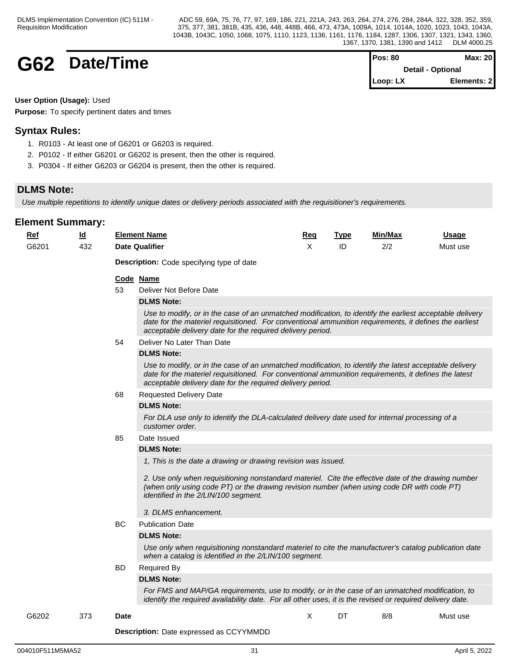## **G62 Date/Time**

| IPos: 80                 | Max: 20     |  |
|--------------------------|-------------|--|
| <b>Detail - Optional</b> |             |  |
| $Loop: LX$               | Elements: 2 |  |

### **User Option (Usage):** Used

**Purpose:** To specify pertinent dates and times

## **Syntax Rules:**

- 1. R0103 At least one of G6201 or G6203 is required.
- 2. P0102 If either G6201 or G6202 is present, then the other is required.
- 3. P0304 If either G6203 or G6204 is present, then the other is required.

## **DLMS Note:**

*Use multiple repetitions to identify unique dates or delivery periods associated with the requisitioner's requirements.*

| $Ref$ | $\underline{\mathsf{Id}}$ |             | <b>Element Name</b>                                                                                                                                                                                                                                                              | <b>Req</b> | <b>Type</b> | Min/Max | <b>Usage</b> |
|-------|---------------------------|-------------|----------------------------------------------------------------------------------------------------------------------------------------------------------------------------------------------------------------------------------------------------------------------------------|------------|-------------|---------|--------------|
| G6201 | 432                       |             | <b>Date Qualifier</b>                                                                                                                                                                                                                                                            | X          | ID          | 2/2     | Must use     |
|       |                           |             | <b>Description:</b> Code specifying type of date                                                                                                                                                                                                                                 |            |             |         |              |
|       |                           |             | Code Name                                                                                                                                                                                                                                                                        |            |             |         |              |
|       |                           | 53          | Deliver Not Before Date                                                                                                                                                                                                                                                          |            |             |         |              |
|       |                           |             | <b>DLMS Note:</b>                                                                                                                                                                                                                                                                |            |             |         |              |
|       |                           |             | Use to modify, or in the case of an unmatched modification, to identify the earliest acceptable delivery<br>date for the materiel requisitioned. For conventional ammunition requirements, it defines the earliest<br>acceptable delivery date for the required delivery period. |            |             |         |              |
|       |                           | 54          | Deliver No Later Than Date                                                                                                                                                                                                                                                       |            |             |         |              |
|       |                           |             | <b>DLMS Note:</b>                                                                                                                                                                                                                                                                |            |             |         |              |
|       |                           |             | Use to modify, or in the case of an unmatched modification, to identify the latest acceptable delivery<br>date for the materiel requisitioned. For conventional ammunition requirements, it defines the latest<br>acceptable delivery date for the required delivery period.     |            |             |         |              |
|       |                           | 68          | <b>Requested Delivery Date</b>                                                                                                                                                                                                                                                   |            |             |         |              |
|       |                           |             | <b>DLMS Note:</b>                                                                                                                                                                                                                                                                |            |             |         |              |
|       |                           |             | For DLA use only to identify the DLA-calculated delivery date used for internal processing of a<br>customer order.                                                                                                                                                               |            |             |         |              |
|       |                           | 85          | Date Issued                                                                                                                                                                                                                                                                      |            |             |         |              |
|       |                           |             | <b>DLMS Note:</b>                                                                                                                                                                                                                                                                |            |             |         |              |
|       |                           |             | 1, This is the date a drawing or drawing revision was issued.                                                                                                                                                                                                                    |            |             |         |              |
|       |                           |             | 2. Use only when requisitioning nonstandard materiel. Cite the effective date of the drawing number<br>(when only using code PT) or the drawing revision number (when using code DR with code PT)<br>identified in the 2/LIN/100 segment.                                        |            |             |         |              |
|       |                           |             | 3. DLMS enhancement.                                                                                                                                                                                                                                                             |            |             |         |              |
|       |                           | <b>BC</b>   | <b>Publication Date</b>                                                                                                                                                                                                                                                          |            |             |         |              |
|       |                           |             | <b>DLMS Note:</b>                                                                                                                                                                                                                                                                |            |             |         |              |
|       |                           |             | Use only when requisitioning nonstandard materiel to cite the manufacturer's catalog publication date<br>when a catalog is identified in the 2/LIN/100 segment.                                                                                                                  |            |             |         |              |
|       |                           | BD          | <b>Required By</b>                                                                                                                                                                                                                                                               |            |             |         |              |
|       |                           |             | <b>DLMS Note:</b>                                                                                                                                                                                                                                                                |            |             |         |              |
|       |                           |             | For FMS and MAP/GA requirements, use to modify, or in the case of an unmatched modification, to<br>identify the required availability date. For all other uses, it is the revised or required delivery date.                                                                     |            |             |         |              |
| G6202 | 373                       | <b>Date</b> |                                                                                                                                                                                                                                                                                  | X          | DT          | 8/8     | Must use     |
|       |                           |             |                                                                                                                                                                                                                                                                                  |            |             |         |              |
|       |                           |             | <b>Description:</b> Date expressed as CCYYMMDD                                                                                                                                                                                                                                   |            |             |         |              |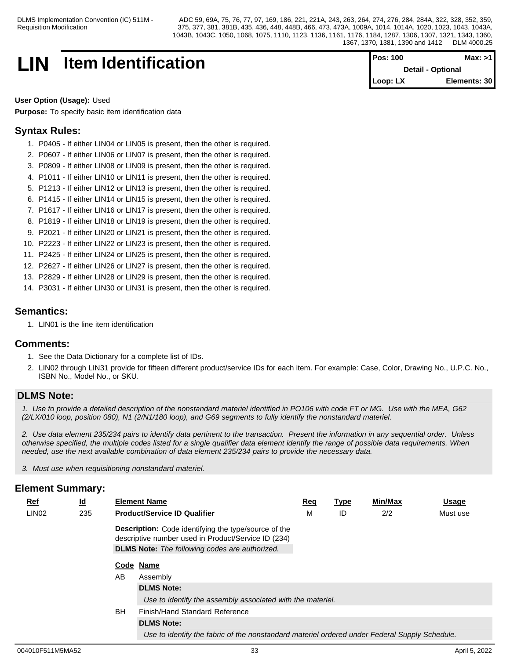## **LIN Item Identification Pos: 100 Max: >1**

**Detail - Optional Loop: LX Elements: 30**

#### **User Option (Usage):** Used

**Purpose:** To specify basic item identification data

## **Syntax Rules:**

- 1. P0405 If either LIN04 or LIN05 is present, then the other is required.
- 2. P0607 If either LIN06 or LIN07 is present, then the other is required.
- 3. P0809 If either LIN08 or LIN09 is present, then the other is required.
- 4. P1011 If either LIN10 or LIN11 is present, then the other is required.
- 5. P1213 If either LIN12 or LIN13 is present, then the other is required.
- 6. P1415 If either LIN14 or LIN15 is present, then the other is required.
- 7. P1617 If either LIN16 or LIN17 is present, then the other is required.
- 8. P1819 If either LIN18 or LIN19 is present, then the other is required.
- 9. P2021 If either LIN20 or LIN21 is present, then the other is required.
- 10. P2223 If either LIN22 or LIN23 is present, then the other is required.
- 11. P2425 If either LIN24 or LIN25 is present, then the other is required.
- 12. P2627 If either LIN26 or LIN27 is present, then the other is required.
- 13. P2829 If either LIN28 or LIN29 is present, then the other is required.
- 14. P3031 If either LIN30 or LIN31 is present, then the other is required.

### **Semantics:**

1. LIN01 is the line item identification

#### **Comments:**

- 1. See the Data Dictionary for a complete list of IDs.
- 2. LIN02 through LIN31 provide for fifteen different product/service IDs for each item. For example: Case, Color, Drawing No., U.P.C. No., ISBN No., Model No., or SKU.

## **DLMS Note:**

*1. Use to provide a detailed description of the nonstandard materiel identified in PO106 with code FT or MG. Use with the MEA, G62 (2/LX/010 loop, position 080), N1 (2/N1/180 loop), and G69 segments to fully identify the nonstandard materiel.*

*2. Use data element 235/234 pairs to identify data pertinent to the transaction. Present the information in any sequential order. Unless otherwise specified, the multiple codes listed for a single qualifier data element identify the range of possible data requirements. When needed, use the next available combination of data element 235/234 pairs to provide the necessary data.*

*3. Must use when requisitioning nonstandard materiel.*

| $Ref$             | <u>ld</u> |           | <b>Element Name</b>                                                                                                | <b>Req</b> | <b>Type</b> | Min/Max | <b>Usage</b> |
|-------------------|-----------|-----------|--------------------------------------------------------------------------------------------------------------------|------------|-------------|---------|--------------|
| LIN <sub>02</sub> | 235       |           | <b>Product/Service ID Qualifier</b>                                                                                | M          | ID          | 2/2     | Must use     |
|                   |           |           | <b>Description:</b> Code identifying the type/source of the<br>descriptive number used in Product/Service ID (234) |            |             |         |              |
|                   |           |           | <b>DLMS Note:</b> The following codes are authorized.                                                              |            |             |         |              |
|                   |           |           | Code Name                                                                                                          |            |             |         |              |
|                   |           | AB        | Assembly                                                                                                           |            |             |         |              |
|                   |           |           | <b>DLMS Note:</b>                                                                                                  |            |             |         |              |
|                   |           |           | Use to identify the assembly associated with the materiel.                                                         |            |             |         |              |
|                   |           | <b>BH</b> | Finish/Hand Standard Reference                                                                                     |            |             |         |              |
|                   |           |           | <b>DLMS Note:</b>                                                                                                  |            |             |         |              |
|                   |           |           | Use to identify the fabric of the nonstandard materiel ordered under Federal Supply Schedule.                      |            |             |         |              |
|                   |           |           |                                                                                                                    |            |             |         |              |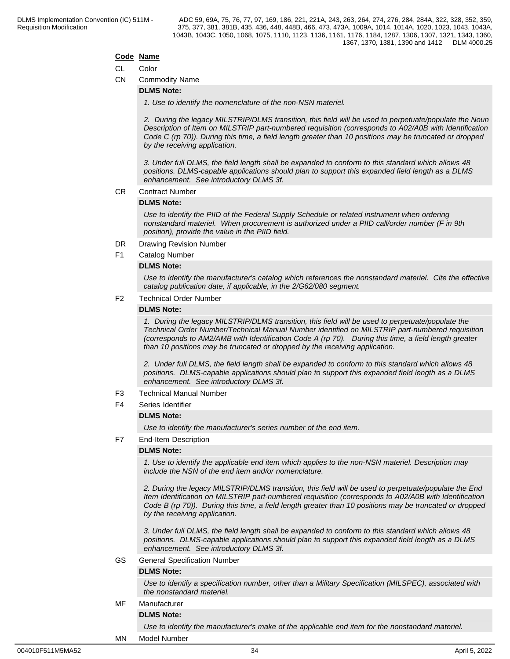#### **Code Name**

#### CL Color

CN Commodity Name

#### **DLMS Note:**

*1. Use to identify the nomenclature of the non-NSN materiel.*

*2. During the legacy MILSTRIP/DLMS transition, this field will be used to perpetuate/populate the Noun Description of Item on MILSTRIP part-numbered requisition (corresponds to A02/A0B with Identification Code C (rp 70)). During this time, a field length greater than 10 positions may be truncated or dropped by the receiving application.* 

*3. Under full DLMS, the field length shall be expanded to conform to this standard which allows 48 positions. DLMS-capable applications should plan to support this expanded field length as a DLMS enhancement. See introductory DLMS 3f.*

CR Contract Number

#### **DLMS Note:**

*Use to identify the PIID of the Federal Supply Schedule or related instrument when ordering nonstandard materiel. When procurement is authorized under a PIID call/order number (F in 9th position), provide the value in the PIID field.*

- DR Drawing Revision Number
- F1 Catalog Number

#### **DLMS Note:**

*Use to identify the manufacturer's catalog which references the nonstandard materiel. Cite the effective catalog publication date, if applicable, in the 2/G62/080 segment.*

### F2 Technical Order Number

#### **DLMS Note:**

*1. During the legacy MILSTRIP/DLMS transition, this field will be used to perpetuate/populate the Technical Order Number/Technical Manual Number identified on MILSTRIP part-numbered requisition (corresponds to AM2/AMB with Identification Code A (rp 70). During this time, a field length greater than 10 positions may be truncated or dropped by the receiving application.* 

*2. Under full DLMS, the field length shall be expanded to conform to this standard which allows 48 positions. DLMS-capable applications should plan to support this expanded field length as a DLMS enhancement. See introductory DLMS 3f.*

- F3 Technical Manual Number
- F4 Series Identifier

#### **DLMS Note:**

*Use to identify the manufacturer's series number of the end item.*

F7 End-Item Description

#### **DLMS Note:**

*1. Use to identify the applicable end item which applies to the non-NSN materiel. Description may include the NSN of the end item and/or nomenclature.*

*2. During the legacy MILSTRIP/DLMS transition, this field will be used to perpetuate/populate the End Item Identification on MILSTRIP part-numbered requisition (corresponds to A02/A0B with Identification Code B (rp 70)). During this time, a field length greater than 10 positions may be truncated or dropped by the receiving application.* 

*3. Under full DLMS, the field length shall be expanded to conform to this standard which allows 48 positions. DLMS-capable applications should plan to support this expanded field length as a DLMS enhancement. See introductory DLMS 3f.*

GS General Specification Number

#### **DLMS Note:**

*Use to identify a specification number, other than a Military Specification (MILSPEC), associated with the nonstandard materiel.*

## MF Manufacturer

## **DLMS Note:**

*Use to identify the manufacturer's make of the applicable end item for the nonstandard materiel.*

#### MN Model Number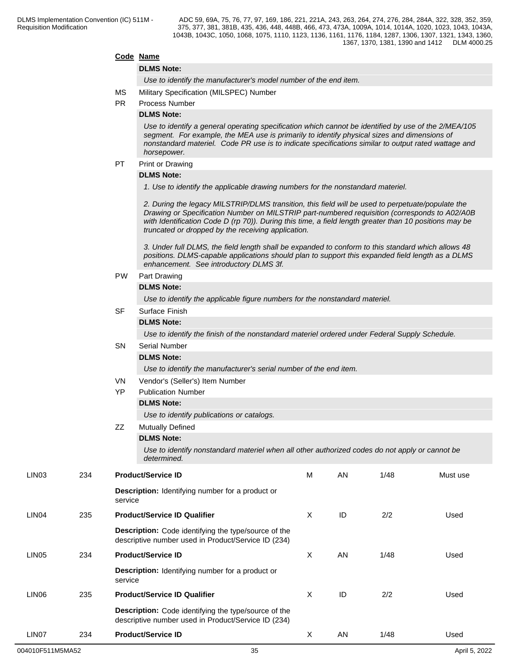#### **Code Name**

#### **DLMS Note:**

*Use to identify the manufacturer's model number of the end item.*

- MS Military Specification (MILSPEC) Number
- PR Process Number

#### **DLMS Note:**

*Use to identify a general operating specification which cannot be identified by use of the 2/MEA/105 segment. For example, the MEA use is primarily to identify physical sizes and dimensions of nonstandard materiel. Code PR use is to indicate specifications similar to output rated wattage and horsepower.*

### PT Print or Drawing

#### **DLMS Note:**

*1. Use to identify the applicable drawing numbers for the nonstandard materiel.*

*2. During the legacy MILSTRIP/DLMS transition, this field will be used to perpetuate/populate the Drawing or Specification Number on MILSTRIP part-numbered requisition (corresponds to A02/A0B with Identification Code D (rp 70)). During this time, a field length greater than 10 positions may be truncated or dropped by the receiving application.* 

*3. Under full DLMS, the field length shall be expanded to conform to this standard which allows 48 positions. DLMS-capable applications should plan to support this expanded field length as a DLMS enhancement. See introductory DLMS 3f.*

#### PW Part Drawing

#### **DLMS Note:**

*Use to identify the applicable figure numbers for the nonstandard materiel.*

#### SF Surface Finish

#### **DLMS Note:**

*Use to identify the finish of the nonstandard materiel ordered under Federal Supply Schedule.*

## SN Serial Number

**DLMS Note:**

*Use to identify the manufacturer's serial number of the end item.*

- VN Vendor's (Seller's) Item Number
- YP Publication Number

#### **DLMS Note:**

*Use to identify publications or catalogs.*

## ZZ Mutually Defined

### **DLMS Note:**

*Use to identify nonstandard materiel when all other authorized codes do not apply or cannot be determined.*

| LIN <sub>03</sub> | 234 | <b>Product/Service ID</b>                                                                                          | M | AN | 1/48 | Must use |
|-------------------|-----|--------------------------------------------------------------------------------------------------------------------|---|----|------|----------|
|                   |     | <b>Description:</b> Identifying number for a product or<br>service                                                 |   |    |      |          |
| LIN <sub>04</sub> | 235 | <b>Product/Service ID Qualifier</b>                                                                                | X | ID | 2/2  | Used     |
|                   |     | <b>Description:</b> Code identifying the type/source of the<br>descriptive number used in Product/Service ID (234) |   |    |      |          |
| LIN <sub>05</sub> | 234 | <b>Product/Service ID</b>                                                                                          | X | AN | 1/48 | Used     |
|                   |     | <b>Description:</b> Identifying number for a product or<br>service                                                 |   |    |      |          |
| LIN <sub>06</sub> | 235 | <b>Product/Service ID Qualifier</b>                                                                                | X | ID | 2/2  | Used     |
|                   |     | <b>Description:</b> Code identifying the type/source of the<br>descriptive number used in Product/Service ID (234) |   |    |      |          |
| LIN <sub>07</sub> | 234 | <b>Product/Service ID</b>                                                                                          | X | AN | 1/48 | Used     |
|                   |     |                                                                                                                    |   |    |      |          |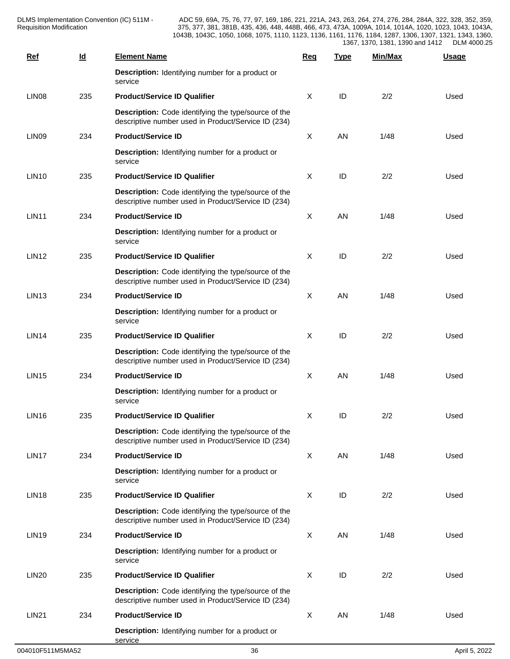| $Ref$             | $\underline{\mathsf{Id}}$ | <b>Element Name</b>                                                                                         | <b>Req</b>                | <b>Type</b> | Min/Max | <b>Usage</b> |  |
|-------------------|---------------------------|-------------------------------------------------------------------------------------------------------------|---------------------------|-------------|---------|--------------|--|
|                   |                           | Description: Identifying number for a product or<br>service                                                 |                           |             |         |              |  |
| LIN <sub>08</sub> | 235                       | <b>Product/Service ID Qualifier</b>                                                                         | X                         | ID          | 2/2     | Used         |  |
|                   |                           | Description: Code identifying the type/source of the<br>descriptive number used in Product/Service ID (234) |                           |             |         |              |  |
| LIN <sub>09</sub> | 234                       | <b>Product/Service ID</b>                                                                                   | X                         | AN          | 1/48    | Used         |  |
|                   |                           | Description: Identifying number for a product or<br>service                                                 |                           |             |         |              |  |
| <b>LIN10</b>      | 235                       | <b>Product/Service ID Qualifier</b>                                                                         | X                         | ID          | 2/2     | Used         |  |
|                   |                           | Description: Code identifying the type/source of the<br>descriptive number used in Product/Service ID (234) |                           |             |         |              |  |
| <b>LIN11</b>      | 234                       | <b>Product/Service ID</b>                                                                                   | $\boldsymbol{\mathsf{X}}$ | AN          | 1/48    | Used         |  |
|                   |                           | <b>Description:</b> Identifying number for a product or<br>service                                          |                           |             |         |              |  |
| <b>LIN12</b>      | 235                       | <b>Product/Service ID Qualifier</b>                                                                         | X                         | ID          | 2/2     | Used         |  |
|                   |                           | Description: Code identifying the type/source of the<br>descriptive number used in Product/Service ID (234) |                           |             |         |              |  |
| LIN <sub>13</sub> | 234                       | <b>Product/Service ID</b>                                                                                   | $\sf X$                   | AN          | 1/48    | Used         |  |
|                   |                           | Description: Identifying number for a product or<br>service                                                 |                           |             |         |              |  |
| <b>LIN14</b>      | 235                       | <b>Product/Service ID Qualifier</b>                                                                         | X                         | ID          | 2/2     | Used         |  |
|                   |                           | Description: Code identifying the type/source of the<br>descriptive number used in Product/Service ID (234) |                           |             |         |              |  |
| <b>LIN15</b>      | 234                       | <b>Product/Service ID</b>                                                                                   | $\boldsymbol{\mathsf{X}}$ | AN          | 1/48    | Used         |  |
|                   |                           | Description: Identifying number for a product or<br>service                                                 |                           |             |         |              |  |
| <b>LIN16</b>      | 235                       | <b>Product/Service ID Qualifier</b>                                                                         | X                         | ID          | 2/2     | Used         |  |
|                   |                           | Description: Code identifying the type/source of the<br>descriptive number used in Product/Service ID (234) |                           |             |         |              |  |
| LIN17             | 234                       | <b>Product/Service ID</b>                                                                                   | $\sf X$                   | AN          | 1/48    | Used         |  |
|                   |                           | Description: Identifying number for a product or<br>service                                                 |                           |             |         |              |  |
| <b>LIN18</b>      | 235                       | <b>Product/Service ID Qualifier</b>                                                                         | $\sf X$                   | $\sf ID$    | 2/2     | Used         |  |
|                   |                           | Description: Code identifying the type/source of the<br>descriptive number used in Product/Service ID (234) |                           |             |         |              |  |
| <b>LIN19</b>      | 234                       | <b>Product/Service ID</b>                                                                                   | $\sf X$                   | AN          | 1/48    | Used         |  |
|                   |                           | <b>Description:</b> Identifying number for a product or<br>service                                          |                           |             |         |              |  |
| <b>LIN20</b>      | 235                       | <b>Product/Service ID Qualifier</b>                                                                         | $\sf X$                   | ID          | 2/2     | Used         |  |
|                   |                           | Description: Code identifying the type/source of the<br>descriptive number used in Product/Service ID (234) |                           |             |         |              |  |
| <b>LIN21</b>      | 234                       | <b>Product/Service ID</b>                                                                                   | $\sf X$                   | AN          | 1/48    | Used         |  |
|                   |                           | <b>Description:</b> Identifying number for a product or<br>service                                          |                           |             |         |              |  |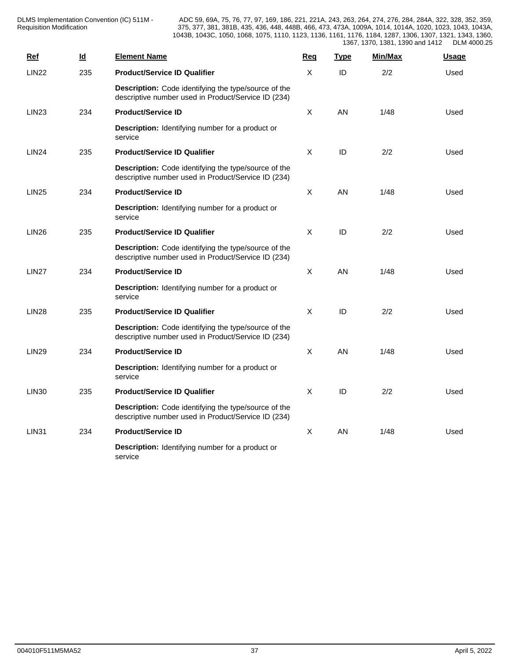| <b>Ref</b>   | $\underline{\mathsf{Id}}$ | <b>Element Name</b>                                                                                         | Req          | <b>Type</b> | Min/Max | <b>Usage</b> |
|--------------|---------------------------|-------------------------------------------------------------------------------------------------------------|--------------|-------------|---------|--------------|
| <b>LIN22</b> | 235                       | <b>Product/Service ID Qualifier</b>                                                                         | X            | ID          | 2/2     | Used         |
|              |                           | Description: Code identifying the type/source of the<br>descriptive number used in Product/Service ID (234) |              |             |         |              |
| <b>LIN23</b> | 234                       | <b>Product/Service ID</b>                                                                                   | $\mathsf{X}$ | <b>AN</b>   | 1/48    | Used         |
|              |                           | Description: Identifying number for a product or<br>service                                                 |              |             |         |              |
| <b>LIN24</b> | 235                       | <b>Product/Service ID Qualifier</b>                                                                         | X            | ID          | 2/2     | Used         |
|              |                           | Description: Code identifying the type/source of the<br>descriptive number used in Product/Service ID (234) |              |             |         |              |
| <b>LIN25</b> | 234                       | <b>Product/Service ID</b>                                                                                   | $\mathsf{X}$ | <b>AN</b>   | 1/48    | Used         |
|              |                           | Description: Identifying number for a product or<br>service                                                 |              |             |         |              |
| <b>LIN26</b> | 235                       | <b>Product/Service ID Qualifier</b>                                                                         | X            | ID          | 2/2     | Used         |
|              |                           | Description: Code identifying the type/source of the<br>descriptive number used in Product/Service ID (234) |              |             |         |              |
| <b>LIN27</b> | 234                       | <b>Product/Service ID</b>                                                                                   | $\mathsf{X}$ | <b>AN</b>   | 1/48    | Used         |
|              |                           | <b>Description:</b> Identifying number for a product or<br>service                                          |              |             |         |              |
| <b>LIN28</b> | 235                       | <b>Product/Service ID Qualifier</b>                                                                         | $\mathsf{X}$ | ID          | 2/2     | Used         |
|              |                           | Description: Code identifying the type/source of the<br>descriptive number used in Product/Service ID (234) |              |             |         |              |
| <b>LIN29</b> | 234                       | <b>Product/Service ID</b>                                                                                   | X            | AN          | 1/48    | Used         |
|              |                           | Description: Identifying number for a product or<br>service                                                 |              |             |         |              |
| <b>LIN30</b> | 235                       | <b>Product/Service ID Qualifier</b>                                                                         | X            | ID          | 2/2     | Used         |
|              |                           | Description: Code identifying the type/source of the<br>descriptive number used in Product/Service ID (234) |              |             |         |              |
| <b>LIN31</b> | 234                       | <b>Product/Service ID</b>                                                                                   | $\mathsf{X}$ | AN          | 1/48    | Used         |
|              |                           | <b>Description:</b> Identifying number for a product or<br>service                                          |              |             |         |              |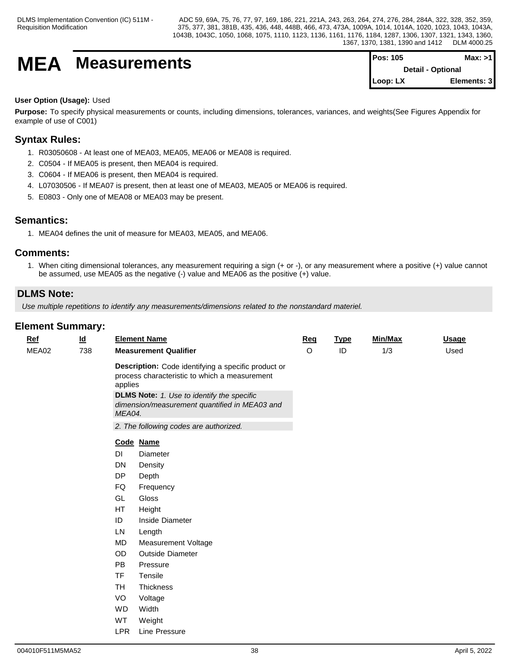# **MEA** Measurements

| $Pos: 105$               | Max: >11    |  |
|--------------------------|-------------|--|
| <b>Detail - Optional</b> |             |  |
| $Loop: LX$               | Elements: 3 |  |

### **User Option (Usage):** Used

**Purpose:** To specify physical measurements or counts, including dimensions, tolerances, variances, and weights(See Figures Appendix for example of use of C001)

## **Syntax Rules:**

- 1. R03050608 At least one of MEA03, MEA05, MEA06 or MEA08 is required.
- 2. C0504 If MEA05 is present, then MEA04 is required.
- 3. C0604 If MEA06 is present, then MEA04 is required.
- 4. L07030506 If MEA07 is present, then at least one of MEA03, MEA05 or MEA06 is required.
- 5. E0803 Only one of MEA08 or MEA03 may be present.

## **Semantics:**

1. MEA04 defines the unit of measure for MEA03, MEA05, and MEA06.

## **Comments:**

1. When citing dimensional tolerances, any measurement requiring a sign (+ or -), or any measurement where a positive (+) value cannot be assumed, use MEA05 as the negative (-) value and MEA06 as the positive (+) value.

## **DLMS Note:**

*Use multiple repetitions to identify any measurements/dimensions related to the nonstandard materiel.*

| Ref   | $\underline{\mathsf{Id}}$ |                   | <b>Element Name</b>                                                                                                                                                                                        | Req     | <b>Type</b> | Min/Max | <b>Usage</b> |  |
|-------|---------------------------|-------------------|------------------------------------------------------------------------------------------------------------------------------------------------------------------------------------------------------------|---------|-------------|---------|--------------|--|
| MEA02 | 738                       |                   | <b>Measurement Qualifier</b>                                                                                                                                                                               | $\circ$ | ID          | 1/3     | Used         |  |
|       |                           | applies<br>MEA04. | Description: Code identifying a specific product or<br>process characteristic to which a measurement<br><b>DLMS Note:</b> 1. Use to identify the specific<br>dimension/measurement quantified in MEA03 and |         |             |         |              |  |
|       |                           |                   | 2. The following codes are authorized.                                                                                                                                                                     |         |             |         |              |  |
|       |                           |                   | Code Name                                                                                                                                                                                                  |         |             |         |              |  |
|       |                           | DI                | Diameter                                                                                                                                                                                                   |         |             |         |              |  |
|       |                           | DN                | Density                                                                                                                                                                                                    |         |             |         |              |  |
|       |                           | DP                | Depth                                                                                                                                                                                                      |         |             |         |              |  |
|       |                           | FQ                | Frequency                                                                                                                                                                                                  |         |             |         |              |  |
|       |                           | GL                | Gloss                                                                                                                                                                                                      |         |             |         |              |  |
|       |                           | <b>HT</b>         | Height                                                                                                                                                                                                     |         |             |         |              |  |
|       |                           | ID                | Inside Diameter                                                                                                                                                                                            |         |             |         |              |  |
|       |                           | LN                | Length                                                                                                                                                                                                     |         |             |         |              |  |
|       |                           | <b>MD</b>         | Measurement Voltage                                                                                                                                                                                        |         |             |         |              |  |
|       |                           | OD                | <b>Outside Diameter</b>                                                                                                                                                                                    |         |             |         |              |  |
|       |                           | <b>PB</b>         | Pressure                                                                                                                                                                                                   |         |             |         |              |  |
|       |                           | <b>TF</b>         | Tensile                                                                                                                                                                                                    |         |             |         |              |  |
|       |                           | <b>TH</b>         | Thickness                                                                                                                                                                                                  |         |             |         |              |  |
|       |                           | VO                | Voltage                                                                                                                                                                                                    |         |             |         |              |  |
|       |                           | <b>WD</b>         | Width                                                                                                                                                                                                      |         |             |         |              |  |
|       |                           | WT                | Weight                                                                                                                                                                                                     |         |             |         |              |  |
|       |                           | <b>LPR</b>        | Line Pressure                                                                                                                                                                                              |         |             |         |              |  |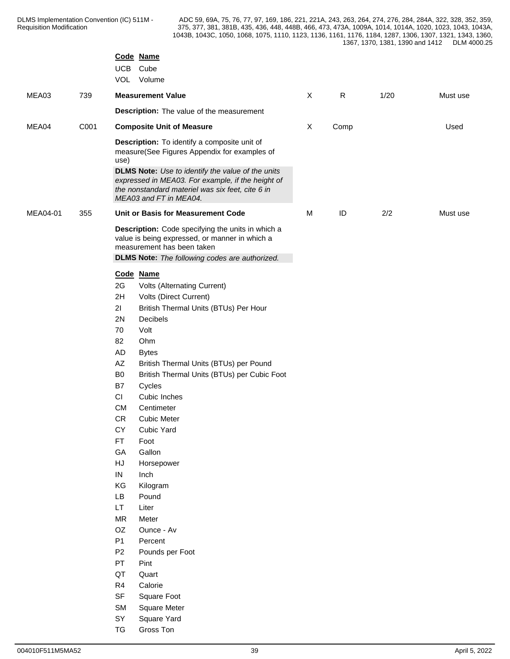|          |      | Code Name<br>UCB Cube<br>VOL Volume    |                                                                                                                                                                   |                           |           |      |          |
|----------|------|----------------------------------------|-------------------------------------------------------------------------------------------------------------------------------------------------------------------|---------------------------|-----------|------|----------|
| MEA03    | 739  | <b>Measurement Value</b>               |                                                                                                                                                                   | $\boldsymbol{\mathsf{X}}$ | ${\sf R}$ | 1/20 | Must use |
|          |      |                                        | Description: The value of the measurement                                                                                                                         |                           |           |      |          |
| MEA04    | C001 | <b>Composite Unit of Measure</b>       |                                                                                                                                                                   | $\boldsymbol{\mathsf{X}}$ | Comp      |      | Used     |
|          |      |                                        |                                                                                                                                                                   |                           |           |      |          |
|          |      | use)                                   | Description: To identify a composite unit of<br>measure(See Figures Appendix for examples of                                                                      |                           |           |      |          |
|          |      | MEA03 and FT in MEA04.                 | <b>DLMS Note:</b> Use to identify the value of the units<br>expressed in MEA03. For example, if the height of<br>the nonstandard materiel was six feet, cite 6 in |                           |           |      |          |
| MEA04-01 | 355  |                                        | Unit or Basis for Measurement Code                                                                                                                                | M                         | ID        | 2/2  | Must use |
|          |      | measurement has been taken             | Description: Code specifying the units in which a<br>value is being expressed, or manner in which a<br><b>DLMS Note:</b> The following codes are authorized.      |                           |           |      |          |
|          |      | Code Name                              |                                                                                                                                                                   |                           |           |      |          |
|          |      | 2G                                     | Volts (Alternating Current)                                                                                                                                       |                           |           |      |          |
|          |      | 2H                                     | Volts (Direct Current)                                                                                                                                            |                           |           |      |          |
|          |      | 21<br>2N<br>Decibels                   | British Thermal Units (BTUs) Per Hour                                                                                                                             |                           |           |      |          |
|          |      | 70<br>Volt                             |                                                                                                                                                                   |                           |           |      |          |
|          |      | 82<br>Ohm                              |                                                                                                                                                                   |                           |           |      |          |
|          |      | AD<br><b>Bytes</b>                     |                                                                                                                                                                   |                           |           |      |          |
|          |      | $\mathsf{A}\mathsf{Z}$                 | British Thermal Units (BTUs) per Pound                                                                                                                            |                           |           |      |          |
|          |      | B <sub>0</sub>                         | British Thermal Units (BTUs) per Cubic Foot                                                                                                                       |                           |           |      |          |
|          |      | B7<br>Cycles                           |                                                                                                                                                                   |                           |           |      |          |
|          |      | CI<br>Cubic Inches<br>CM<br>Centimeter |                                                                                                                                                                   |                           |           |      |          |
|          |      | ${\sf CR}$<br><b>Cubic Meter</b>       |                                                                                                                                                                   |                           |           |      |          |
|          |      | CY<br>Cubic Yard                       |                                                                                                                                                                   |                           |           |      |          |
|          |      | FT.<br>Foot                            |                                                                                                                                                                   |                           |           |      |          |
|          |      | GA<br>Gallon                           |                                                                                                                                                                   |                           |           |      |          |
|          |      | HJ<br>Horsepower                       |                                                                                                                                                                   |                           |           |      |          |
|          |      | IN<br>Inch                             |                                                                                                                                                                   |                           |           |      |          |
|          |      | KG<br>Kilogram                         |                                                                                                                                                                   |                           |           |      |          |
|          |      | <b>LB</b><br>Pound<br>LT.<br>Liter     |                                                                                                                                                                   |                           |           |      |          |
|          |      | <b>MR</b><br>Meter                     |                                                                                                                                                                   |                           |           |      |          |
|          |      | OZ<br>Ounce - Av                       |                                                                                                                                                                   |                           |           |      |          |
|          |      | <b>P1</b><br>Percent                   |                                                                                                                                                                   |                           |           |      |          |
|          |      | P <sub>2</sub><br>Pounds per Foot      |                                                                                                                                                                   |                           |           |      |          |
|          |      | PT<br>Pint                             |                                                                                                                                                                   |                           |           |      |          |
|          |      | QT<br>Quart                            |                                                                                                                                                                   |                           |           |      |          |
|          |      | R <sub>4</sub><br>Calorie              |                                                                                                                                                                   |                           |           |      |          |
|          |      | SF<br>Square Foot                      |                                                                                                                                                                   |                           |           |      |          |
|          |      | <b>SM</b><br><b>Square Meter</b><br>SY |                                                                                                                                                                   |                           |           |      |          |
|          |      | Square Yard<br>TG<br>Gross Ton         |                                                                                                                                                                   |                           |           |      |          |
|          |      |                                        |                                                                                                                                                                   |                           |           |      |          |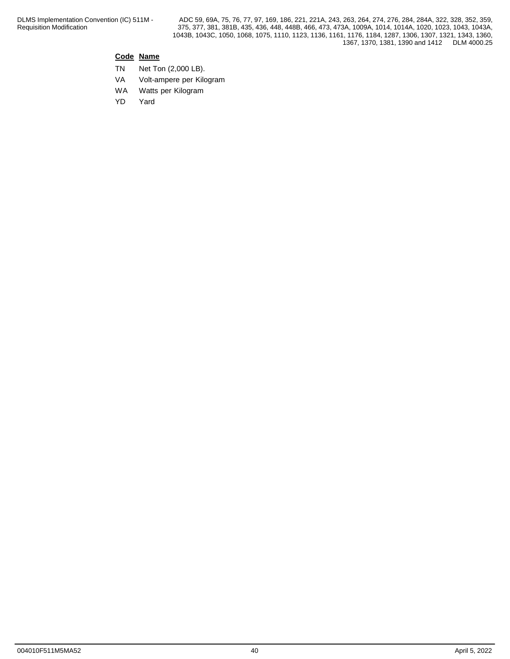## **Code Name**

- TN Net Ton (2,000 LB).
- VA Volt-ampere per Kilogram
- WA Watts per Kilogram
- YD Yard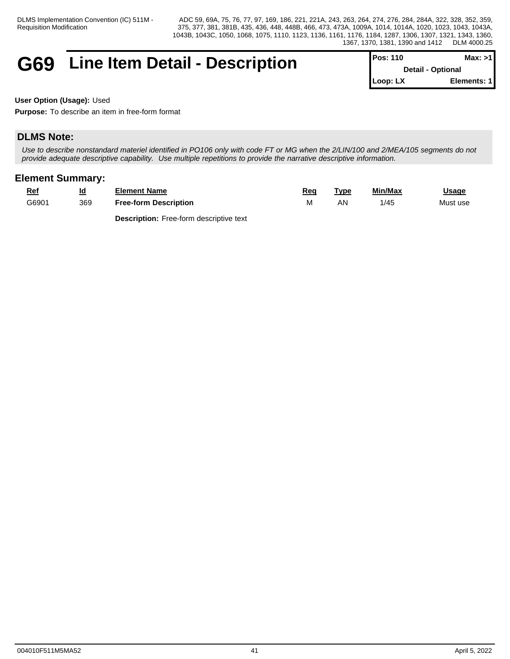## **G69** Line Item Detail - Description

| $Pos: 110$               | Max: >11     |  |
|--------------------------|--------------|--|
| <b>Detail - Optional</b> |              |  |
| $Loop: LX$               | Elements: 11 |  |

**User Option (Usage):** Used

**Purpose:** To describe an item in free-form format

## **DLMS Note:**

*Use to describe nonstandard materiel identified in PO106 only with code FT or MG when the 2/LIN/100 and 2/MEA/105 segments do not provide adequate descriptive capability. Use multiple repetitions to provide the narrative descriptive information.*

## **Element Summary:**

| Re    | Id<br>_ | Element Name                 | Rec  | ™vpe | Min/Max                 | <b>Usage</b> |  |
|-------|---------|------------------------------|------|------|-------------------------|--------------|--|
| G6901 | 369     | <b>Free-form Description</b> | ו שו | А٨   | $\sqrt{1 + r}$<br>ب47 - | Must use     |  |

**Description:** Free-form descriptive text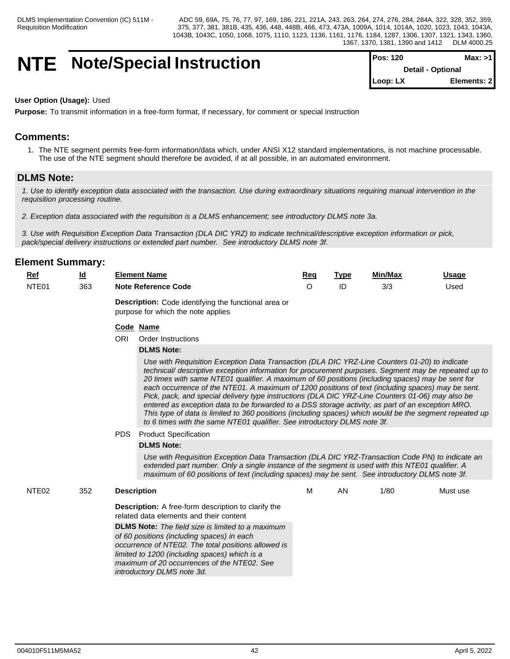## **NTE** Note/Special Instruction

| $Pos: 120$               | Max: >1     |  |
|--------------------------|-------------|--|
| <b>Detail - Optional</b> |             |  |
| $\mathsf{Loop: LX}$      | Elements: 2 |  |

#### **User Option (Usage):** Used

**Purpose:** To transmit information in a free-form format, if necessary, for comment or special instruction

## **Comments:**

1. The NTE segment permits free-form information/data which, under ANSI X12 standard implementations, is not machine processable. The use of the NTE segment should therefore be avoided, if at all possible, in an automated environment.

### **DLMS Note:**

*1. Use to identify exception data associated with the transaction. Use during extraordinary situations requiring manual intervention in the requisition processing routine.*

*2. Exception data associated with the requisition is a DLMS enhancement; see introductory DLMS note 3a.* 

*3. Use with Requisition Exception Data Transaction (DLA DIC YRZ) to indicate technical/descriptive exception information or pick, pack/special delivery instructions or extended part number. See introductory DLMS note 3f.*

## **Element Summary:**

| <u>Ref</u> | ıd<br>_ | Element Name               | Reg | <b>Tvpe</b> | Min/Max | Usaɑe |
|------------|---------|----------------------------|-----|-------------|---------|-------|
| NTE01      | 363     | <b>Note Reference Code</b> |     |             | 3/3     | Used  |
|            |         |                            |     |             |         |       |

**Description:** Code identifying the functional area or purpose for which the note applies

#### **Code Name**

ORI Order Instructions

#### **DLMS Note:**

*Use with Requisition Exception Data Transaction (DLA DIC YRZ-Line Counters 01-20) to indicate technical/ descriptive exception information for procurement purposes. Segment may be repeated up to 20 times with same NTE01 qualifier. A maximum of 60 positions (including spaces) may be sent for* each occurrence of the NTE01. A maximum of 1200 positions of text (including spaces) may be sent. *Pick, pack, and special delivery type instructions (DLA DIC YRZ-Line Counters 01-06) may also be entered as exception data to be forwarded to a DSS storage activity, as part of an exception MRO. This type of data is limited to 360 positions (including spaces) which would be the segment repeated up to 6 times with the same NTE01 qualifier. See introductory DLMS note 3f.*

PDS Product Specification

#### **DLMS Note:**

*Use with Requisition Exception Data Transaction (DLA DIC YRZ-Transaction Code PN) to indicate an extended part number. Only a single instance of the segment is used with this NTE01 qualifier. A maximum of 60 positions of text (including spaces) may be sent. See introductory DLMS note 3f.*

| NTE <sub>02</sub><br>352 | <b>Description</b>                                                                                                                                                                                                                                                                          | м | ΑN | 1/80 | Must use |
|--------------------------|---------------------------------------------------------------------------------------------------------------------------------------------------------------------------------------------------------------------------------------------------------------------------------------------|---|----|------|----------|
|                          | <b>Description:</b> A free-form description to clarify the<br>related data elements and their content                                                                                                                                                                                       |   |    |      |          |
|                          | <b>DLMS Note:</b> The field size is limited to a maximum<br>of 60 positions (including spaces) in each<br>occurrence of NTE02. The total positions allowed is<br>limited to 1200 (including spaces) which is a<br>maximum of 20 occurrences of the NTE02. See<br>introductory DLMS note 3d. |   |    |      |          |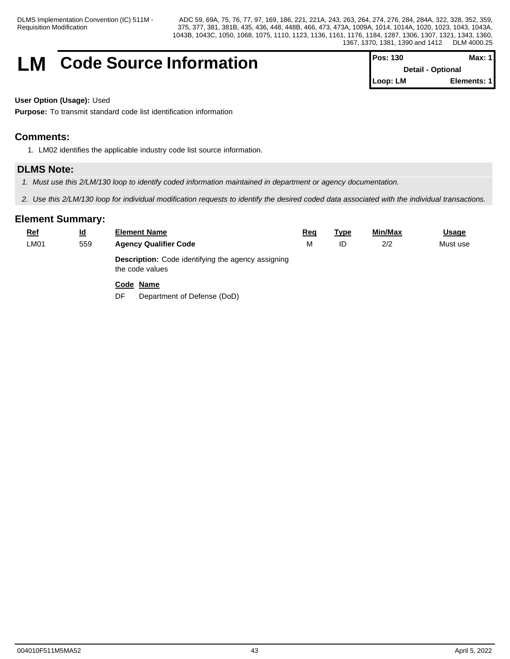## **LM** Code Source Information

| <b>IPos: 130</b>         | Max: 1      |
|--------------------------|-------------|
| <b>Detail - Optional</b> |             |
| ∥Loop: LM                | Elements: 1 |

**User Option (Usage):** Used

**Purpose:** To transmit standard code list identification information

## **Comments:**

1. LM02 identifies the applicable industry code list source information.

## **DLMS Note:**

- *1. Must use this 2/LM/130 loop to identify coded information maintained in department or agency documentation.*
- *2. Use this 2/LM/130 loop for individual modification requests to identify the desired coded data associated with the individual transactions.*

| <b>Ref</b> | $\underline{\mathsf{Id}}$ | <b>Element Name</b>                                                          | <u>Req</u> | <u>Type</u> | Min/Max | <b>Usage</b> |
|------------|---------------------------|------------------------------------------------------------------------------|------------|-------------|---------|--------------|
| LM01       | 559                       | <b>Agency Qualifier Code</b>                                                 | M          | ID          | 2/2     | Must use     |
|            |                           | <b>Description:</b> Code identifying the agency assigning<br>the code values |            |             |         |              |
|            |                           | Code Name                                                                    |            |             |         |              |
|            |                           | Department of Defense (DoD)<br>DF                                            |            |             |         |              |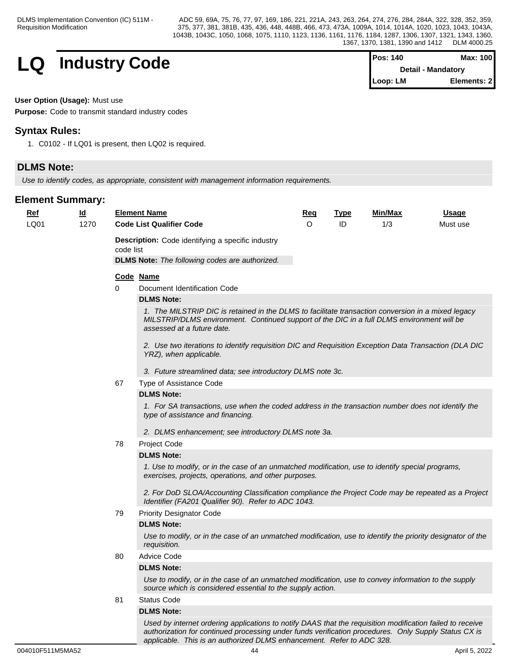

| <b>Pos: 140</b> | Max: 100                  |
|-----------------|---------------------------|
|                 | <b>Detail - Mandatory</b> |
| Loop: LM        | Elements: 2               |

#### **User Option (Usage):** Must use

**Purpose:** Code to transmit standard industry codes

## **Syntax Rules:**

1. C0102 - If LQ01 is present, then LQ02 is required.

## **DLMS Note:**

*Use to identify codes, as appropriate, consistent with management information requirements.*

## **Element Summary:**

| <u>Ref</u><br>LQ01 | <br>$\underline{\mathsf{Id}}$<br>1270 |           | <b>Element Name</b><br><b>Code List Qualifier Code</b>                                                                                                                                                                                                         | Req<br>$\circ$ | <b>Type</b><br>ID | Min/Max<br>1/3 | Usage<br>Must use |
|--------------------|---------------------------------------|-----------|----------------------------------------------------------------------------------------------------------------------------------------------------------------------------------------------------------------------------------------------------------------|----------------|-------------------|----------------|-------------------|
|                    |                                       | code list | <b>Description:</b> Code identifying a specific industry<br><b>DLMS Note:</b> The following codes are authorized.                                                                                                                                              |                |                   |                |                   |
|                    |                                       |           | Code Name                                                                                                                                                                                                                                                      |                |                   |                |                   |
|                    |                                       | $\Omega$  | Document Identification Code                                                                                                                                                                                                                                   |                |                   |                |                   |
|                    |                                       |           | <b>DLMS Note:</b>                                                                                                                                                                                                                                              |                |                   |                |                   |
|                    |                                       |           | 1. The MILSTRIP DIC is retained in the DLMS to facilitate transaction conversion in a mixed legacy<br>MILSTRIP/DLMS environment. Continued support of the DIC in a full DLMS environment will be<br>assessed at a future date.                                 |                |                   |                |                   |
|                    |                                       |           | 2. Use two iterations to identify requisition DIC and Requisition Exception Data Transaction (DLA DIC<br>YRZ), when applicable.                                                                                                                                |                |                   |                |                   |
|                    |                                       |           | 3. Future streamlined data; see introductory DLMS note 3c.                                                                                                                                                                                                     |                |                   |                |                   |
|                    |                                       | 67        | Type of Assistance Code                                                                                                                                                                                                                                        |                |                   |                |                   |
|                    |                                       |           | <b>DLMS Note:</b>                                                                                                                                                                                                                                              |                |                   |                |                   |
|                    |                                       |           | 1. For SA transactions, use when the coded address in the transaction number does not identify the<br>type of assistance and financing.<br>2. DLMS enhancement; see introductory DLMS note 3a.                                                                 |                |                   |                |                   |
|                    |                                       | 78        | Project Code                                                                                                                                                                                                                                                   |                |                   |                |                   |
|                    |                                       |           | <b>DLMS Note:</b>                                                                                                                                                                                                                                              |                |                   |                |                   |
|                    |                                       |           | 1. Use to modify, or in the case of an unmatched modification, use to identify special programs,<br>exercises, projects, operations, and other purposes.<br>2. For DoD SLOA/Accounting Classification compliance the Project Code may be repeated as a Project |                |                   |                |                   |
|                    |                                       |           | Identifier (FA201 Qualifier 90). Refer to ADC 1043.                                                                                                                                                                                                            |                |                   |                |                   |
|                    |                                       | 79        | <b>Priority Designator Code</b>                                                                                                                                                                                                                                |                |                   |                |                   |
|                    |                                       |           | <b>DLMS Note:</b>                                                                                                                                                                                                                                              |                |                   |                |                   |
|                    |                                       |           | Use to modify, or in the case of an unmatched modification, use to identify the priority designator of the<br>requisition.                                                                                                                                     |                |                   |                |                   |
|                    |                                       | 80        | <b>Advice Code</b>                                                                                                                                                                                                                                             |                |                   |                |                   |
|                    |                                       |           | <b>DLMS Note:</b>                                                                                                                                                                                                                                              |                |                   |                |                   |
|                    |                                       |           | Use to modify, or in the case of an unmatched modification, use to convey information to the supply<br>source which is considered essential to the supply action.                                                                                              |                |                   |                |                   |
|                    |                                       | 81        | <b>Status Code</b>                                                                                                                                                                                                                                             |                |                   |                |                   |
|                    |                                       |           | <b>DLMS Note:</b>                                                                                                                                                                                                                                              |                |                   |                |                   |
|                    |                                       |           | Used by internet ordering applications to notify DAAS that the requisition modification failed to receive                                                                                                                                                      |                |                   |                |                   |

*applicable. This is an authorized DLMS enhancement. Refer to ADC 328.*

*authorization for continued processing under funds verification procedures. Only Supply Status CX is*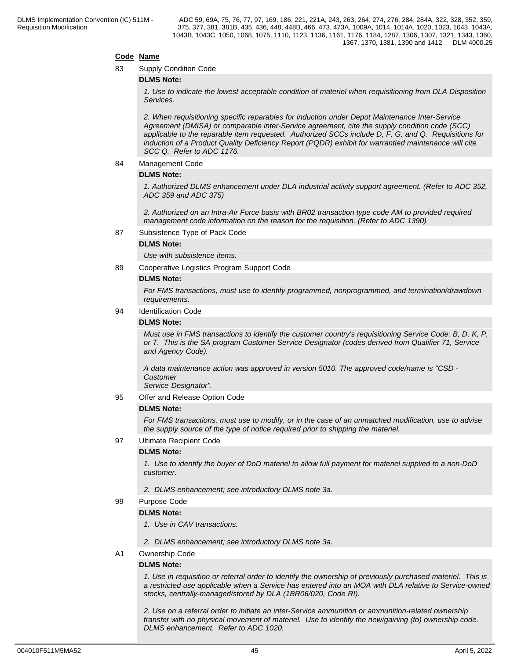#### **Code Name**

83 Supply Condition Code

#### **DLMS Note:**

*1. Use to indicate the lowest acceptable condition of materiel when requisitioning from DLA Disposition Services.*

*2. When requisitioning specific reparables for induction under Depot Maintenance Inter-Service Agreement (DMISA) or comparable inter-Service agreement, cite the supply condition code (SCC) applicable to the reparable item requested. Authorized SCCs include D, F, G, and Q. Requisitions for induction of a Product Quality Deficiency Report (PQDR) exhibit for warrantied maintenance will cite SCC Q. Refer to ADC 1176.*

#### 84 Management Code

#### **DLMS Note:**

*1. Authorized DLMS enhancement under DLA industrial activity support agreement. (Refer to ADC 352, ADC 359 and ADC 375)*

*2. Authorized on an Intra-Air Force basis with BR02 transaction type code AM to provided required management code information on the reason for the requisition. (Refer to ADC 1390)*

87 Subsistence Type of Pack Code

#### **DLMS Note:**

*Use with subsistence items.*

89 Cooperative Logistics Program Support Code

#### **DLMS Note:**

*For FMS transactions, must use to identify programmed, nonprogrammed, and termination/drawdown requirements.*

94 Identification Code

#### **DLMS Note:**

*Must use in FMS transactions to identify the customer country's requisitioning Service Code: B, D, K, P, or T. This is the SA program Customer Service Designator (codes derived from Qualifier 71, Service and Agency Code).*

*A data maintenance action was approved in version 5010. The approved code/name is "CSD - Customer*

*Service Designator".*

95 Offer and Release Option Code

#### **DLMS Note:**

*For FMS transactions, must use to modify, or in the case of an unmatched modification, use to advise the supply source of the type of notice required prior to shipping the materiel.*

97 Ultimate Recipient Code

#### **DLMS Note:**

*1. Use to identify the buyer of DoD materiel to allow full payment for materiel supplied to a non-DoD customer.*

- *2. DLMS enhancement; see introductory DLMS note 3a.*
- 99 Purpose Code

#### **DLMS Note:**

- *1. Use in CAV transactions.*
- *2. DLMS enhancement; see introductory DLMS note 3a.*

#### A1 Ownership Code

#### **DLMS Note:**

*1. Use in requisition or referral order to identify the ownership of previously purchased materiel. This is a restricted use applicable when a Service has entered into an MOA with DLA relative to Service-owned stocks, centrally-managed/stored by DLA (1BR06/020, Code RI).*

*2. Use on a referral order to initiate an inter-Service ammunition or ammunition-related ownership transfer with no physical movement of materiel. Use to identify the new/gaining (to) ownership code. DLMS enhancement. Refer to ADC 1020.*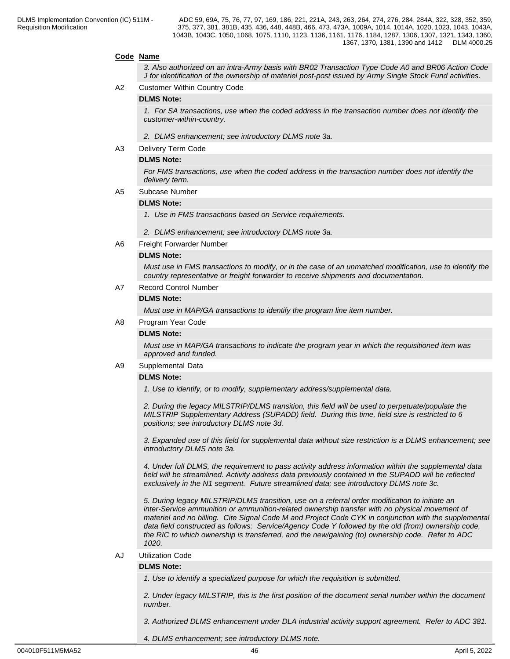#### **Code Name**

*3. Also authorized on an intra-Army basis with BR02 Transaction Type Code A0 and BR06 Action Code J for identification of the ownership of materiel post-post issued by Army Single Stock Fund activities.*

A2 Customer Within Country Code

#### **DLMS Note:**

*1. For SA transactions, use when the coded address in the transaction number does not identify the customer-within-country.*

- *2. DLMS enhancement; see introductory DLMS note 3a.*
- A3 Delivery Term Code

#### **DLMS Note:**

*For FMS transactions, use when the coded address in the transaction number does not identify the delivery term.*

A5 Subcase Number

#### **DLMS Note:**

*1. Use in FMS transactions based on Service requirements.*

- *2. DLMS enhancement; see introductory DLMS note 3a.*
- A6 Freight Forwarder Number

#### **DLMS Note:**

*Must use in FMS transactions to modify, or in the case of an unmatched modification, use to identify the country representative or freight forwarder to receive shipments and documentation.*

A7 Record Control Number

#### **DLMS Note:**

*Must use in MAP/GA transactions to identify the program line item number.*

A8 Program Year Code

#### **DLMS Note:**

*Must use in MAP/GA transactions to indicate the program year in which the requisitioned item was approved and funded.*

#### A9 Supplemental Data

#### **DLMS Note:**

*1. Use to identify, or to modify, supplementary address/supplemental data.*

*2. During the legacy MILSTRIP/DLMS transition, this field will be used to perpetuate/populate the MILSTRIP Supplementary Address (SUPADD) field. During this time, field size is restricted to 6 positions; see introductory DLMS note 3d.*

*3. Expanded use of this field for supplemental data without size restriction is a DLMS enhancement; see introductory DLMS note 3a.*

*4. Under full DLMS, the requirement to pass activity address information within the supplemental data field will be streamlined. Activity address data previously contained in the SUPADD will be reflected exclusively in the N1 segment. Future streamlined data; see introductory DLMS note 3c.*

*5. During legacy MILSTRIP/DLMS transition, use on a referral order modification to initiate an inter-Service ammunition or ammunition-related ownership transfer with no physical movement of materiel and no billing. Cite Signal Code M and Project Code CYK in conjunction with the supplemental data field constructed as follows: Service/Agency Code Y followed by the old (from) ownership code, the RIC to which ownership is transferred, and the new/gaining (to) ownership code. Refer to ADC 1020.*

#### AJ Utilization Code

#### **DLMS Note:**

*1. Use to identify a specialized purpose for which the requisition is submitted.*

*2. Under legacy MILSTRIP, this is the first position of the document serial number within the document number.*

*3. Authorized DLMS enhancement under DLA industrial activity support agreement. Refer to ADC 381.*

*4. DLMS enhancement; see introductory DLMS note.*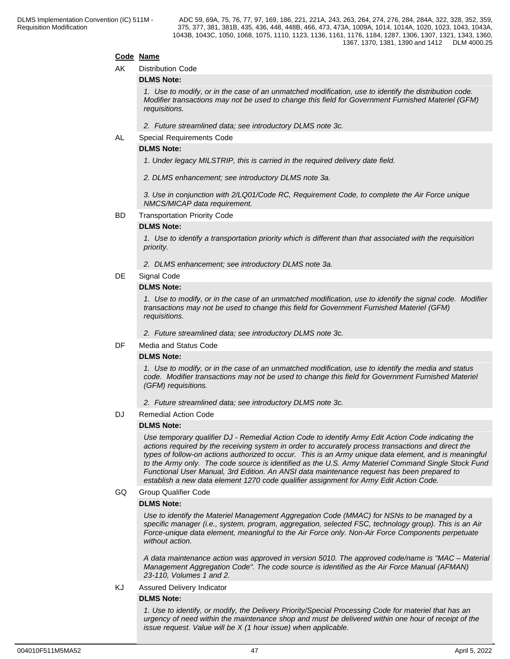#### **Code Name**

#### AK Distribution Code

#### **DLMS Note:**

*1. Use to modify, or in the case of an unmatched modification, use to identify the distribution code. Modifier transactions may not be used to change this field for Government Furnished Materiel (GFM) requisitions.*

*2. Future streamlined data; see introductory DLMS note 3c.*

AL Special Requirements Code

#### **DLMS Note:**

*1. Under legacy MILSTRIP, this is carried in the required delivery date field.*

*2. DLMS enhancement; see introductory DLMS note 3a.*

*3. Use in conjunction with 2/LQ01/Code RC, Requirement Code, to complete the Air Force unique NMCS/MICAP data requirement.*

#### BD Transportation Priority Code

#### **DLMS Note:**

*1. Use to identify a transportation priority which is different than that associated with the requisition priority.*

*2. DLMS enhancement; see introductory DLMS note 3a.*

#### DE Signal Code

#### **DLMS Note:**

*1. Use to modify, or in the case of an unmatched modification, use to identify the signal code. Modifier transactions may not be used to change this field for Government Furnished Materiel (GFM) requisitions.*

*2. Future streamlined data; see introductory DLMS note 3c.*

DF Media and Status Code

#### **DLMS Note:**

*1. Use to modify, or in the case of an unmatched modification, use to identify the media and status code. Modifier transactions may not be used to change this field for Government Furnished Materiel (GFM) requisitions.*

*2. Future streamlined data; see introductory DLMS note 3c.*

DJ Remedial Action Code

#### **DLMS Note:**

*Use temporary qualifier DJ - Remedial Action Code to identify Army Edit Action Code indicating the actions required by the receiving system in order to accurately process transactions and direct the types of follow-on actions authorized to occur. This is an Army unique data element, and is meaningful to the Army only. The code source is identified as the U.S. Army Materiel Command Single Stock Fund Functional User Manual, 3rd Edition. An ANSI data maintenance request has been prepared to establish a new data element 1270 code qualifier assignment for Army Edit Action Code.*

#### GQ Group Qualifier Code

#### **DLMS Note:**

*Use to identify the Materiel Management Aggregation Code (MMAC) for NSNs to be managed by a specific manager (i.e., system, program, aggregation, selected FSC, technology group). This is an Air Force-unique data element, meaningful to the Air Force only. Non-Air Force Components perpetuate without action.*

*A data maintenance action was approved in version 5010. The approved code/name is "MAC – Material Management Aggregation Code". The code source is identified as the Air Force Manual (AFMAN) 23-110, Volumes 1 and 2.*

## KJ Assured Delivery Indicator

## **DLMS Note:**

*1. Use to identify, or modify, the Delivery Priority/Special Processing Code for materiel that has an urgency of need within the maintenance shop and must be delivered within one hour of receipt of the issue request. Value will be X (1 hour issue) when applicable.*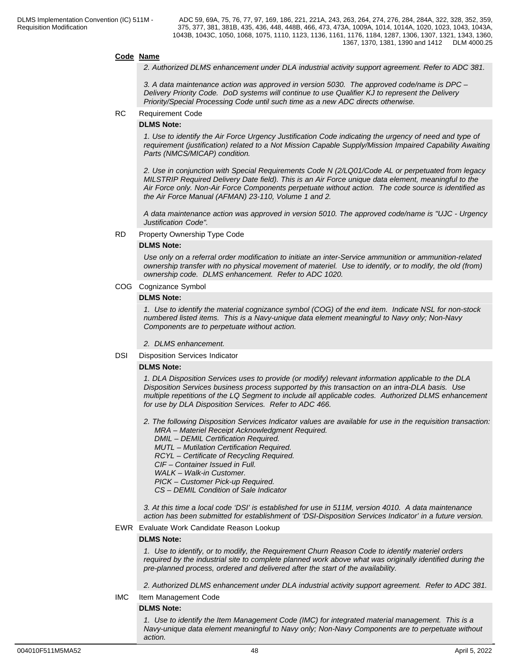#### **Code Name**

*2. Authorized DLMS enhancement under DLA industrial activity support agreement. Refer to ADC 381.*

*3. A data maintenance action was approved in version 5030. The approved code/name is DPC – Delivery Priority Code. DoD systems will continue to use Qualifier KJ to represent the Delivery Priority/Special Processing Code until such time as a new ADC directs otherwise.*

#### RC Requirement Code

#### **DLMS Note:**

*1. Use to identify the Air Force Urgency Justification Code indicating the urgency of need and type of requirement (justification) related to a Not Mission Capable Supply/Mission Impaired Capability Awaiting Parts (NMCS/MICAP) condition.*

*2. Use in conjunction with Special Requirements Code N (2/LQ01/Code AL or perpetuated from legacy MILSTRIP Required Delivery Date field). This is an Air Force unique data element, meaningful to the Air Force only. Non-Air Force Components perpetuate without action. The code source is identified as the Air Force Manual (AFMAN) 23-110, Volume 1 and 2.*

*A data maintenance action was approved in version 5010. The approved code/name is "UJC - Urgency Justification Code".*

#### RD Property Ownership Type Code

#### **DLMS Note:**

*Use only on a referral order modification to initiate an inter-Service ammunition or ammunition-related ownership transfer with no physical movement of materiel. Use to identify, or to modify, the old (from) ownership code. DLMS enhancement. Refer to ADC 1020.*

#### COG Cognizance Symbol

#### **DLMS Note:**

*1. Use to identify the material cognizance symbol (COG) of the end item. Indicate NSL for non-stock numbered listed items. This is a Navy-unique data element meaningful to Navy only; Non-Navy Components are to perpetuate without action.*

*2. DLMS enhancement.*

DSI Disposition Services Indicator

#### **DLMS Note:**

*1. DLA Disposition Services uses to provide (or modify) relevant information applicable to the DLA Disposition Services business process supported by this transaction on an intra-DLA basis. Use multiple repetitions of the LQ Segment to include all applicable codes. Authorized DLMS enhancement for use by DLA Disposition Services. Refer to ADC 466.*

*2. The following Disposition Services Indicator values are available for use in the requisition transaction: MRA – Materiel Receipt Acknowledgment Required. DMIL – DEMIL Certification Required. MUTL – Mutilation Certification Required. RCYL – Certificate of Recycling Required. CIF – Container Issued in Full. WALK – Walk-in Customer. PICK – Customer Pick-up Required. CS – DEMIL Condition of Sale Indicator*

*3. At this time a local code 'DSI' is established for use in 511M, version 4010. A data maintenance action has been submitted for establishment of 'DSI-Disposition Services Indicator' in a future version.*

#### EWR Evaluate Work Candidate Reason Lookup

#### **DLMS Note:**

*1. Use to identify, or to modify, the Requirement Churn Reason Code to identify materiel orders required by the industrial site to complete planned work above what was originally identified during the pre-planned process, ordered and delivered after the start of the availability.*

*2. Authorized DLMS enhancement under DLA industrial activity support agreement. Refer to ADC 381.*

IMC Item Management Code

#### **DLMS Note:**

*1. Use to identify the Item Management Code (IMC) for integrated material management. This is a Navy-unique data element meaningful to Navy only; Non-Navy Components are to perpetuate without action.*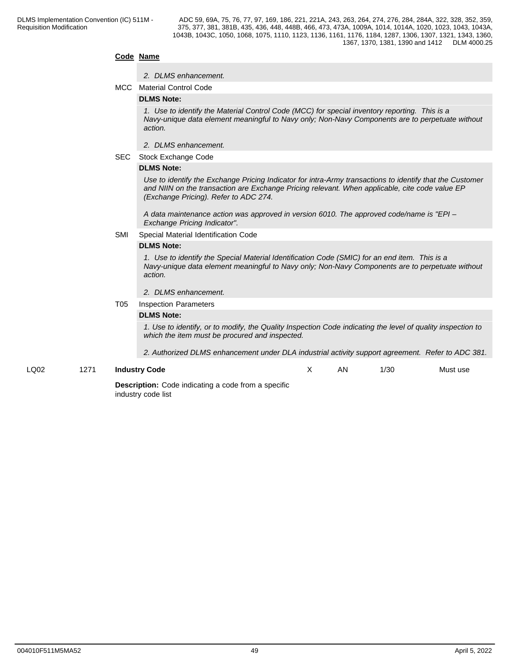#### **Code Name**

#### *2. DLMS enhancement.*

MCC Material Control Code

#### **DLMS Note:**

*1. Use to identify the Material Control Code (MCC) for special inventory reporting. This is a Navy-unique data element meaningful to Navy only; Non-Navy Components are to perpetuate without action.*

- *2. DLMS enhancement.*
- SEC Stock Exchange Code

#### **DLMS Note:**

*Use to identify the Exchange Pricing Indicator for intra-Army transactions to identify that the Customer and NIIN on the transaction are Exchange Pricing relevant. When applicable, cite code value EP (Exchange Pricing). Refer to ADC 274.*

*A data maintenance action was approved in version 6010. The approved code/name is "EPI – Exchange Pricing Indicator".*

#### SMI Special Material Identification Code

#### **DLMS Note:**

*1. Use to identify the Special Material Identification Code (SMIC) for an end item. This is a Navy-unique data element meaningful to Navy only; Non-Navy Components are to perpetuate without action.*

#### *2. DLMS enhancement.*

#### T05 Inspection Parameters

#### **DLMS Note:**

*1. Use to identify, or to modify, the Quality Inspection Code indicating the level of quality inspection to which the item must be procured and inspected.* 

*2. Authorized DLMS enhancement under DLA industrial activity support agreement. Refer to ADC 381.*

LQ02 1271 **Industry Code**

AN 1/30 Must use

**Description:** Code indicating a code from a specific industry code list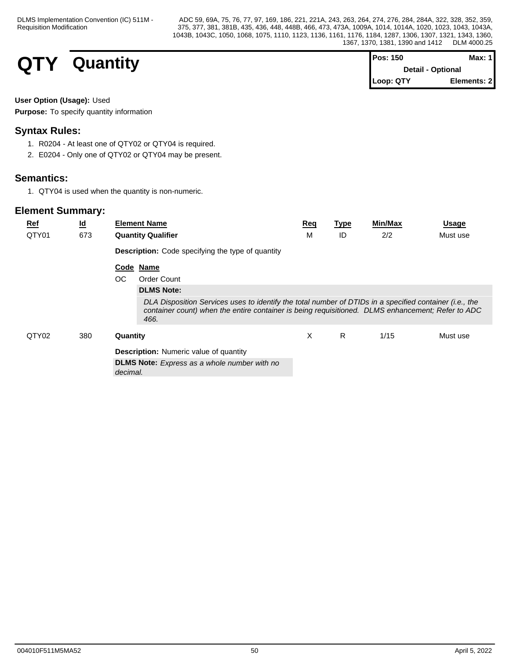# **QTY** Quantity

| $Pos: 150$               | Max: 1 I     |  |
|--------------------------|--------------|--|
| <b>Detail - Optional</b> |              |  |
| Loop: QTY                | Elements: 21 |  |

## **User Option (Usage):** Used

**Purpose:** To specify quantity information

## **Syntax Rules:**

- 1. R0204 At least one of QTY02 or QTY04 is required.
- 2. E0204 Only one of QTY02 or QTY04 may be present.

## **Semantics:**

1. QTY04 is used when the quantity is non-numeric.

| <b>Ref</b> | $\underline{\mathsf{Id}}$ | <b>Element Name</b>                                                                                                                                                                                                  | <b>Req</b> | <b>Type</b> | <b>Min/Max</b> | <b>Usage</b> |
|------------|---------------------------|----------------------------------------------------------------------------------------------------------------------------------------------------------------------------------------------------------------------|------------|-------------|----------------|--------------|
| QTY01      | 673                       | <b>Quantity Qualifier</b>                                                                                                                                                                                            | M          | ID          | 2/2            | Must use     |
|            |                           | <b>Description:</b> Code specifying the type of quantity                                                                                                                                                             |            |             |                |              |
|            |                           | Code Name                                                                                                                                                                                                            |            |             |                |              |
|            |                           | OC.<br>Order Count                                                                                                                                                                                                   |            |             |                |              |
|            |                           | <b>DLMS Note:</b>                                                                                                                                                                                                    |            |             |                |              |
|            |                           | DLA Disposition Services uses to identify the total number of DTIDs in a specified container (i.e., the<br>container count) when the entire container is being requisitioned. DLMS enhancement; Refer to ADC<br>466. |            |             |                |              |
| QTY02      | 380                       | Quantity                                                                                                                                                                                                             | X          | R           | 1/15           | Must use     |
|            |                           | <b>Description:</b> Numeric value of quantity                                                                                                                                                                        |            |             |                |              |
|            |                           | <b>DLMS Note:</b> Express as a whole number with no<br>decimal.                                                                                                                                                      |            |             |                |              |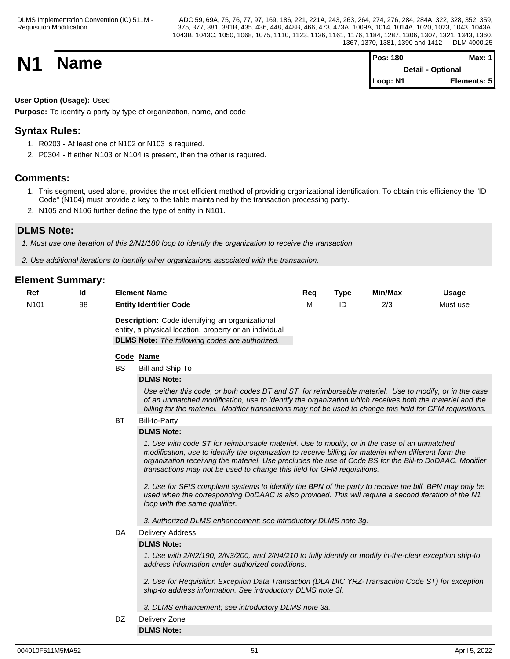| <b>N1</b> | <b>Name</b> | <b>Pos: 180</b>          | <b>Max: 1</b> |  |
|-----------|-------------|--------------------------|---------------|--|
|           |             | <b>Detail - Optional</b> |               |  |
|           |             | Loop: N1                 | Elements: 5   |  |

## **User Option (Usage):** Used

**Purpose:** To identify a party by type of organization, name, and code

## **Syntax Rules:**

- 1. R0203 At least one of N102 or N103 is required.
- 2. P0304 If either N103 or N104 is present, then the other is required.

## **Comments:**

- 1. This segment, used alone, provides the most efficient method of providing organizational identification. To obtain this efficiency the "ID Code" (N104) must provide a key to the table maintained by the transaction processing party.
- 2. N105 and N106 further define the type of entity in N101.

## **DLMS Note:**

*1. Must use one iteration of this 2/N1/180 loop to identify the organization to receive the transaction.*

*2. Use additional iterations to identify other organizations associated with the transaction.*

| Ref              | $\underline{\mathsf{Id}}$ |           | <b>Element Name</b>                                                                                                                                                                                                                                                                                                                                                                                                                                                                                                                                                                                                                            | Req | <b>Type</b> | Min/Max | <b>Usage</b> |
|------------------|---------------------------|-----------|------------------------------------------------------------------------------------------------------------------------------------------------------------------------------------------------------------------------------------------------------------------------------------------------------------------------------------------------------------------------------------------------------------------------------------------------------------------------------------------------------------------------------------------------------------------------------------------------------------------------------------------------|-----|-------------|---------|--------------|
| N <sub>101</sub> | 98                        |           | <b>Entity Identifier Code</b>                                                                                                                                                                                                                                                                                                                                                                                                                                                                                                                                                                                                                  | M   | ID          | 2/3     | Must use     |
|                  |                           |           | Description: Code identifying an organizational<br>entity, a physical location, property or an individual<br><b>DLMS Note:</b> The following codes are authorized.                                                                                                                                                                                                                                                                                                                                                                                                                                                                             |     |             |         |              |
|                  |                           |           | Code Name                                                                                                                                                                                                                                                                                                                                                                                                                                                                                                                                                                                                                                      |     |             |         |              |
|                  |                           | <b>BS</b> | Bill and Ship To                                                                                                                                                                                                                                                                                                                                                                                                                                                                                                                                                                                                                               |     |             |         |              |
|                  |                           |           | <b>DLMS Note:</b>                                                                                                                                                                                                                                                                                                                                                                                                                                                                                                                                                                                                                              |     |             |         |              |
|                  |                           |           | Use either this code, or both codes BT and ST, for reimbursable materiel. Use to modify, or in the case<br>of an unmatched modification, use to identify the organization which receives both the materiel and the<br>billing for the materiel. Modifier transactions may not be used to change this field for GFM requisitions.                                                                                                                                                                                                                                                                                                               |     |             |         |              |
|                  |                           | <b>BT</b> | Bill-to-Party                                                                                                                                                                                                                                                                                                                                                                                                                                                                                                                                                                                                                                  |     |             |         |              |
|                  |                           |           | <b>DLMS Note:</b>                                                                                                                                                                                                                                                                                                                                                                                                                                                                                                                                                                                                                              |     |             |         |              |
|                  |                           |           | 1. Use with code ST for reimbursable materiel. Use to modify, or in the case of an unmatched<br>modification, use to identify the organization to receive billing for materiel when different form the<br>organization receiving the materiel. Use precludes the use of Code BS for the Bill-to DoDAAC. Modifier<br>transactions may not be used to change this field for GFM requisitions.<br>2. Use for SFIS compliant systems to identify the BPN of the party to receive the bill. BPN may only be<br>used when the corresponding DoDAAC is also provided. This will require a second iteration of the N1<br>loop with the same qualifier. |     |             |         |              |
|                  |                           |           | 3. Authorized DLMS enhancement; see introductory DLMS note 3g.                                                                                                                                                                                                                                                                                                                                                                                                                                                                                                                                                                                 |     |             |         |              |
|                  |                           | DA        | <b>Delivery Address</b>                                                                                                                                                                                                                                                                                                                                                                                                                                                                                                                                                                                                                        |     |             |         |              |
|                  |                           |           | <b>DLMS Note:</b>                                                                                                                                                                                                                                                                                                                                                                                                                                                                                                                                                                                                                              |     |             |         |              |
|                  |                           |           | 1. Use with 2/N2/190, 2/N3/200, and 2/N4/210 to fully identify or modify in-the-clear exception ship-to<br>address information under authorized conditions.                                                                                                                                                                                                                                                                                                                                                                                                                                                                                    |     |             |         |              |
|                  |                           |           | 2. Use for Requisition Exception Data Transaction (DLA DIC YRZ-Transaction Code ST) for exception<br>ship-to address information. See introductory DLMS note 3f.                                                                                                                                                                                                                                                                                                                                                                                                                                                                               |     |             |         |              |
|                  |                           |           | 3. DLMS enhancement; see introductory DLMS note 3a.                                                                                                                                                                                                                                                                                                                                                                                                                                                                                                                                                                                            |     |             |         |              |
|                  |                           | DZ        | Delivery Zone                                                                                                                                                                                                                                                                                                                                                                                                                                                                                                                                                                                                                                  |     |             |         |              |
|                  |                           |           | <b>DLMS Note:</b>                                                                                                                                                                                                                                                                                                                                                                                                                                                                                                                                                                                                                              |     |             |         |              |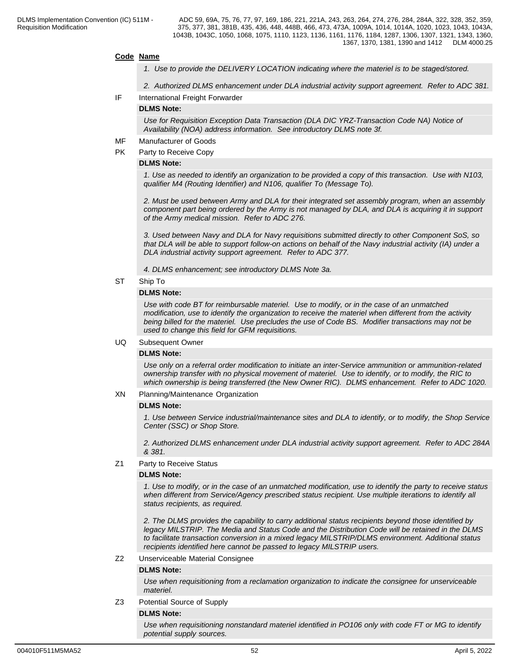#### **Code Name**

- *1. Use to provide the DELIVERY LOCATION indicating where the materiel is to be staged/stored.*
- *2. Authorized DLMS enhancement under DLA industrial activity support agreement. Refer to ADC 381.*
- IF International Freight Forwarder

#### **DLMS Note:**

*Use for Requisition Exception Data Transaction (DLA DIC YRZ-Transaction Code NA) Notice of Availability (NOA) address information. See introductory DLMS note 3f.*

- MF Manufacturer of Goods
- PK Party to Receive Copy

#### **DLMS Note:**

*1. Use as needed to identify an organization to be provided a copy of this transaction. Use with N103, qualifier M4 (Routing Identifier) and N106, qualifier To (Message To).*

*2. Must be used between Army and DLA for their integrated set assembly program, when an assembly component part being ordered by the Army is not managed by DLA, and DLA is acquiring it in support of the Army medical mission. Refer to ADC 276.*

*3. Used between Navy and DLA for Navy requisitions submitted directly to other Component SoS, so that DLA will be able to support follow-on actions on behalf of the Navy industrial activity (IA) under a DLA industrial activity support agreement. Refer to ADC 377.*

*4. DLMS enhancement; see introductory DLMS Note 3a.*

ST Ship To

#### **DLMS Note:**

*Use with code BT for reimbursable materiel. Use to modify, or in the case of an unmatched modification, use to identify the organization to receive the materiel when different from the activity being billed for the materiel. Use precludes the use of Code BS. Modifier transactions may not be used to change this field for GFM requisitions.*

#### UQ Subsequent Owner

#### **DLMS Note:**

*Use only on a referral order modification to initiate an inter-Service ammunition or ammunition-related ownership transfer with no physical movement of materiel. Use to identify, or to modify, the RIC to which ownership is being transferred (the New Owner RIC). DLMS enhancement. Refer to ADC 1020.*

XN Planning/Maintenance Organization

#### **DLMS Note:**

*1. Use between Service industrial/maintenance sites and DLA to identify, or to modify, the Shop Service Center (SSC) or Shop Store.*

*2. Authorized DLMS enhancement under DLA industrial activity support agreement. Refer to ADC 284A & 381.*

Z1 Party to Receive Status

#### **DLMS Note:**

*1. Use to modify, or in the case of an unmatched modification, use to identify the party to receive status when different from Service/Agency prescribed status recipient. Use multiple iterations to identify all status recipients, as required.*

*2. The DLMS provides the capability to carry additional status recipients beyond those identified by legacy MILSTRIP. The Media and Status Code and the Distribution Code will be retained in the DLMS to facilitate transaction conversion in a mixed legacy MILSTRIP/DLMS environment. Additional status recipients identified here cannot be passed to legacy MILSTRIP users.*

#### Z2 Unserviceable Material Consignee

#### **DLMS Note:**

*Use when requisitioning from a reclamation organization to indicate the consignee for unserviceable materiel.*

#### Z3 Potential Source of Supply

#### **DLMS Note:**

*Use when requisitioning nonstandard materiel identified in PO106 only with code FT or MG to identify potential supply sources.*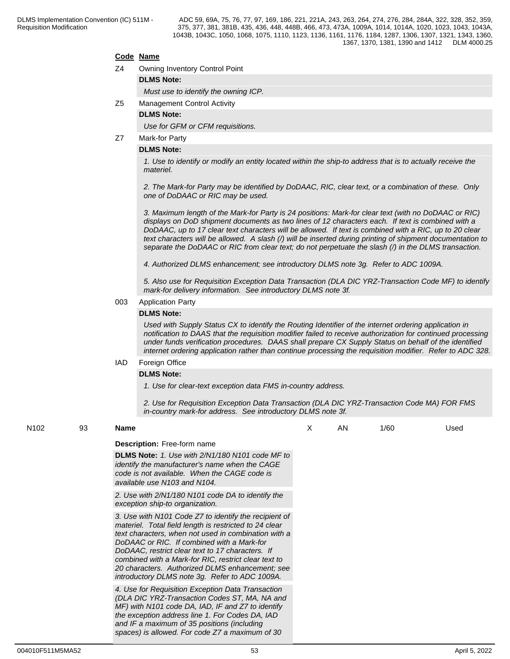#### **Code Name**

- Z4 Owning Inventory Control Point
	- **DLMS Note:**

*Must use to identify the owning ICP.*

Z5 Management Control Activity

#### **DLMS Note:**

*Use for GFM or CFM requisitions.*

Z7 Mark-for Party

#### **DLMS Note:**

*1. Use to identify or modify an entity located within the ship-to address that is to actually receive the materiel.*

*2. The Mark-for Party may be identified by DoDAAC, RIC, clear text, or a combination of these. Only one of DoDAAC or RIC may be used.* 

*3. Maximum length of the Mark-for Party is 24 positions: Mark-for clear text (with no DoDAAC or RIC) displays on DoD shipment documents as two lines of 12 characters each. If text is combined with a DoDAAC, up to 17 clear text characters will be allowed. If text is combined with a RIC, up to 20 clear text characters will be allowed. A slash (/) will be inserted during printing of shipment documentation to separate the DoDAAC or RIC from clear text; do not perpetuate the slash (/) in the DLMS transaction.*

*4. Authorized DLMS enhancement; see introductory DLMS note 3g. Refer to ADC 1009A.*

*5. Also use for Requisition Exception Data Transaction (DLA DIC YRZ-Transaction Code MF) to identify mark-for delivery information. See introductory DLMS note 3f.*

#### 003 Application Party

#### **DLMS Note:**

*Used with Supply Status CX to identify the Routing Identifier of the internet ordering application in notification to DAAS that the requisition modifier failed to receive authorization for continued processing under funds verification procedures. DAAS shall prepare CX Supply Status on behalf of the identified internet ordering application rather than continue processing the requisition modifier. Refer to ADC 328.*

#### IAD Foreign Office

#### **DLMS Note:**

*1. Use for clear-text exception data FMS in-country address.*

*2. Use for Requisition Exception Data Transaction (DLA DIC YRZ-Transaction Code MA) FOR FMS in-country mark-for address. See introductory DLMS note 3f.*

### N102 93 **Name Description:** Free-form name **DLMS Note:** *1. Use with 2/N1/180 N101 code MF to identify the manufacturer's name when the CAGE code is not available. When the CAGE code is available use N103 and N104. 2. Use with 2/N1/180 N101 code DA to identify the exception ship-to organization. 3. Use with N101 Code Z7 to identify the recipient of materiel. Total field length is restricted to 24 clear text characters, when not used in combination with a DoDAAC or RIC. If combined with a Mark-for DoDAAC, restrict clear text to 17 characters. If combined with a Mark-for RIC, restrict clear text to 20 characters. Authorized DLMS enhancement; see introductory DLMS note 3g. Refer to ADC 1009A. 4. Use for Requisition Exception Data Transaction (DLA DIC YRZ-Transaction Codes ST, MA, NA and MF) with N101 code DA, IAD, IF and Z7 to identify the exception address line 1. For Codes DA, IAD and IF a maximum of 35 positions (including spaces) is allowed. For code Z7 a maximum of 30*  X AN 1/60 Used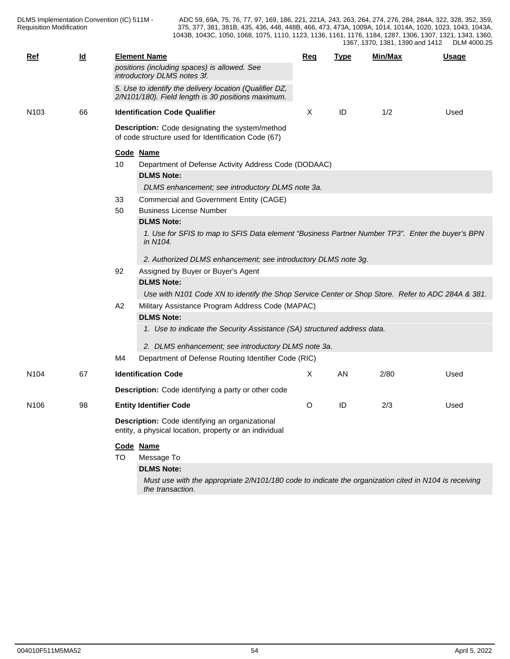| <b>Ref</b>       | $\underline{\mathsf{Id}}$ | <b>Element Name</b>                                                                                                       | Req      | <b>Type</b> | Min/Max | <b>Usage</b> |
|------------------|---------------------------|---------------------------------------------------------------------------------------------------------------------------|----------|-------------|---------|--------------|
|                  |                           | positions (including spaces) is allowed. See<br>introductory DLMS notes 3f.                                               |          |             |         |              |
|                  |                           | 5. Use to identify the delivery location (Qualifier DZ,<br>2/N101/180). Field length is 30 positions maximum.             |          |             |         |              |
| N <sub>103</sub> | 66                        | <b>Identification Code Qualifier</b>                                                                                      | X        | ID          | 1/2     | Used         |
|                  |                           | Description: Code designating the system/method<br>of code structure used for Identification Code (67)                    |          |             |         |              |
|                  |                           | Code Name                                                                                                                 |          |             |         |              |
|                  |                           | Department of Defense Activity Address Code (DODAAC)<br>10                                                                |          |             |         |              |
|                  |                           | <b>DLMS Note:</b>                                                                                                         |          |             |         |              |
|                  |                           | DLMS enhancement; see introductory DLMS note 3a.                                                                          |          |             |         |              |
|                  |                           | Commercial and Government Entity (CAGE)<br>33                                                                             |          |             |         |              |
|                  |                           | <b>Business License Number</b><br>50                                                                                      |          |             |         |              |
|                  |                           | <b>DLMS Note:</b>                                                                                                         |          |             |         |              |
|                  |                           | 1. Use for SFIS to map to SFIS Data element "Business Partner Number TP3". Enter the buyer's BPN<br>in N104.              |          |             |         |              |
|                  |                           | 2. Authorized DLMS enhancement; see introductory DLMS note 3g.                                                            |          |             |         |              |
|                  |                           | Assigned by Buyer or Buyer's Agent<br>92                                                                                  |          |             |         |              |
|                  |                           | <b>DLMS Note:</b>                                                                                                         |          |             |         |              |
|                  |                           | Use with N101 Code XN to identify the Shop Service Center or Shop Store. Refer to ADC 284A & 381.                         |          |             |         |              |
|                  |                           | Military Assistance Program Address Code (MAPAC)<br>A2                                                                    |          |             |         |              |
|                  |                           | <b>DLMS Note:</b>                                                                                                         |          |             |         |              |
|                  |                           | 1. Use to indicate the Security Assistance (SA) structured address data.                                                  |          |             |         |              |
|                  |                           | 2. DLMS enhancement; see introductory DLMS note 3a.                                                                       |          |             |         |              |
|                  |                           | Department of Defense Routing Identifier Code (RIC)<br>M4                                                                 |          |             |         |              |
| N <sub>104</sub> | 67                        | <b>Identification Code</b>                                                                                                | $\times$ | <b>AN</b>   | 2/80    | Used         |
|                  |                           | <b>Description:</b> Code identifying a party or other code                                                                |          |             |         |              |
| N <sub>106</sub> | 98                        | <b>Entity Identifier Code</b>                                                                                             | O        | ID          | 2/3     | Used         |
|                  |                           | Description: Code identifying an organizational<br>entity, a physical location, property or an individual                 |          |             |         |              |
|                  |                           | Code Name                                                                                                                 |          |             |         |              |
|                  |                           | TO<br>Message To                                                                                                          |          |             |         |              |
|                  |                           | <b>DLMS Note:</b>                                                                                                         |          |             |         |              |
|                  |                           | Must use with the appropriate 2/N101/180 code to indicate the organization cited in N104 is receiving<br>the transaction. |          |             |         |              |
|                  |                           |                                                                                                                           |          |             |         |              |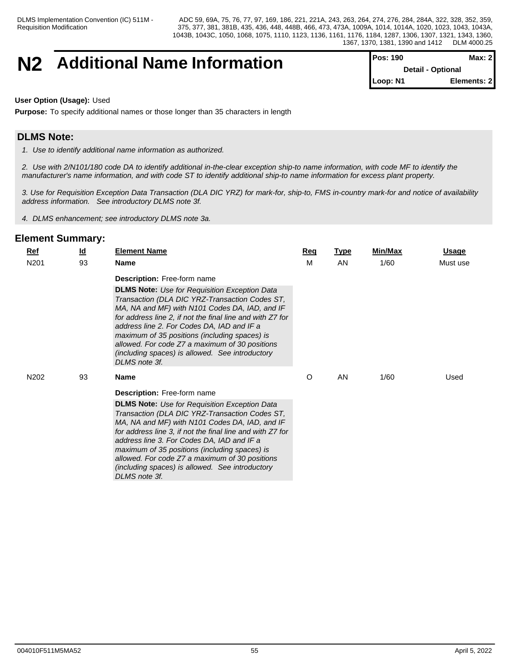## **N2** Additional Name Information

| <b>Pos: 190</b>         | Max: $2$                 |
|-------------------------|--------------------------|
|                         | <b>Detail - Optional</b> |
| $\blacksquare$ Loop: N1 | Elements: 2              |

#### **User Option (Usage):** Used

**Purpose:** To specify additional names or those longer than 35 characters in length

## **DLMS Note:**

*1. Use to identify additional name information as authorized.*

*2. Use with 2/N101/180 code DA to identify additional in-the-clear exception ship-to name information, with code MF to identify the manufacturer's name information, and with code ST to identify additional ship-to name information for excess plant property.*

*3. Use for Requisition Exception Data Transaction (DLA DIC YRZ) for mark-for, ship-to, FMS in-country mark-for and notice of availability address information. See introductory DLMS note 3f.*

*4. DLMS enhancement; see introductory DLMS note 3a.*

| 93<br>N201<br>M<br>AN<br>1/60<br><b>Name</b><br>Must use<br><b>Description:</b> Free-form name<br><b>DLMS Note:</b> Use for Requisition Exception Data<br>Transaction (DLA DIC YRZ-Transaction Codes ST,<br>MA, NA and MF) with N101 Codes DA, IAD, and IF<br>for address line 2, if not the final line and with Z7 for<br>address line 2. For Codes DA, IAD and IF a<br>maximum of 35 positions (including spaces) is<br>allowed. For code Z7 a maximum of 30 positions<br>(including spaces) is allowed. See introductory<br>DLMS note 3f.<br>O<br>AN<br>N202<br>93<br>1/60<br>Used<br><b>Name</b><br><b>Description:</b> Free-form name<br><b>DLMS Note:</b> Use for Requisition Exception Data<br>Transaction (DLA DIC YRZ-Transaction Codes ST,<br>MA, NA and MF) with N101 Codes DA, IAD, and IF<br>for address line 3, if not the final line and with Z7 for<br>address line 3. For Codes DA, IAD and IF a<br>maximum of 35 positions (including spaces) is<br>allowed. For code Z7 a maximum of 30 positions<br>(including spaces) is allowed. See introductory<br>DLMS note 3f. | $Ref$ | $\underline{\mathsf{Id}}$ | <b>Element Name</b> | <b>Req</b> | <b>Type</b> | Min/Max | <u>Usage</u> |
|------------------------------------------------------------------------------------------------------------------------------------------------------------------------------------------------------------------------------------------------------------------------------------------------------------------------------------------------------------------------------------------------------------------------------------------------------------------------------------------------------------------------------------------------------------------------------------------------------------------------------------------------------------------------------------------------------------------------------------------------------------------------------------------------------------------------------------------------------------------------------------------------------------------------------------------------------------------------------------------------------------------------------------------------------------------------------------------|-------|---------------------------|---------------------|------------|-------------|---------|--------------|
|                                                                                                                                                                                                                                                                                                                                                                                                                                                                                                                                                                                                                                                                                                                                                                                                                                                                                                                                                                                                                                                                                          |       |                           |                     |            |             |         |              |
|                                                                                                                                                                                                                                                                                                                                                                                                                                                                                                                                                                                                                                                                                                                                                                                                                                                                                                                                                                                                                                                                                          |       |                           |                     |            |             |         |              |
|                                                                                                                                                                                                                                                                                                                                                                                                                                                                                                                                                                                                                                                                                                                                                                                                                                                                                                                                                                                                                                                                                          |       |                           |                     |            |             |         |              |
|                                                                                                                                                                                                                                                                                                                                                                                                                                                                                                                                                                                                                                                                                                                                                                                                                                                                                                                                                                                                                                                                                          |       |                           |                     |            |             |         |              |
|                                                                                                                                                                                                                                                                                                                                                                                                                                                                                                                                                                                                                                                                                                                                                                                                                                                                                                                                                                                                                                                                                          |       |                           |                     |            |             |         |              |
|                                                                                                                                                                                                                                                                                                                                                                                                                                                                                                                                                                                                                                                                                                                                                                                                                                                                                                                                                                                                                                                                                          |       |                           |                     |            |             |         |              |
|                                                                                                                                                                                                                                                                                                                                                                                                                                                                                                                                                                                                                                                                                                                                                                                                                                                                                                                                                                                                                                                                                          |       |                           |                     |            |             |         |              |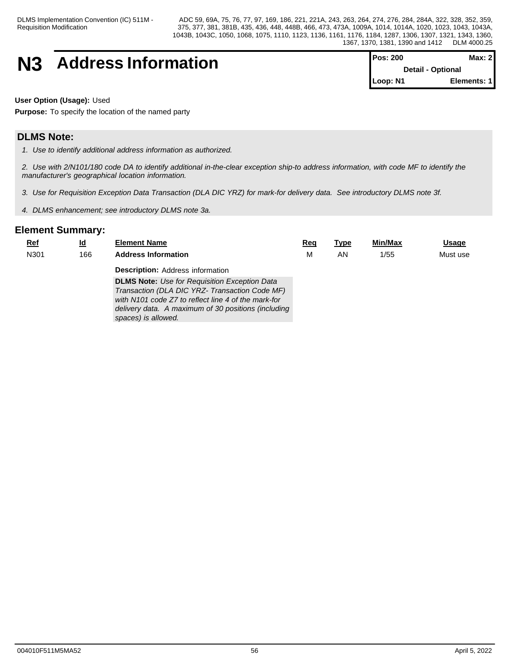# **N3** Address Information

| <b>Pos: 200</b>              | Max: 2I      |  |
|------------------------------|--------------|--|
| <b>Detail - Optional</b>     |              |  |
| $\mathsf{Loop}: \mathsf{N1}$ | Elements: 11 |  |

**User Option (Usage):** Used

**Purpose:** To specify the location of the named party

## **DLMS Note:**

*1. Use to identify additional address information as authorized.*

*2. Use with 2/N101/180 code DA to identify additional in-the-clear exception ship-to address information, with code MF to identify the manufacturer's geographical location information.*

*3. Use for Requisition Exception Data Transaction (DLA DIC YRZ) for mark-for delivery data. See introductory DLMS note 3f.*

*4. DLMS enhancement; see introductory DLMS note 3a.*

| <u>Ref</u> | <u>ld</u> | <b>Element Name</b>                                                                                   | Reg | Type | Min/Max | <b>Usage</b> |
|------------|-----------|-------------------------------------------------------------------------------------------------------|-----|------|---------|--------------|
| N301       | 166       | <b>Address Information</b>                                                                            | М   | AN   | 1/55    | Must use     |
|            |           | <b>Description: Address information</b>                                                               |     |      |         |              |
|            |           | <b>DLMS Note:</b> Use for Requisition Exception Data                                                  |     |      |         |              |
|            |           | Transaction (DLA DIC YRZ- Transaction Code MF)<br>with N101 code Z7 to reflect line 4 of the mark-for |     |      |         |              |
|            |           | delivery data. A maximum of 30 positions (including                                                   |     |      |         |              |
|            |           | spaces) is allowed.                                                                                   |     |      |         |              |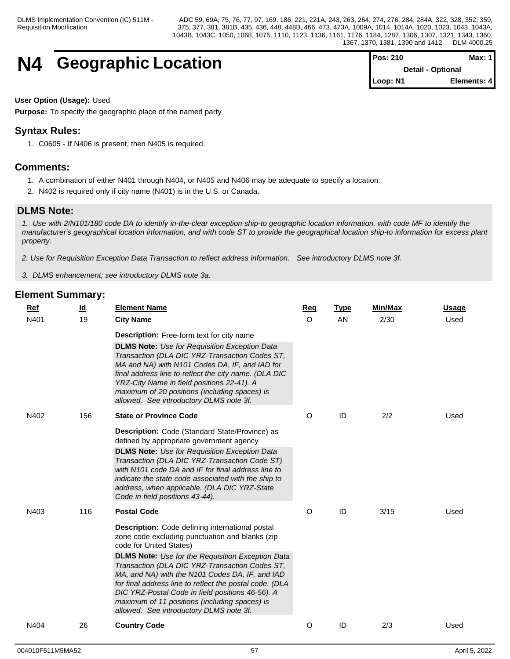## **N4 Geographic Location**

| Pos: 210 | Max: $1$                 |
|----------|--------------------------|
|          | <b>Detail - Optional</b> |
| Loop: N1 | Elements: 4              |

### **User Option (Usage):** Used

**Purpose:** To specify the geographic place of the named party

## **Syntax Rules:**

1. C0605 - If N406 is present, then N405 is required.

## **Comments:**

- 1. A combination of either N401 through N404, or N405 and N406 may be adequate to specify a location.
- 2. N402 is required only if city name (N401) is in the U.S. or Canada.

## **DLMS Note:**

*1. Use with 2/N101/180 code DA to identify in-the-clear exception ship-to geographic location information, with code MF to identify the manufacturer's geographical location information, and with code ST to provide the geographical location ship-to information for excess plant property.*

*2. Use for Requisition Exception Data Transaction to reflect address information. See introductory DLMS note 3f.*

*3. DLMS enhancement; see introductory DLMS note 3a.*

| Ref  | <u>ld</u> | <b>Element Name</b>                                                                                                                                                                                                                                                                                                                                                                                                                                                                                              | Req      | <b>Type</b> | Min/Max | <b>Usage</b> |
|------|-----------|------------------------------------------------------------------------------------------------------------------------------------------------------------------------------------------------------------------------------------------------------------------------------------------------------------------------------------------------------------------------------------------------------------------------------------------------------------------------------------------------------------------|----------|-------------|---------|--------------|
| N401 | 19        | <b>City Name</b>                                                                                                                                                                                                                                                                                                                                                                                                                                                                                                 | $\Omega$ | AN          | 2/30    | Used         |
|      |           | <b>Description:</b> Free-form text for city name                                                                                                                                                                                                                                                                                                                                                                                                                                                                 |          |             |         |              |
|      |           | <b>DLMS Note:</b> Use for Requisition Exception Data<br>Transaction (DLA DIC YRZ-Transaction Codes ST,<br>MA and NA) with N101 Codes DA, IF, and IAD for<br>final address line to reflect the city name. (DLA DIC<br>YRZ-City Name in field positions 22-41). A<br>maximum of 20 positions (including spaces) is<br>allowed. See introductory DLMS note 3f.                                                                                                                                                      |          |             |         |              |
| N402 | 156       | <b>State or Province Code</b>                                                                                                                                                                                                                                                                                                                                                                                                                                                                                    | O        | ID          | 2/2     | Used         |
|      |           | Description: Code (Standard State/Province) as<br>defined by appropriate government agency                                                                                                                                                                                                                                                                                                                                                                                                                       |          |             |         |              |
|      |           | <b>DLMS Note:</b> Use for Requisition Exception Data<br>Transaction (DLA DIC YRZ-Transaction Code ST)<br>with N101 code DA and IF for final address line to<br>indicate the state code associated with the ship to<br>address, when applicable. (DLA DIC YRZ-State<br>Code in field positions 43-44).                                                                                                                                                                                                            |          |             |         |              |
| N403 | 116       | <b>Postal Code</b>                                                                                                                                                                                                                                                                                                                                                                                                                                                                                               | O        | ID          | 3/15    | Used         |
|      |           | <b>Description:</b> Code defining international postal<br>zone code excluding punctuation and blanks (zip<br>code for United States)<br><b>DLMS Note:</b> Use for the Requisition Exception Data<br>Transaction (DLA DIC YRZ-Transaction Codes ST,<br>MA, and NA) with the N101 Codes DA, IF, and IAD<br>for final address line to reflect the postal code. (DLA<br>DIC YRZ-Postal Code in field positions 46-56). A<br>maximum of 11 positions (including spaces) is<br>allowed. See introductory DLMS note 3f. |          |             |         |              |
| N404 | 26        | <b>Country Code</b>                                                                                                                                                                                                                                                                                                                                                                                                                                                                                              | O        | ID          | 2/3     | Used         |
|      |           |                                                                                                                                                                                                                                                                                                                                                                                                                                                                                                                  |          |             |         |              |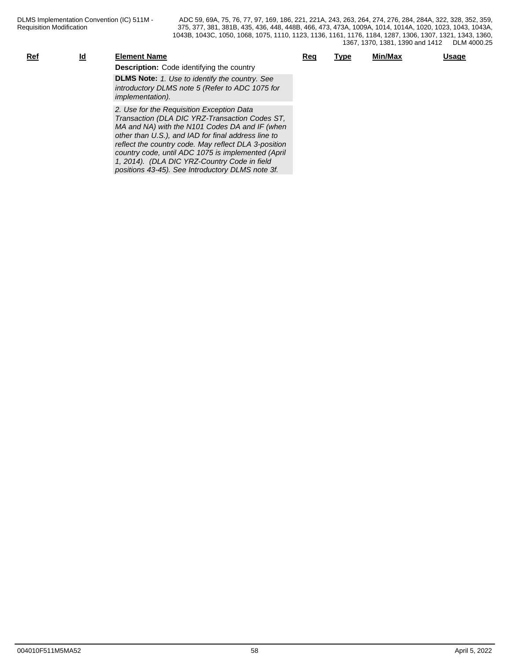| $Ref$ | <u>ld</u> | <b>Element Name</b>                                                                                                                                                                                                                                          | Reg | <u>Type</u> | Min/Max | <u>Usage</u> |
|-------|-----------|--------------------------------------------------------------------------------------------------------------------------------------------------------------------------------------------------------------------------------------------------------------|-----|-------------|---------|--------------|
|       |           | <b>Description:</b> Code identifying the country                                                                                                                                                                                                             |     |             |         |              |
|       |           | <b>DLMS Note:</b> 1. Use to identify the country. See<br>introductory DLMS note 5 (Refer to ADC 1075 for<br><i>implementation).</i>                                                                                                                          |     |             |         |              |
|       |           | 2. Use for the Requisition Exception Data<br>Transaction (DLA DIC YRZ-Transaction Codes ST,<br>MA and NA) with the N101 Codes DA and IF (when<br>other than U.S.), and IAD for final address line to<br>reflect the country code. May reflect DLA 3-position |     |             |         |              |

*country code, until ADC 1075 is implemented (April 1, 2014). (DLA DIC YRZ-Country Code in field positions 43-45). See Introductory DLMS note 3f.*

004010F511M5MA52 58 April 5, 2022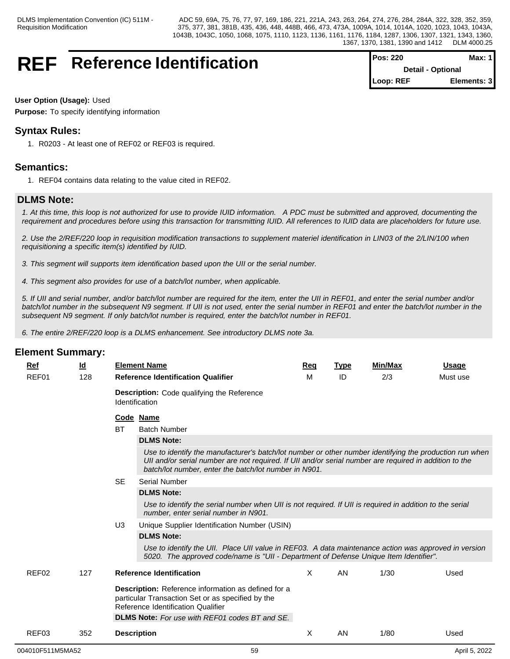## **REF** Reference Identification

| $Pos: 220$               | Max: $1$    |  |
|--------------------------|-------------|--|
| <b>Detail - Optional</b> |             |  |
| Loop: REF                | Elements: 3 |  |

#### **User Option (Usage):** Used

**Purpose:** To specify identifying information

## **Syntax Rules:**

1. R0203 - At least one of REF02 or REF03 is required.

## **Semantics:**

1. REF04 contains data relating to the value cited in REF02.

## **DLMS Note:**

*1. At this time, this loop is not authorized for use to provide IUID information. A PDC must be submitted and approved, documenting the requirement and procedures before using this transaction for transmitting IUID. All references to IUID data are placeholders for future use.*

*2. Use the 2/REF/220 loop in requisition modification transactions to supplement materiel identification in LIN03 of the 2/LIN/100 when requisitioning a specific item(s) identified by IUID.*

*3. This segment will supports item identification based upon the UII or the serial number.*

*4. This segment also provides for use of a batch/lot number, when applicable.*

*5. If UII and serial number, and/or batch/lot number are required for the item, enter the UII in REF01, and enter the serial number and/or batch/lot number in the subsequent N9 segment. If UII is not used, enter the serial number in REF01 and enter the batch/lot number in the subsequent N9 segment. If only batch/lot number is required, enter the batch/lot number in REF01.*

*6. The entire 2/REF/220 loop is a DLMS enhancement. See introductory DLMS note 3a.*

| Ref               | <u>ld</u> |                | <b>Element Name</b>                                                                                                                                                                                                                                                        | Req | <b>Type</b> | Min/Max | <b>Usage</b> |
|-------------------|-----------|----------------|----------------------------------------------------------------------------------------------------------------------------------------------------------------------------------------------------------------------------------------------------------------------------|-----|-------------|---------|--------------|
| REF01             | 128       |                | <b>Reference Identification Qualifier</b>                                                                                                                                                                                                                                  | м   | ID          | 2/3     | Must use     |
|                   |           |                | Description: Code qualifying the Reference<br>Identification                                                                                                                                                                                                               |     |             |         |              |
|                   |           |                | Code Name                                                                                                                                                                                                                                                                  |     |             |         |              |
|                   |           | <b>BT</b>      | <b>Batch Number</b>                                                                                                                                                                                                                                                        |     |             |         |              |
|                   |           |                | <b>DLMS Note:</b>                                                                                                                                                                                                                                                          |     |             |         |              |
|                   |           |                | Use to identify the manufacturer's batch/lot number or other number identifying the production run when<br>UII and/or serial number are not required. If UII and/or serial number are required in addition to the<br>batch/lot number, enter the batch/lot number in N901. |     |             |         |              |
|                   |           | <b>SE</b>      | Serial Number                                                                                                                                                                                                                                                              |     |             |         |              |
|                   |           |                | <b>DLMS Note:</b>                                                                                                                                                                                                                                                          |     |             |         |              |
|                   |           |                | Use to identify the serial number when UII is not required. If UII is required in addition to the serial<br>number, enter serial number in N901.                                                                                                                           |     |             |         |              |
|                   |           | U <sub>3</sub> | Unique Supplier Identification Number (USIN)                                                                                                                                                                                                                               |     |             |         |              |
|                   |           |                | <b>DLMS Note:</b>                                                                                                                                                                                                                                                          |     |             |         |              |
|                   |           |                | Use to identify the UII. Place UII value in REF03. A data maintenance action was approved in version<br>5020. The approved code/name is "UII - Department of Defense Unique Item Identifier".                                                                              |     |             |         |              |
| REF <sub>02</sub> | 127       |                | <b>Reference Identification</b>                                                                                                                                                                                                                                            | X   | AN          | 1/30    | Used         |
|                   |           |                | Description: Reference information as defined for a<br>particular Transaction Set or as specified by the<br>Reference Identification Qualifier<br><b>DLMS Note:</b> For use with REF01 codes BT and SE.                                                                    |     |             |         |              |
| REF03             | 352       |                | <b>Description</b>                                                                                                                                                                                                                                                         | X   | AN          | 1/80    | Used         |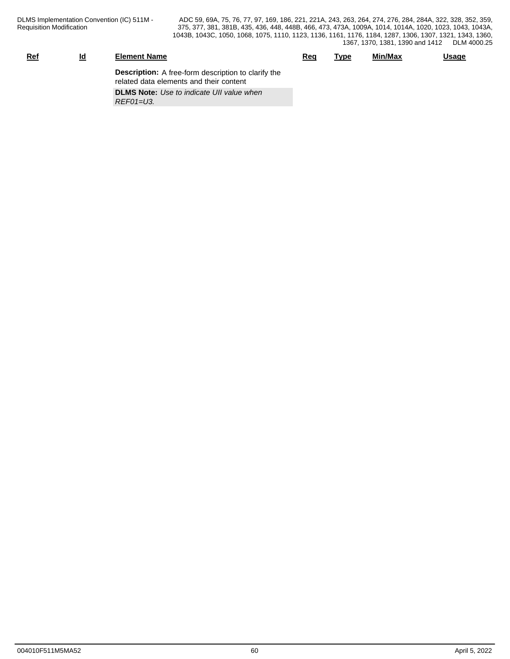| <u>Ref</u> | <u>Ιd</u> | <b>Element Name</b>                                                                                   | Reg | <b>Type</b> | Min/Max | <b>Usage</b> |
|------------|-----------|-------------------------------------------------------------------------------------------------------|-----|-------------|---------|--------------|
|            |           | <b>Description:</b> A free-form description to clarify the<br>related data elements and their content |     |             |         |              |
|            |           | <b>DLMS Note:</b> Use to indicate UII value when<br>$REFO1=U3$ .                                      |     |             |         |              |
|            |           |                                                                                                       |     |             |         |              |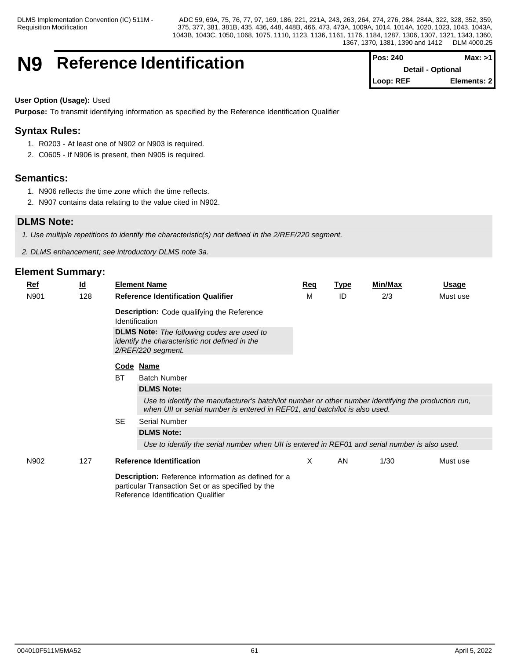## **N9** Reference Identification

| <b>Pos: 240</b> | Max: >1                  |
|-----------------|--------------------------|
|                 | <b>Detail - Optional</b> |
| Loop: REF       | Elements: 2              |

## **User Option (Usage):** Used

**Purpose:** To transmit identifying information as specified by the Reference Identification Qualifier

## **Syntax Rules:**

- 1. R0203 At least one of N902 or N903 is required.
- 2. C0605 If N906 is present, then N905 is required.

## **Semantics:**

- 1. N906 reflects the time zone which the time reflects.
- 2. N907 contains data relating to the value cited in N902.

## **DLMS Note:**

*1. Use multiple repetitions to identify the characteristic(s) not defined in the 2/REF/220 segment.*

*2. DLMS enhancement; see introductory DLMS note 3a.*

| $Ref$ | <u>ld</u> |           | <b>Element Name</b>                                                                                                                                                               | <b>Req</b> | <b>Type</b> | Min/Max | Usage    |
|-------|-----------|-----------|-----------------------------------------------------------------------------------------------------------------------------------------------------------------------------------|------------|-------------|---------|----------|
| N901  | 128       |           | <b>Reference Identification Qualifier</b>                                                                                                                                         | M          | ID          | 2/3     | Must use |
|       |           |           | <b>Description:</b> Code qualifying the Reference<br>Identification                                                                                                               |            |             |         |          |
|       |           |           | <b>DLMS Note:</b> The following codes are used to<br>identify the characteristic not defined in the<br>2/REF/220 segment.                                                         |            |             |         |          |
|       |           |           | Code Name                                                                                                                                                                         |            |             |         |          |
|       |           | <b>BT</b> | <b>Batch Number</b>                                                                                                                                                               |            |             |         |          |
|       |           |           | <b>DLMS Note:</b>                                                                                                                                                                 |            |             |         |          |
|       |           |           | Use to identify the manufacturer's batch/lot number or other number identifying the production run,<br>when UII or serial number is entered in REF01, and batch/lot is also used. |            |             |         |          |
|       |           | <b>SE</b> | <b>Serial Number</b>                                                                                                                                                              |            |             |         |          |
|       |           |           | <b>DLMS Note:</b>                                                                                                                                                                 |            |             |         |          |
|       |           |           | Use to identify the serial number when UII is entered in REF01 and serial number is also used.                                                                                    |            |             |         |          |
| N902  | 127       |           | <b>Reference Identification</b>                                                                                                                                                   | X          | AN          | 1/30    | Must use |
|       |           |           | <b>Description:</b> Reference information as defined for a<br>particular Transaction Set or as specified by the<br>Reference Identification Qualifier                             |            |             |         |          |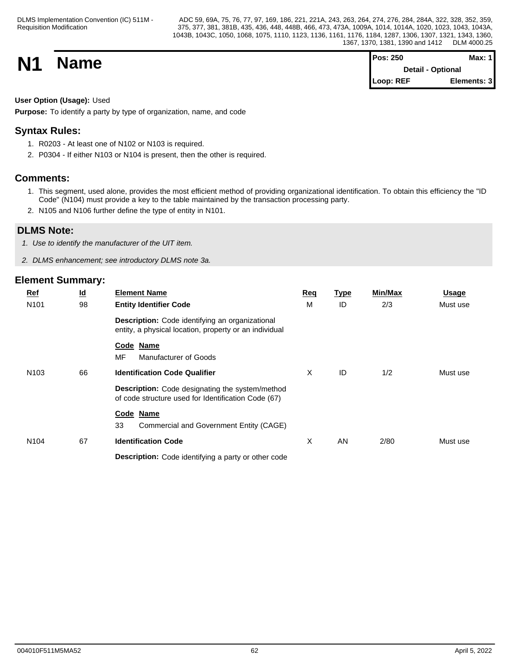**N1 Name Magnetic Max:** 1 **Detail - Optional Loop: REF Elements: 3**

## **User Option (Usage):** Used

**Purpose:** To identify a party by type of organization, name, and code

## **Syntax Rules:**

- 1. R0203 At least one of N102 or N103 is required.
- 2. P0304 If either N103 or N104 is present, then the other is required.

## **Comments:**

- 1. This segment, used alone, provides the most efficient method of providing organizational identification. To obtain this efficiency the "ID Code" (N104) must provide a key to the table maintained by the transaction processing party.
- 2. N105 and N106 further define the type of entity in N101.

## **DLMS Note:**

*1. Use to identify the manufacturer of the UIT item.*

*2. DLMS enhancement; see introductory DLMS note 3a.*

| $Ref$            | $\underline{\mathsf{Id}}$ | <b>Element Name</b>                                                                                              | Req | <u>Type</u> | Min/Max | <b>Usage</b> |  |
|------------------|---------------------------|------------------------------------------------------------------------------------------------------------------|-----|-------------|---------|--------------|--|
| N <sub>101</sub> | 98                        | <b>Entity Identifier Code</b>                                                                                    | M   | ID          | 2/3     | Must use     |  |
|                  |                           | <b>Description:</b> Code identifying an organizational<br>entity, a physical location, property or an individual |     |             |         |              |  |
|                  |                           | Code Name<br>MF<br>Manufacturer of Goods                                                                         |     |             |         |              |  |
| N <sub>103</sub> | 66                        | <b>Identification Code Qualifier</b>                                                                             | X   | ID          | 1/2     | Must use     |  |
|                  |                           | <b>Description:</b> Code designating the system/method<br>of code structure used for Identification Code (67)    |     |             |         |              |  |
|                  |                           | Code Name<br>33<br>Commercial and Government Entity (CAGE)                                                       |     |             |         |              |  |
| N <sub>104</sub> | 67                        | <b>Identification Code</b>                                                                                       | X   | <b>AN</b>   | 2/80    | Must use     |  |
|                  |                           | Description: Code identifying a party or other code                                                              |     |             |         |              |  |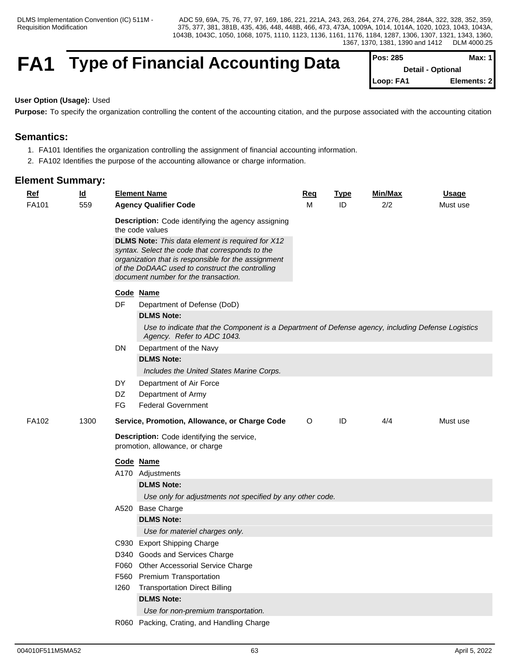## **FA1** Type of Financial Accounting Data

| $Pos: 285$               | Max: 1      |  |
|--------------------------|-------------|--|
| <b>Detail - Optional</b> |             |  |
| Loop: FA1                | Elements: 2 |  |

#### **User Option (Usage):** Used

**Purpose:** To specify the organization controlling the content of the accounting citation, and the purpose associated with the accounting citation

## **Semantics:**

- 1. FA101 Identifies the organization controlling the assignment of financial accounting information.
- 2. FA102 Identifies the purpose of the accounting allowance or charge information.

| <b>Ref</b><br>$\underline{\mathsf{Id}}$ |      | <b>Element Name</b>                                                                                                                                                                                                                                          | <u>Req</u> | <b>Type</b> | Min/Max | <b>Usage</b> |
|-----------------------------------------|------|--------------------------------------------------------------------------------------------------------------------------------------------------------------------------------------------------------------------------------------------------------------|------------|-------------|---------|--------------|
| FA101<br>559                            |      | <b>Agency Qualifier Code</b>                                                                                                                                                                                                                                 | M          | ID          | 2/2     | Must use     |
|                                         |      | Description: Code identifying the agency assigning<br>the code values                                                                                                                                                                                        |            |             |         |              |
|                                         |      | <b>DLMS Note:</b> This data element is required for X12<br>syntax. Select the code that corresponds to the<br>organization that is responsible for the assignment<br>of the DoDAAC used to construct the controlling<br>document number for the transaction. |            |             |         |              |
|                                         |      | Code Name                                                                                                                                                                                                                                                    |            |             |         |              |
|                                         | DF   | Department of Defense (DoD)                                                                                                                                                                                                                                  |            |             |         |              |
|                                         |      | <b>DLMS Note:</b>                                                                                                                                                                                                                                            |            |             |         |              |
|                                         |      | Use to indicate that the Component is a Department of Defense agency, including Defense Logistics<br>Agency. Refer to ADC 1043.                                                                                                                              |            |             |         |              |
|                                         |      | DN<br>Department of the Navy                                                                                                                                                                                                                                 |            |             |         |              |
|                                         |      | <b>DLMS Note:</b>                                                                                                                                                                                                                                            |            |             |         |              |
|                                         |      | Includes the United States Marine Corps.                                                                                                                                                                                                                     |            |             |         |              |
|                                         | DY   | Department of Air Force                                                                                                                                                                                                                                      |            |             |         |              |
|                                         | DZ   | Department of Army                                                                                                                                                                                                                                           |            |             |         |              |
|                                         | FG   | <b>Federal Government</b>                                                                                                                                                                                                                                    |            |             |         |              |
| FA102                                   | 1300 | Service, Promotion, Allowance, or Charge Code                                                                                                                                                                                                                | $\circ$    | ID          | 4/4     | Must use     |
|                                         |      | Description: Code identifying the service,<br>promotion, allowance, or charge                                                                                                                                                                                |            |             |         |              |
|                                         |      | Code Name                                                                                                                                                                                                                                                    |            |             |         |              |
|                                         |      | A170 Adjustments                                                                                                                                                                                                                                             |            |             |         |              |
|                                         |      | <b>DLMS Note:</b>                                                                                                                                                                                                                                            |            |             |         |              |
|                                         |      | Use only for adjustments not specified by any other code.                                                                                                                                                                                                    |            |             |         |              |
|                                         |      | A520 Base Charge                                                                                                                                                                                                                                             |            |             |         |              |
|                                         |      | <b>DLMS Note:</b>                                                                                                                                                                                                                                            |            |             |         |              |
|                                         |      | Use for materiel charges only.                                                                                                                                                                                                                               |            |             |         |              |
|                                         |      | C930 Export Shipping Charge                                                                                                                                                                                                                                  |            |             |         |              |
|                                         |      | D340 Goods and Services Charge                                                                                                                                                                                                                               |            |             |         |              |
|                                         |      | F060 Other Accessorial Service Charge                                                                                                                                                                                                                        |            |             |         |              |
|                                         |      | <b>Premium Transportation</b><br>F560                                                                                                                                                                                                                        |            |             |         |              |
|                                         |      | <b>Transportation Direct Billing</b><br>1260                                                                                                                                                                                                                 |            |             |         |              |
|                                         |      | <b>DLMS Note:</b>                                                                                                                                                                                                                                            |            |             |         |              |
|                                         |      | Use for non-premium transportation.                                                                                                                                                                                                                          |            |             |         |              |
|                                         |      | R060 Packing, Crating, and Handling Charge                                                                                                                                                                                                                   |            |             |         |              |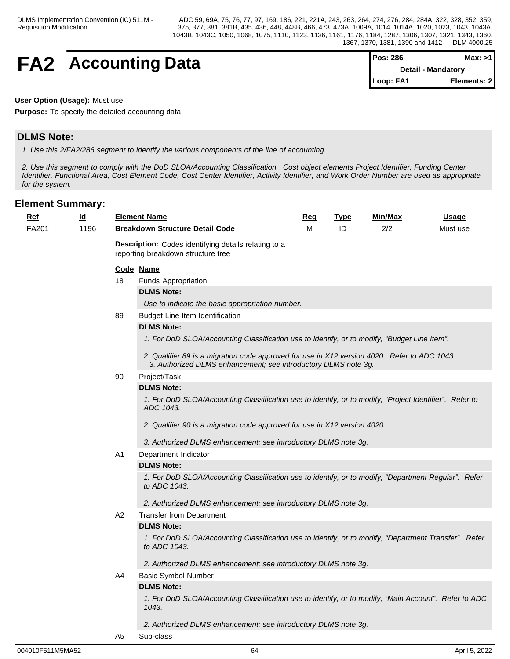| <b>FA2</b> | <b>Accounting Data</b> | <b>TPos: 286</b>   | Max: >1 |  |
|------------|------------------------|--------------------|---------|--|
|            |                        | Detail - Mandatory |         |  |

| IPos: 286                 | Max: >1     |  |
|---------------------------|-------------|--|
| <b>Detail - Mandatory</b> |             |  |
| Loop: FA1                 | Elements: 2 |  |

## **User Option (Usage):** Must use

**Purpose:** To specify the detailed accounting data

## **DLMS Note:**

*1. Use this 2/FA2/286 segment to identify the various components of the line of accounting.*

*2. Use this segment to comply with the DoD SLOA/Accounting Classification. Cost object elements Project Identifier, Funding Center Identifier, Functional Area, Cost Element Code, Cost Center Identifier, Activity Identifier, and Work Order Number are used as appropriate for the system.*

| Ref   | $\underline{\mathsf{Id}}$ |                                                                                            | <b>Element Name</b>                                                                                                                                            | <b>Req</b> | <b>Type</b> | Min/Max | <u>Usage</u> |  |  |  |
|-------|---------------------------|--------------------------------------------------------------------------------------------|----------------------------------------------------------------------------------------------------------------------------------------------------------------|------------|-------------|---------|--------------|--|--|--|
| FA201 | 1196                      |                                                                                            | <b>Breakdown Structure Detail Code</b>                                                                                                                         | м          | ID          | 2/2     | Must use     |  |  |  |
|       |                           | Description: Codes identifying details relating to a<br>reporting breakdown structure tree |                                                                                                                                                                |            |             |         |              |  |  |  |
|       |                           | Code Name                                                                                  |                                                                                                                                                                |            |             |         |              |  |  |  |
|       |                           | 18                                                                                         | Funds Appropriation                                                                                                                                            |            |             |         |              |  |  |  |
|       |                           |                                                                                            | <b>DLMS Note:</b>                                                                                                                                              |            |             |         |              |  |  |  |
|       |                           |                                                                                            | Use to indicate the basic appropriation number.                                                                                                                |            |             |         |              |  |  |  |
|       |                           | 89                                                                                         | Budget Line Item Identification                                                                                                                                |            |             |         |              |  |  |  |
|       |                           |                                                                                            | <b>DLMS Note:</b>                                                                                                                                              |            |             |         |              |  |  |  |
|       |                           |                                                                                            | 1. For DoD SLOA/Accounting Classification use to identify, or to modify, "Budget Line Item".                                                                   |            |             |         |              |  |  |  |
|       |                           |                                                                                            | 2. Qualifier 89 is a migration code approved for use in X12 version 4020. Refer to ADC 1043.<br>3. Authorized DLMS enhancement; see introductory DLMS note 3g. |            |             |         |              |  |  |  |
|       |                           | 90                                                                                         | Project/Task                                                                                                                                                   |            |             |         |              |  |  |  |
|       |                           |                                                                                            | <b>DLMS Note:</b>                                                                                                                                              |            |             |         |              |  |  |  |
|       |                           |                                                                                            | 1. For DoD SLOA/Accounting Classification use to identify, or to modify, "Project Identifier". Refer to<br>ADC 1043.                                           |            |             |         |              |  |  |  |
|       |                           |                                                                                            | 2. Qualifier 90 is a migration code approved for use in X12 version 4020.                                                                                      |            |             |         |              |  |  |  |
|       |                           |                                                                                            | 3. Authorized DLMS enhancement; see introductory DLMS note 3g.                                                                                                 |            |             |         |              |  |  |  |
|       |                           | A1                                                                                         | Department Indicator                                                                                                                                           |            |             |         |              |  |  |  |
|       |                           |                                                                                            | <b>DLMS Note:</b>                                                                                                                                              |            |             |         |              |  |  |  |
|       |                           |                                                                                            | 1. For DoD SLOA/Accounting Classification use to identify, or to modify, "Department Regular". Refer<br>to ADC 1043.                                           |            |             |         |              |  |  |  |
|       |                           |                                                                                            | 2. Authorized DLMS enhancement; see introductory DLMS note 3g.                                                                                                 |            |             |         |              |  |  |  |
|       |                           | A2                                                                                         | <b>Transfer from Department</b>                                                                                                                                |            |             |         |              |  |  |  |
|       |                           |                                                                                            | <b>DLMS Note:</b>                                                                                                                                              |            |             |         |              |  |  |  |
|       |                           |                                                                                            | 1. For DoD SLOA/Accounting Classification use to identify, or to modify, "Department Transfer". Refer<br>to ADC 1043.                                          |            |             |         |              |  |  |  |
|       |                           |                                                                                            | 2. Authorized DLMS enhancement; see introductory DLMS note 3g.                                                                                                 |            |             |         |              |  |  |  |
|       |                           | A4                                                                                         | <b>Basic Symbol Number</b>                                                                                                                                     |            |             |         |              |  |  |  |
|       |                           |                                                                                            | <b>DLMS Note:</b>                                                                                                                                              |            |             |         |              |  |  |  |
|       |                           |                                                                                            | 1. For DoD SLOA/Accounting Classification use to identify, or to modify, "Main Account". Refer to ADC<br>1043.                                                 |            |             |         |              |  |  |  |
|       |                           |                                                                                            | 2. Authorized DLMS enhancement; see introductory DLMS note 3g.                                                                                                 |            |             |         |              |  |  |  |
|       |                           | A <sub>5</sub>                                                                             | Sub-class                                                                                                                                                      |            |             |         |              |  |  |  |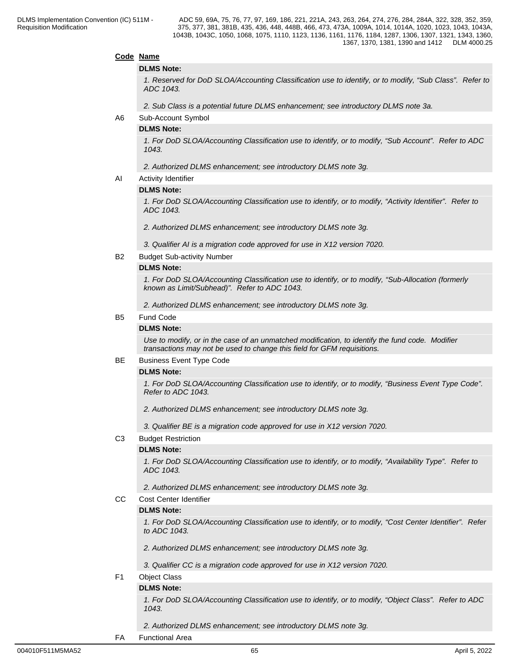#### **Code Name**

#### **DLMS Note:**

*1. Reserved for DoD SLOA/Accounting Classification use to identify, or to modify, "Sub Class". Refer to ADC 1043.*

*2. Sub Class is a potential future DLMS enhancement; see introductory DLMS note 3a.*

A6 Sub-Account Symbol

#### **DLMS Note:**

*1. For DoD SLOA/Accounting Classification use to identify, or to modify, "Sub Account". Refer to ADC 1043.*

#### *2. Authorized DLMS enhancement; see introductory DLMS note 3g.*

AI Activity Identifier

#### **DLMS Note:**

*1. For DoD SLOA/Accounting Classification use to identify, or to modify, "Activity Identifier". Refer to ADC 1043.*

*2. Authorized DLMS enhancement; see introductory DLMS note 3g.*

- *3. Qualifier AI is a migration code approved for use in X12 version 7020.*
- B2 Budget Sub-activity Number

#### **DLMS Note:**

*1. For DoD SLOA/Accounting Classification use to identify, or to modify, "Sub-Allocation (formerly known as Limit/Subhead)". Refer to ADC 1043.*

*2. Authorized DLMS enhancement; see introductory DLMS note 3g.*

#### B5 Fund Code

#### **DLMS Note:**

*Use to modify, or in the case of an unmatched modification, to identify the fund code. Modifier transactions may not be used to change this field for GFM requisitions.*

#### BE Business Event Type Code

#### **DLMS Note:**

*1. For DoD SLOA/Accounting Classification use to identify, or to modify, "Business Event Type Code". Refer to ADC 1043.*

 *2. Authorized DLMS enhancement; see introductory DLMS note 3g.*

*3. Qualifier BE is a migration code approved for use in X12 version 7020.*

C3 Budget Restriction

#### **DLMS Note:**

*1. For DoD SLOA/Accounting Classification use to identify, or to modify, "Availability Type". Refer to ADC 1043.*

*2. Authorized DLMS enhancement; see introductory DLMS note 3g.*

CC Cost Center Identifier

#### **DLMS Note:**

*1. For DoD SLOA/Accounting Classification use to identify, or to modify, "Cost Center Identifier". Refer to ADC 1043.*

- *2. Authorized DLMS enhancement; see introductory DLMS note 3g.*
- *3. Qualifier CC is a migration code approved for use in X12 version 7020.*
- F1 Object Class

#### **DLMS Note:**

*1. For DoD SLOA/Accounting Classification use to identify, or to modify, "Object Class". Refer to ADC 1043.*

*2. Authorized DLMS enhancement; see introductory DLMS note 3g.*

FA Functional Area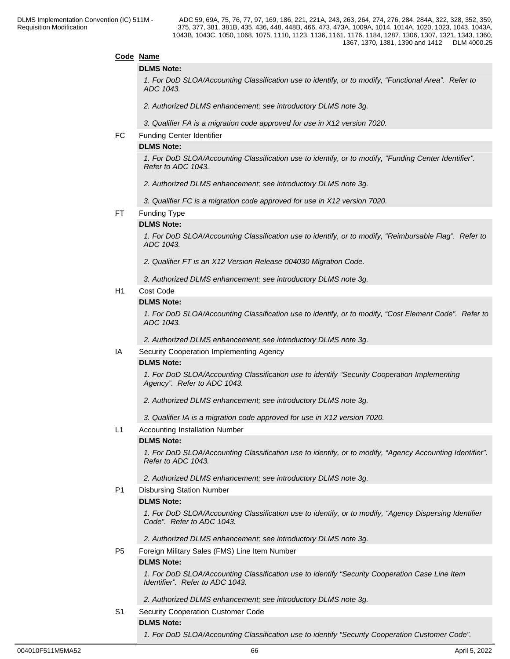#### **Code Name**

#### **DLMS Note:**

*1. For DoD SLOA/Accounting Classification use to identify, or to modify, "Functional Area". Refer to ADC 1043.*

*2. Authorized DLMS enhancement; see introductory DLMS note 3g.*

*3. Qualifier FA is a migration code approved for use in X12 version 7020.*

#### FC Funding Center Identifier

#### **DLMS Note:**

*1. For DoD SLOA/Accounting Classification use to identify, or to modify, "Funding Center Identifier". Refer to ADC 1043.*

*2. Authorized DLMS enhancement; see introductory DLMS note 3g.*

*3. Qualifier FC is a migration code approved for use in X12 version 7020.*

#### FT Funding Type

#### **DLMS Note:**

*1. For DoD SLOA/Accounting Classification use to identify, or to modify, "Reimbursable Flag". Refer to ADC 1043.* 

*2. Qualifier FT is an X12 Version Release 004030 Migration Code.* 

*3. Authorized DLMS enhancement; see introductory DLMS note 3g.*

#### H1 Cost Code

#### **DLMS Note:**

*1. For DoD SLOA/Accounting Classification use to identify, or to modify, "Cost Element Code". Refer to ADC 1043.*

*2. Authorized DLMS enhancement; see introductory DLMS note 3g.*

#### IA Security Cooperation Implementing Agency

#### **DLMS Note:**

*1. For DoD SLOA/Accounting Classification use to identify "Security Cooperation Implementing Agency". Refer to ADC 1043.*

*2. Authorized DLMS enhancement; see introductory DLMS note 3g.*

*3. Qualifier IA is a migration code approved for use in X12 version 7020.*

#### L1 Accounting Installation Number

#### **DLMS Note:**

*1. For DoD SLOA/Accounting Classification use to identify, or to modify, "Agency Accounting Identifier". Refer to ADC 1043.* 

*2. Authorized DLMS enhancement; see introductory DLMS note 3g.*

#### P1 Disbursing Station Number

#### **DLMS Note:**

*1. For DoD SLOA/Accounting Classification use to identify, or to modify, "Agency Dispersing Identifier Code". Refer to ADC 1043.*

*2. Authorized DLMS enhancement; see introductory DLMS note 3g.*

P5 Foreign Military Sales (FMS) Line Item Number

#### **DLMS Note:**

*1. For DoD SLOA/Accounting Classification use to identify "Security Cooperation Case Line Item Identifier". Refer to ADC 1043.*

*2. Authorized DLMS enhancement; see introductory DLMS note 3g.*

#### S1 Security Cooperation Customer Code

### **DLMS Note:**

*1. For DoD SLOA/Accounting Classification use to identify "Security Cooperation Customer Code".*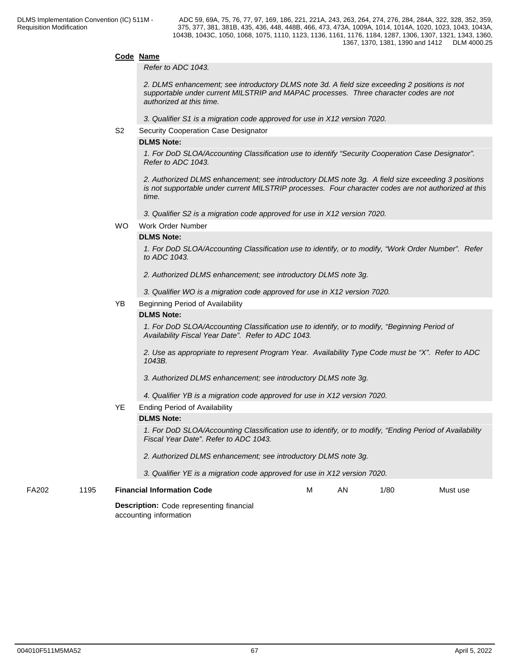#### **Code Name**

*Refer to ADC 1043.*

*2. DLMS enhancement; see introductory DLMS note 3d. A field size exceeding 2 positions is not supportable under current MILSTRIP and MAPAC processes. Three character codes are not authorized at this time.*

*3. Qualifier S1 is a migration code approved for use in X12 version 7020.*

S2 Security Cooperation Case Designator

#### **DLMS Note:**

*1. For DoD SLOA/Accounting Classification use to identify "Security Cooperation Case Designator". Refer to ADC 1043.*

*2. Authorized DLMS enhancement; see introductory DLMS note 3g. A field size exceeding 3 positions is not supportable under current MILSTRIP processes. Four character codes are not authorized at this time.*

*3. Qualifier S2 is a migration code approved for use in X12 version 7020.*

WO Work Order Number

#### **DLMS Note:**

*1. For DoD SLOA/Accounting Classification use to identify, or to modify, "Work Order Number". Refer to ADC 1043.*

- *2. Authorized DLMS enhancement; see introductory DLMS note 3g.*
- *3. Qualifier WO is a migration code approved for use in X12 version 7020.*

#### YB Beginning Period of Availability

### **DLMS Note:**

*1. For DoD SLOA/Accounting Classification use to identify, or to modify, "Beginning Period of Availability Fiscal Year Date". Refer to ADC 1043.*

*2. Use as appropriate to represent Program Year. Availability Type Code must be "X". Refer to ADC 1043B.*

*3. Authorized DLMS enhancement; see introductory DLMS note 3g.*

*4. Qualifier YB is a migration code approved for use in X12 version 7020.*

#### YE Ending Period of Availability

#### **DLMS Note:**

*1. For DoD SLOA/Accounting Classification use to identify, or to modify, "Ending Period of Availability Fiscal Year Date". Refer to ADC 1043.* 

- *2. Authorized DLMS enhancement; see introductory DLMS note 3g.*
- *3. Qualifier YE is a migration code approved for use in X12 version 7020.*

FA202 1195 **Financial Information Code**

**Description:** Code representing financial

accounting information

1/80 Must use